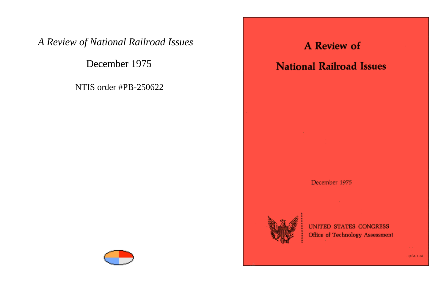### *A Review of National Railroad Issues*

December 1975

NTIS order #PB-250622





# **A Review of**

## **National Railroad Issues**

#### December 1975



**UNITED STATES CONGRESS** Office of Technology Assessment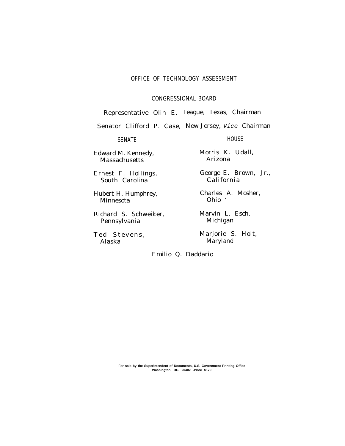#### OFFICE OF TECHNOLOGY ASSESSMENT

CONGRESSIONAL BOARD

Representative Olin E. Teague, Texas, Chairman

Senator Clifford P. Case, New Jersey, Vice Chairman

SENATE HOUSE

Edward M. Kennedy, Morris K. Udall,<br>Massachusetts Marizona Massachusetts

South Carolina

Minnesota

Richard S. Schweiker, Marvin L. Esch,<br>Pennsylvania Michigan Pennsylvania

Alaska Maryland

Ernest F. Hollings, George E. Brown, Jr.,

Hubert H. Humphrey, Charles A. Mosher,<br>Minnesota Ohio

Ted Stevens, Marjorie S. Holt,

Emilio Q. Daddario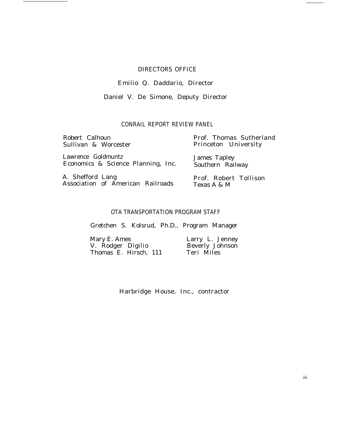#### DIRECTORS OFFICE

### Emilio Q. Daddario, Director

### Daniel V. De Simone, Deputy Director

#### CONRAIL REPORT REVIEW PANEL

| Robert Calhoun                           | Prof. Thomas Sutherland |  |
|------------------------------------------|-------------------------|--|
| Sullivan & Worcester                     | Princeton University    |  |
| Lawrence Goldmuntz                       | James Tapley            |  |
| Economics & Science Planning, Inc.       | Southern Railway        |  |
| A. Shefford Lang                         | Prof. Robert Tollison   |  |
| <b>Association of American Railroads</b> | Texas A & M             |  |

#### OTA TRANSPORTATION PROGRAM STAFF

Gretchen S. Kolsrud, Ph.D., Program Manager

| Mary E. Ames          | Larry L. Jenney        |
|-----------------------|------------------------|
| V. Rodger Digilio     | <b>Beverly Johnson</b> |
| Thomas E. Hirsch, 111 | Teri Miles             |

Harbridge House, Inc., contractor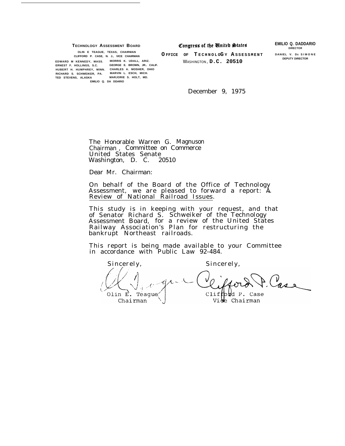**TECHNOLOGY ASSESSMENT BOARD**<br> **Congress of the United States EMILIO Q. DADDARIO** 

**DIRECTOR**

**DEPUTY DIRECTOR**

**OLIN E TEAGUE, TEXAS, CHAIRMAN CLIFFORD P. CASE, N. J., VICE CHAIRMAN O FFICE OF T ECHNOL <sup>O</sup>G <sup>Y</sup>A SSESSMEN <sup>T</sup> DANIEL V. DE SIMON <sup>E</sup> EDWARD M KENNEDY, MASS. MORRIS K. UDALL, ARIZ.** WASHINGTON , **D.C. 20510 ERNEST F. HOLLINGS, S.C. GEORGE E. BROWN, JR.. CALIF. HUBERT H. HUMPHREY, MINN. CHARLES A. MOSHER, OHIO RICHARD S. SCHWEIKER, PA. MARVIN L. ESCH, MICH. TED STEVENS, ALASKA MARJORIE S. HOLT, MD. EMILIO Q. DA DDARIO**

December 9, 1975

The Honorable Warren G. Magnuson Chairman , Committee on Commerce United States Senate Washington, D. C. 20510

Dear Mr. Chairman:

On behalf of the Board of the Office of Technology Assessment, we are pleased to forward a report: A Assessment, we are preased to forward a report. A<br>Review of National Railroad Issues.

This study is in keeping with your request, and that of Senator Richard S. Schweiker of the Technology Assessment Board, for a review of the United States Railway Association's Plan for restructuring the bankrupt Northeast railroads.

This report is being made available to your Committee in accordance with Public Law 92-484.

Sincerely, Sincerely, Case  $Cliffbbd P. Case$ Olin E. Teague Vide Chairman Chairman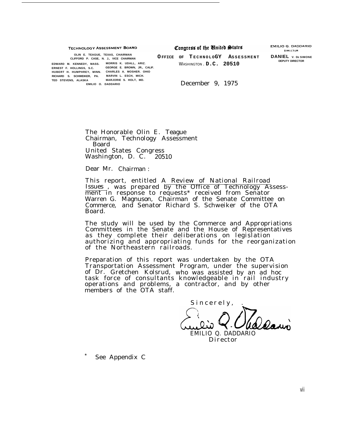Congress of the United States **TECHNOLOGY ASSESSMENT BOARD OLIN E. TEAGUE, TEXAS, CHAIRMAN**  $O$  **FFICE** OF **TECHNOLOGY** ASSESSMENT **DANIEL V. DE SIMONE EDWARD M. KENNEDY, MASS. MORRIS K. UDALL, ARIZ.** WASHINGTON . **D.C. 20510 ERNEST F. HOLLINGS, S.C. GEORGE E. BROWN, JR., CALIF. HUBERT H. HUMPHREY, MINN. CHARLES A. MOSHER. OHIO RICHARD S. SCHWEIKER, PA. MARVIN L. ESCH, MICH. TED STEVENS, ALASKA MARJORIE S. HOLT, MD. December 9, 1975** 

> The Honorable Olin E. Teague Chairman, Technology Assessment Board United States Congress Washington, D. C. 20510

Dear Mr. Chairman :

This report, entitled A Review of National Railroad Issues , was prepared by the Office of Technology Assessment in response to requests\* received from Senator Warren G. Magnuson, Chairman of the Senate Committee on Commerce, and Senator Richard S. Schweiker of the OTA Board.

The study will be used by the Commerce and Appropriations Committees in the Senate and the House of Representatives as they complete their deliberations on legislation authorizing and appropriating funds for the reorganization of the Northeastern railroads.

Preparation of this report was undertaken by the OTA Transportation Assessment Program, under the supervision of Dr. Gretchen Kolsrud, who was assisted by an ad hoc task force of consultants knowledgeable in rail industry operations and problems, a contractor, and by other members of the OTA staff.

Sincerely, EMILIO Q. DADDARIO

Director

See Appendix C

EMILIO Q. DADDARIO DIRECTOR

**DEPUTY DIRECTOR**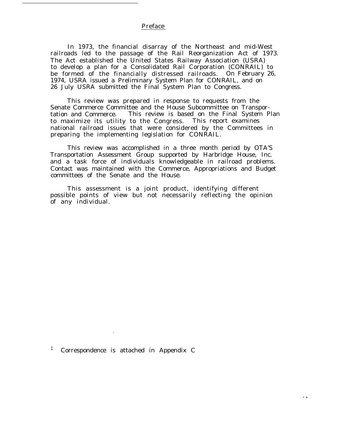#### Preface

In 1973, the financial disarray of the Northeast and mid-West railroads led to the passage of the Rail Reorganization Act of 1973. The Act established the United States Railway Association (USRA) to develop a plan for a Consolidated Rail Corporation (CONRAIL) to be formed of the financially distressed railroads. On February 26, 1974, USRA issued a Preliminary System Plan for CONRAIL, and on 26 July USRA submitted the Final System Plan to Congress.

This review was prepared in response to requests from the Senate Commerce Committee and the House Subcommittee on Transportation and Commerce. This review is based on the Final System Plan to maximize its utility to the Congress. This report examines national railroad issues that were considered by the Committees in preparing the implementing legislation for CONRAIL.

This review was accomplished in a three month period by OTA'S Transportation Assessment Group supported by Harbridge House, Inc. and a task force of individuals knowledgeable in railroad problems. Contact was maintained with the Commerce, Appropriations and Budget committees of the Senate and the House.

This assessment is a joint product, identifying different possible points of view but not necessarily reflecting the opinion of any individual.

**<sup>1</sup>** Correspondence is attached in Appendix C

7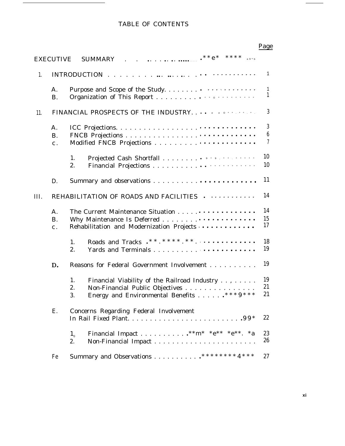### TABLE OF CONTENTS

|                                                                    | EXECUTIVE                        | SUMMARY .                                                                                                                                           |                          |  |
|--------------------------------------------------------------------|----------------------------------|-----------------------------------------------------------------------------------------------------------------------------------------------------|--------------------------|--|
| 1.                                                                 |                                  |                                                                                                                                                     | $\mathbf{1}$             |  |
|                                                                    | Α.<br><b>B.</b>                  |                                                                                                                                                     | $\mathbf{1}$<br>1        |  |
| 11.                                                                |                                  | FINANCIAL PROSPECTS OF THE INDUSTRY.                                                                                                                | $\mathbf{3}$             |  |
|                                                                    | A.<br><b>B.</b><br>$\mathbf c$ . |                                                                                                                                                     | 3<br>$6\phantom{1}$<br>7 |  |
|                                                                    |                                  | 1.<br>2.                                                                                                                                            | 10<br>10                 |  |
|                                                                    | D.                               |                                                                                                                                                     | 11                       |  |
| III.                                                               |                                  | REHABILITATION OF ROADS AND FACILITIES                                                                                                              | 14                       |  |
| A.<br><b>B.</b><br>Rehabilitation and Modernization Projects<br>c. |                                  |                                                                                                                                                     |                          |  |
|                                                                    |                                  | 1.<br>2.                                                                                                                                            | 18<br>19                 |  |
|                                                                    | D.                               | Reasons for Federal Government Involvement                                                                                                          | 19                       |  |
|                                                                    |                                  | 1.<br>Financial Viability of the Railroad Industry ,<br>2.<br>Non-Financial Public Objectives<br>Energy and Environmental Benefits *** $9***$<br>3. | 19<br>21<br>21           |  |
|                                                                    | Ε.                               | Concerns Regarding Federal Involvement                                                                                                              | 22                       |  |
|                                                                    |                                  | Financial Impact ** m* * e** * e**. * a<br>$1_{\circ}$<br>2.                                                                                        | 23<br>26                 |  |
|                                                                    | Fe                               | Summary and Observations ******** 4***                                                                                                              | 27                       |  |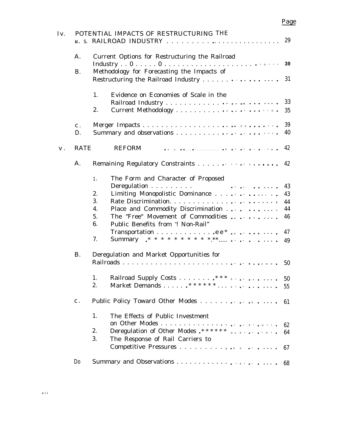| Iv. |                | POTENTIAL IMPACTS OF RESTRUCTURING THE                                                                                                                                                                                                                                                                                                                         |                                        |  |  |  |
|-----|----------------|----------------------------------------------------------------------------------------------------------------------------------------------------------------------------------------------------------------------------------------------------------------------------------------------------------------------------------------------------------------|----------------------------------------|--|--|--|
|     | A.             | Current Options for Restructuring the Railroad                                                                                                                                                                                                                                                                                                                 |                                        |  |  |  |
|     | <b>B.</b>      | Methodology for Forecasting the Impacts of                                                                                                                                                                                                                                                                                                                     | 31                                     |  |  |  |
|     |                | Evidence on Economies of Scale in the<br>1.<br>2.                                                                                                                                                                                                                                                                                                              | 33<br>35                               |  |  |  |
|     | $c$ .<br>D.    |                                                                                                                                                                                                                                                                                                                                                                | 39<br>40                               |  |  |  |
| V.  | RATE           | <b>REFORM</b>                                                                                                                                                                                                                                                                                                                                                  | 42                                     |  |  |  |
|     | A.             |                                                                                                                                                                                                                                                                                                                                                                | 42                                     |  |  |  |
|     | <b>B.</b>      | The Form and Character of Proposed<br>1.<br>Limiting Monopolistic Dominance<br>2.<br>3.<br>Place and Commodity Discrimination<br>4.<br>The "Free" Movement of Commodities<br>5.<br>Public Benefits from '! Non-Rail"<br>6.<br>Transportation $\ldots \ldots \ldots \ldots \cdot e e^* \ldots \ldots \ldots$<br>7.<br>Deregulation and Market Opportunities for | 43<br>43<br>44<br>44<br>46<br>47<br>49 |  |  |  |
|     |                |                                                                                                                                                                                                                                                                                                                                                                | 50                                     |  |  |  |
|     |                | 1.<br>2.                                                                                                                                                                                                                                                                                                                                                       | 50<br>55                               |  |  |  |
|     | $\mathbf{c}$ . | Public Policy Toward Other Modes                                                                                                                                                                                                                                                                                                                               | 61                                     |  |  |  |
|     |                | 1.<br>The Effects of Public Investment<br>Deregulation of Other Modes. ****** $\frac{1}{2}$<br>2.<br>3.<br>The Response of Rail Carriers to                                                                                                                                                                                                                    | 62<br>64<br>67                         |  |  |  |
|     | D <sub>0</sub> |                                                                                                                                                                                                                                                                                                                                                                | 68                                     |  |  |  |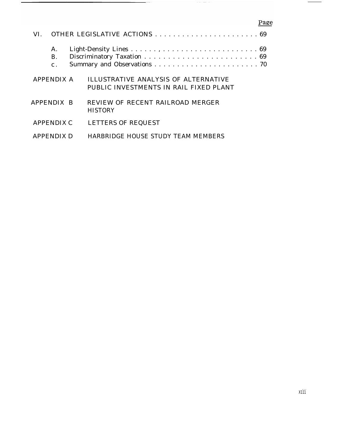|                   | A.<br><b>B.</b><br>$\mathbf{c}$ . |  |                                                                                |  |  |
|-------------------|-----------------------------------|--|--------------------------------------------------------------------------------|--|--|
| APPENDIX A        |                                   |  | ILLUSTRATIVE ANALYSIS OF ALTERNATIVE<br>PUBLIC INVESTMENTS IN RAIL FIXED PLANT |  |  |
| APPENDIX B        |                                   |  | REVIEW OF RECENT RAILROAD MERGER<br><b>HISTORY</b>                             |  |  |
| <b>APPENDIX C</b> |                                   |  | <b>LETTERS OF REQUEST</b>                                                      |  |  |
| <b>APPENDIX D</b> |                                   |  | HARBRIDGE HOUSE STUDY TEAM MEMBERS                                             |  |  |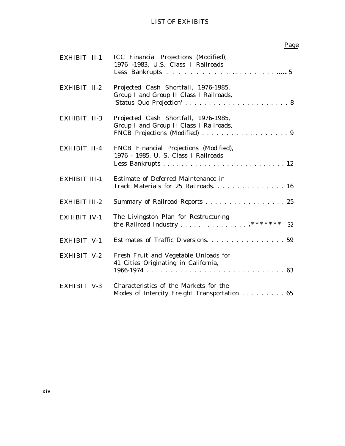### LIST OF EXHIBITS

| EXHIBIT II-1         | ICC Financial Projections (Modified),<br>1976 -1983, U.S. Class I Railroads                                      |
|----------------------|------------------------------------------------------------------------------------------------------------------|
| EXHIBIT II-2         | Projected Cash Shortfall, 1976-1985,<br>Group I and Group II Class I Railroads,                                  |
| EXHIBIT II-3         | Projected Cash Shortfall, 1976-1985,<br>Group I and Group II Class I Railroads,<br>FNCB Projections (Modified) 9 |
| EXHIBIT II-4         | FNCB Financial Projections (Modified),<br>1976 - 1985, U. S. Class I Railroads                                   |
| <b>EXHIBIT III-1</b> | Estimate of Deferred Maintenance in<br>Track Materials for 25 Railroads. 16                                      |
| <b>EXHIBIT III-2</b> | Summary of Railroad Reports 25                                                                                   |
| <b>EXHIBIT IV-1</b>  | The Livingston Plan for Restructuring<br>32                                                                      |
| EXHIBIT V-1          | Estimates of Traffic Diversions. 59                                                                              |
| EXHIBIT V-2          | Fresh Fruit and Vegetable Unloads for<br>41 Cities Originating in California,                                    |
| EXHIBIT V-3          | Characteristics of the Markets for the<br>Modes of Intercity Freight Transportation 65                           |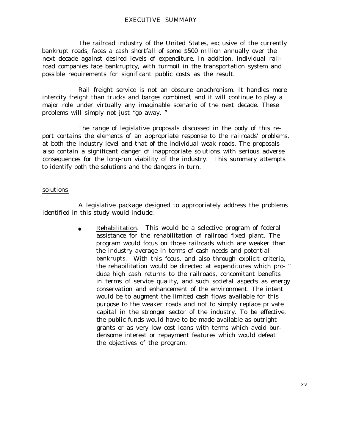#### EXECUTIVE SUMMARY

The railroad industry of the United States, exclusive of the currently bankrupt roads, faces a cash shortfall of some \$500 million annually over the next decade against desired levels of expenditure. In addition, individual railroad companies face bankruptcy, with turmoil in the transportation system and possible requirements for significant public costs as the result.

Rail freight service is not an obscure anachronism. It handles more intercity freight than trucks and barges combined, and it will continue to play a major role under virtually any imaginable scenario of the next decade. These problems will simply not just "go away. "

The range of legislative proposals discussed in the body of this report contains the elements of an appropriate response to the railroads' problems, at both the industry level and that of the individual weak roads. The proposals also contain a significant danger of inappropriate solutions with serious adverse consequences for the long-run viability of the industry. This summary attempts to identify both the solutions and the dangers in turn.

#### solutions

A legislative package designed to appropriately address the problems identified in this study would include:

> Rehabilitation. This would be a selective program of federal assistance for the rehabilitation of railroad fixed plant. The program would focus on those railroads which are weaker than the industry average in terms of cash needs and potential bankrupts. With this focus, and also through explicit criteria, the rehabilitation would be directed at expenditures which pro- " duce high cash returns to the railroads, concomitant benefits in terms of service quality, and such societal aspects as energy conservation and enhancement of the environment. The intent would be to augment the limited cash flows available for this purpose to the weaker roads and not to simply replace private capital in the stronger sector of the industry. To be effective, the public funds would have to be made available as outright grants or as very low cost loans with terms which avoid burdensome interest or repayment features which would defeat the objectives of the program.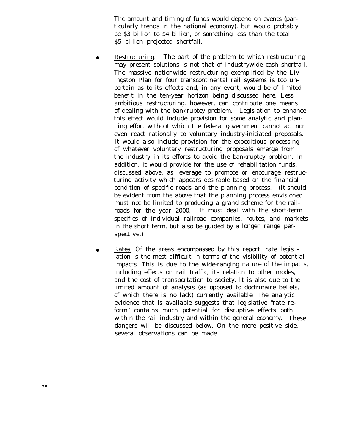The amount and timing of funds would depend on events (particularly trends in the national economy), but would probably be \$3 billion to \$4 billion, or something less than the total \$5 billion projected shortfall.

- Restructuring. The part of the problem to which restructuring may present solutions is not that of industrywide cash shortfall. The massive nationwide restructuring exemplified by the Livingston Plan for four transcontinental rail systems is too uncertain as to its effects and, in any event, would be of limited benefit in the ten-year horizon being discussed here. Less ambitious restructuring, however, can contribute one means of dealing with the bankruptcy problem. Legislation to enhance this effect would include provision for some analytic and planning effort without which the federal government cannot act nor even react rationally to voluntary industry-initiated proposals. It would also include provision for the expeditious processing of whatever voluntary restructuring proposals emerge from the industry in its efforts to avoid the bankruptcy problem. In addition, it would provide for the use of rehabilitation funds, discussed above, as leverage to promote or encourage restructuring activity which appears desirable based on the financial condition of specific roads and the planning process. (It should be evident from the above that the planning process envisioned must not be limited to producing a grand scheme for the railroads for the year 2000. It must deal with the short-term specifics of individual railroad companies, routes, and markets in the short term, but also be guided by a longer range perspective.)
- Rates. Of the areas encompassed by this report, rate legis lation is the most difficult in terms of the visibility of potential impacts. This is due to the wide-ranging nature of the impacts, including effects on rail traffic, its relation to other modes, and the cost of transportation to society. It is also due to the limited amount of analysis (as opposed to doctrinaire beliefs, of which there is no lack) currently available. The analytic evidence that is available suggests that legislative "rate reform" contains much potential for disruptive effects both within the rail industry and within the general economy. These dangers will be discussed below. On the more positive side, several observations can be made.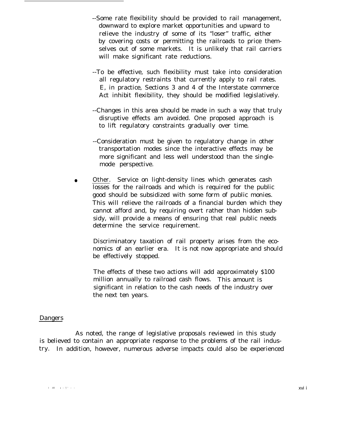- --Some rate flexibility should be provided to rail management, downward to explore market opportunities and upward to relieve the industry of some of its "loser" traffic, either by covering costs or permitting the railroads to price themselves out of some markets. It is unlikely that rail carriers will make significant rate reductions.
- --To be effective, such flexibility must take into consideration all regulatory restraints that currently apply to rail rates. E, in practice, Sections 3 and 4 of the Interstate commerce Act inhibit flexibility, they should be modified legislatively.
- --Changes in this area should be made in such a way that truly disruptive effects am avoided. One proposed approach is to lift regulatory constraints gradually over time.
- --Consideration must be given to regulatory change in other transportation modes since the interactive effects may be more significant and less well understood than the singlemode perspective.
- Other. Service on light-density lines which generates cash losses for the railroads and which is required for the public good should be subsidized with some form of public monies. This will relieve the railroads of a financial burden which they cannot afford and, by requiring overt rather than hidden subsidy, will provide a means of ensuring that real public needs determine the service requirement.

Discriminatory taxation of rail property arises from the economics of an earlier era. It is not now appropriate and should be effectively stopped.

The effects of these two actions will add approximately \$100 million annually to railroad cash flows. This amount is significant in relation to the cash needs of the industry over the next ten years.

#### Dangers

As noted, the range of legislative proposals reviewed in this study is believed to contain an appropriate response to the problems of the rail industry. In addition, however, numerous adverse impacts could also be experienced

I -Ill I -i - 77 - - **xvi i** - **xvi** i - **xvi** i - **xvi i - xvi i - xvi i - xvi i - xvi i - xvi i - xvi i - xvi i - xvi i - xvi i - xvi i - xvi i - xvi i - xvi i - xvi i - xvi i - xvi i - xvi i - xvi i - xvi i - xvi i - xv**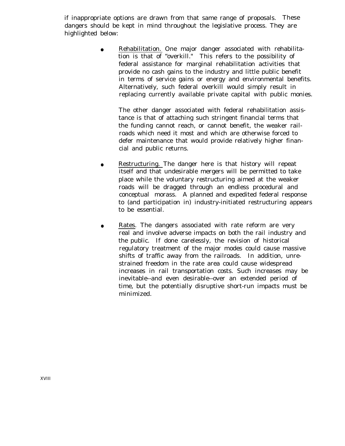if inappropriate options are drawn from that same range of proposals. These dangers should be kept in mind throughout the legislative process. They are highlighted below:

> Rehabilitation. One major danger associated with rehabilitation is that of "overkill." This refers to the possibility of federal assistance for marginal rehabilitation activities that provide no cash gains to the industry and little public benefit in terms of service gains or energy and environmental benefits. Alternatively, such federal overkill would simply result in replacing currently available private capital with public monies.

The other danger associated with federal rehabilitation assistance is that of attaching such stringent financial terms that the funding cannot reach, or cannot benefit, the weaker railroads which need it most and which are otherwise forced to defer maintenance that would provide relatively higher financial and public returns.

- Restructuring. The danger here is that history will repeat itself and that undesirable mergers will be permitted to take place while the voluntary restructuring aimed at the weaker roads will be dragged through an endless procedural and conceptual morass. A planned and expedited federal response to (and participation in) industry-initiated restructuring appears to be essential.
- Rates. The dangers associated with rate reform are very real and involve adverse impacts on both the rail industry and the public. If done carelessly, the revision of historical regulatory treatment of the major modes could cause massive shifts of traffic away from the railroads. In addition, unrestrained freedom in the rate area could cause widespread increases in rail transportation costs. Such increases may be inevitable--and even desirable--over an extended period of time, but the potentially disruptive short-run impacts must be minimized.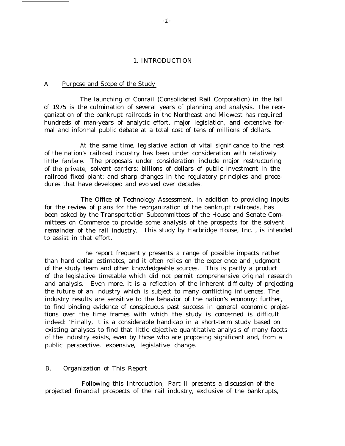#### 1. INTRODUCTION

#### A Purpose and Scope of the Study

The launching of Conrail (Consolidated Rail Corporation) in the fall of 1975 is the culmination of several years of planning and analysis. The reorganization of the bankrupt railroads in the Northeast and Midwest has required hundreds of man-years of analytic effort, major legislation, and extensive formal and informal public debate at a total cost of tens of millions of dollars.

At the same time, legislative action of vital significance to the rest of the nation's railroad industry has been under consideration with relatively little fanfare. The proposals under consideration include major restructuring of the private, solvent carriers; billions of dollars of public investment in the railroad fixed plant; and sharp changes in the regulatory principles and procedures that have developed and evolved over decades.

The Office of Technology Assessment, in addition to providing inputs for the review of plans for the reorganization of the bankrupt railroads, has been asked by the Transportation Subcommittees of the House and Senate Committees on Commerce to provide some analysis of the prospects for the solvent remainder of the rail industry. This study by Harbridge House, Inc. , is intended to assist in that effort.

The report frequently presents a range of possible impacts rather than hard dollar estimates, and it often relies on the experience and judgment of the study team and other knowledgeable sources. This is partly a product of the legislative timetable which did not permit comprehensive original research and analysis. Even more, it is a reflection of the inherent difficulty of projecting the future of an industry which is subject to many conflicting influences. The industry results are sensitive to the behavior of the nation's economy; further, to find binding evidence of conspicuous past success in general economic projections over the time frames with which the study is concerned is difficult indeed: Finally, it is a considerable handicap in a short-term study based on existing analyses to find that little objective quantitative analysis of many facets of the industry exists, even by those who are proposing significant and, from a public perspective, expensive, legislative change.

#### B. Organization of This Report

Following this Introduction, Part II presents a discussion of the projected financial prospects of the rail industry, exclusive of the bankrupts,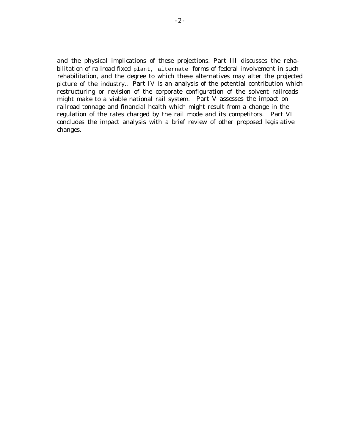and the physical implications of these projections. Part III discusses the rehabilitation of railroad fixed plant, alternate forms of federal involvement in such rehabilitation, and the degree to which these alternatives may alter the projected picture of the industry.. Part IV is an analysis of the potential contribution which restructuring or revision of the corporate configuration of the solvent railroads might make to a viable national rail system. Part V assesses the impact on railroad tonnage and financial health which might result from a change in the regulation of the rates charged by the rail mode and its competitors. Part VI concludes the impact analysis with a brief review of other proposed legislative changes.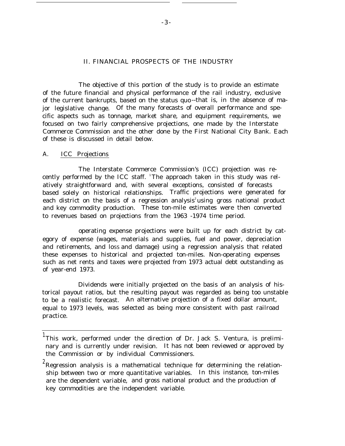#### II. FINANCIAL PROSPECTS OF THE INDUSTRY

The objective of this portion of the study is to provide an estimate of the future financial and physical performance of the rail industry, exclusive of the current bankrupts, based on the status quo --that is, in the absence of major legislative change. Of the many forecasts of overall performance and specific aspects such as tonnage, market share, and equipment requirements, we focused on two fairly comprehensive projections, one made by the Interstate Commerce Commission and the other done by the First National City Bank. Each of these is discussed in detail below.

#### A. ICC Projections

The Interstate Commerce Commission's (ICC) projection was recently performed by the ICC staff. 'The approach taken in this study was relatively straightforward and, with several exceptions, consisted of forecasts based solely on historical relationships. Traffic projections were generated for each district on the basis of a regression analysis<sup>2</sup>using gross national product and key commodity production. These ton-mile estimates were then converted to revenues based on projections from the 1963 -1974 time period.

operating expense projections were built up for each district by category of expense (wages, materials and supplies, fuel and power, depreciation and retirements, and loss and damage) using a regression analysis that related these expenses to historical and projected ton-miles. Non-operating expenses such as net rents and taxes were projected from 1973 actual debt outstanding as of year-end 1973.

Dividends were initially projected on the basis of an analysis of historical payout ratios, but the resulting payout was regarded as being too unstable to be a realistic forecast. An alternative projection of a fixed dollar amount, equal to 1973 levels, was selected as being more consistent with past railroad practice.

<sup>&</sup>lt;sup>1</sup>This work, performed under the direction of Dr. Jack S. Ventura, is preliminary and is currently under revision. It has not been reviewed or approved by the Commission or by individual Commissioners.

 $2$ Regression analysis is a mathematical technique for determining the relationship between two or more quantitative variables. In this instance, ton-miles are the dependent variable, and gross national product and the production of key commodities are the independent variable.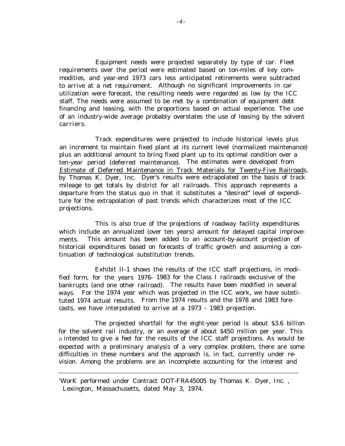Equipment needs were projected separately by type of car. Fleet requirements over the period were estimated based on ton-miles of key commodities, and year-end 1973 cars less anticipated retirements were subtracted to arrive at a net requirement. Although no significant improvements in car utilization were forecast, the resulting needs were regarded as low by the ICC staff. The needs were assumed to be met by a combination of equipment debt financing and leasing, with the proportions based on actual experience. The use of an industry-wide average probably overstates the use of leasing by the solvent carriers.

Track expenditures were projected to include historical levels plus an increment to maintain fixed plant at its current level (normalized maintenance) plus an additional amount to bring fixed plant up to its optimal condition over a ten-year period (deferred maintenance). The estimates were developed from Estimate of Deferred Maintenance in Track Materials for Twenty-Five Railroads, by Thomas K. Dyer, Inc. Dyer's results were extrapolated on the basis of track mileage to get totals by district for all railroads. This approach represents a departure from the status quo in that it substitutes a "desired" level of expenditure for the extrapolation of past trends which characterizes most of the ICC projections.

This is also true of the projections of roadway facility expenditures which include an annualized (over ten years) amount for delayed capital improvements. This amount has been added to an account-by-account projection of historical expenditures based on forecasts of traffic growth and assuming a continuation of technological substitution trends.

Exhibit II-1 shows the results of the ICC staff projections, in modified form, for the years 1976- 1983 for the Class I railroads exclusive of the bankrupts (and one other railroad). The results have been modified in several ways. For the 1974 year which was projected in the ICC work, we have substituted 1974 actual results. From the 1974 results and the 1978 and 1983 forecasts, we have interpolated to arrive at a 1973 - 1983 projection.

The projected shortfall for the eight-year period is about \$3.6 billion for the solvent rail industry, or an average of about \$450 million per year. This is intended to give a feel for the results of the ICC staff projections. As would be expected with a preliminary analysis of a very complex problem, there are some difficulties in these numbers and the approach is, in fact, currently under revision. Among the problems are an incomplete accounting for the interest and

<sup>1</sup>WorK performed under Contract DOT-FRA45005 by Thomas K. Dyer, Inc. , Lexington, Massachusetts, dated May 3, 1974.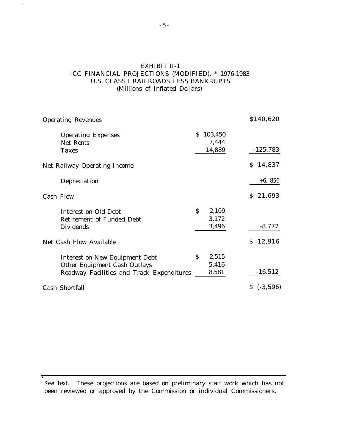### EXHIBIT II-1 ICC FINANCIAL PROJECTIONS (MODIFIED), \* 1976-1983 U.S. CLASS I RAILROADS LESS BANKRUPTS (Millions of Inflated Dollars)

| <b>Operating Revenues</b>                 | \$140,620                   |            |
|-------------------------------------------|-----------------------------|------------|
| <b>Operating Expenses</b>                 | 103,450<br>S.               |            |
| Net Rents                                 | 7,444                       |            |
| <b>Taxes</b>                              | 14,889                      | $-125.783$ |
| <b>Net Railway Operating Income</b>       |                             | \$14,837   |
| Depreciation                              |                             | $+6, 856$  |
| <b>Cash Flow</b>                          |                             | \$21,693   |
| Interest on Old Debt                      | $\mathsf{\hat{S}}$<br>2,109 |            |
| <b>Retirement of Funded Debt</b>          | 3,172                       |            |
| <b>Dividends</b>                          | 3,496                       | $-8.777$   |
| Net Cash Flow Available                   |                             | \$12,916   |
| <b>Interest on New Equipment Debt</b>     | \$<br>2,515                 |            |
| <b>Other Equipment Cash Outlays</b>       | 5,416                       |            |
| Roadway Facilities and Track Expenditures | 8,581                       | $-16.512$  |
| Cash Shortfall                            |                             | \$(.3,596) |

See text. These projections are based on preliminary staff work which has not been reviewed or approved by the Commission or individual Commissioners.

\*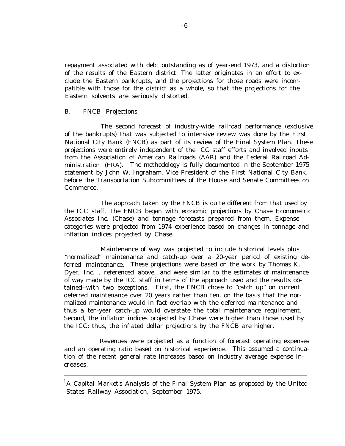repayment associated with debt outstanding as of year-end 1973, and a distortion of the results of the Eastern district. The latter originates in an effort to exclude the Eastern bankrupts, and the projections for those roads were incompatible with those for the district as a whole, so that the projections for the Eastern solvents are seriously distorted.

#### B. FNCB Projections

The second forecast of industry-wide railroad performance (exclusive of the bankrupts) that was subjected to intensive review was done by the First National City Bank (FNCB) as part of its review of the Final System Plan. These projections were entirely independent of the ICC staff efforts and involved inputs from the Association of American Railroads (AAR) and the Federal Railroad Administration (FRA). The methodology is fully documented in the September 1975 statement by John W. Ingraham, Vice President of the First National City Bank, before the Transportation Subcommittees of the House and Senate Committees on Commerce.

The approach taken by the FNCB is quite different from that used by the ICC staff. The FNCB began with economic projections by Chase Econometric Associates Inc. (Chase) and tonnage forecasts prepared from them. Expense categories were projected from 1974 experience based on changes in tonnage and inflation indices projected by Chase.

Maintenance of way was projected to include historical levels plus "normalized" maintenance and catch-up over a 20-year period of existing deferred maintenance. These projections were based on the work by Thomas K. Dyer, Inc. , referenced above, and were similar to the estimates of maintenance of way made by the ICC staff in terms of the approach used and the results obtained--with two exceptions. First, the FNCB chose to "catch up" on current deferred maintenance over 20 years rather than ten, on the basis that the normalized maintenance would in fact overlap with the deferred maintenance and thus a ten-year catch-up would overstate the total maintenance requirement. Second, the inflation indices projected by Chase were higher than those used by the ICC; thus, the inflated dollar projections by the FNCB are higher.

Revenues were projected as a function of forecast operating expenses and an operating ratio based on historical experience. This assumed a continuation of the recent general rate increases based on industry average expense increases.

 $1A$  Capital Market's Analysis of the Final System Plan as proposed by the United States Railway Association, September 1975.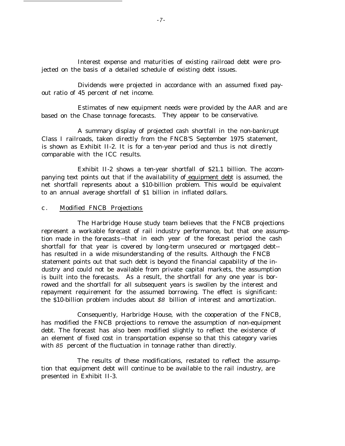Interest expense and maturities of existing railroad debt were projected on the basis of a detailed schedule of existing debt issues.

Dividends were projected in accordance with an assumed fixed payout ratio of 45 percent of net income.

Estimates of new equipment needs were provided by the AAR and are based on the Chase tonnage forecasts. They appear to be conservative.

A summary display of projected cash shortfall in the non-bankrupt Class I railroads, taken directly from the FNCB'S September 1975 statement, is shown as Exhibit II-2. It is for a ten-year period and thus is not directly comparable with the ICC results.

Exhibit II-2 shows a ten-year shortfall of \$21.1 billion. The accompanying text points out that if the availability of equipment debt is assumed, the net shortfall represents about a \$10-billion problem. This would be equivalent to an annual average shortfall of \$1 billion in inflated dollars.

#### c . Modified FNCB Projections

The Harbridge House study team believes that the FNCB projections represent a workable forecast of rail industry performance, but that one assumption made in the forecasts --that in each year of the forecast period the cash shortfall for that year is covered by long-term unsecured or mortgaged debt- has resulted in a wide misunderstanding of the results. Although the FNCB statement points out that such debt is beyond the financial capability of the industry and could not be available from private capital markets, the assumption is built into the forecasts. As a result, the shortfall for any one year is borrowed and the shortfall for all subsequent years is swollen by the interest and repayment requirement for the assumed borrowing. The effect is significant: the \$10-billion problem includes about \$8 billion of interest and amortization.

Consequently, Harbridge House, with the cooperation of the FNCB, has modified the FNCB projections to remove the assumption of non-equipment debt. The forecast has also been modified slightly to reflect the existence of an element of fixed cost in transportation expense so that this category varies with 85 percent of the fluctuation in tonnage rather than directly.

The results of these modifications, restated to reflect the assumption that equipment debt will continue to be available to the rail industry, are presented in Exhibit II-3.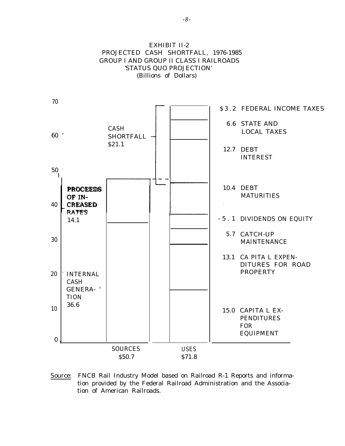

#### Source: FNCB Rail Industry Model based on Railroad R-1 Reports and information provided by the Federal Railroad Administration and the Association of American Railroads.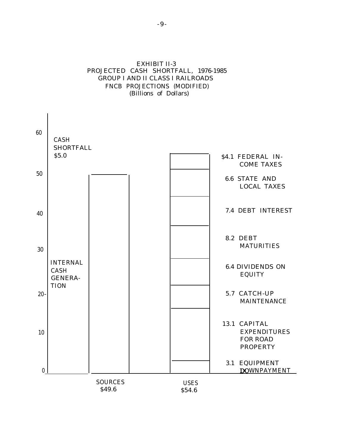### EXHIBIT II-3 PROJECTED CASH SHORTFALL, 1976-1985 GROUP I AND II CLASS I RAILROADS FNCB PROJECTIONS (MODIFIED) (Billions of Dollars)

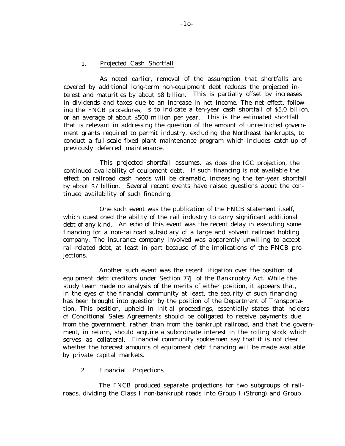#### 1. Projected Cash Shortfall

As noted earlier, removal of the assumption that shortfalls are covered by additional long-term non-equipment debt reduces the projected interest and maturities by about \$8 billion. This is partially offset by increases in dividends and taxes due to an increase in net income. The net effect, following the FNCB procedures, is to indicate a ten-year cash shortfall of \$5.0 billion, or an average of about \$500 million per year. This is the estimated shortfall that is relevant in addressing the question of the amount of unrestricted government grants required to permit industry, excluding the Northeast bankrupts, to conduct a full-scale fixed plant maintenance program which includes catch-up of previously deferred maintenance.

This projected shortfall assumes, as does the ICC projection, the continued availability of equipment debt. If such financing is not available the effect on railroad cash needs will be dramatic, increasing the ten-year shortfall by about \$7 billion. Several recent events have raised questions about the continued availability of such financing.

One such event was the publication of the FNCB statement itself, which questioned the ability of the rail industry to carry significant additional debt of any kind. An echo of this event was the recent delay in executing some financing for a non-railroad subsidiary of a large and solvent railroad holding company. The insurance company involved was apparently unwilling to accept rail-related debt, at least in part because of the implications of the FNCB projections.

Another such event was the recent litigation over the position of equipment debt creditors under Section 77J of the Bankruptcy Act. While the study team made no analysis of the merits of either position, it appears that, in the eyes of the financial community at least, the security of such financing has been brought into question by the position of the Department of Transportation. This position, upheld in initial proceedings, essentially states that holders of Conditional Sales Agreements should be obligated to receive payments due from the government, rather than from the bankrupt railroad, and that the government, in return, should acquire a subordinate interest in the rolling stock which serves as collateral. Financial community spokesmen say that it is not clear whether the forecast amounts of equipment debt financing will be made available by private capital markets.

#### 2. Financial Projections

The FNCB produced separate projections for two subgroups of railroads, dividing the Class I non-bankrupt roads into Group I (Strong) and Group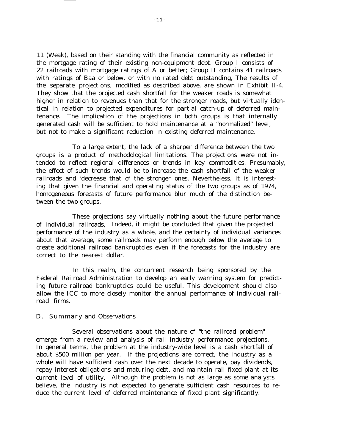11 (Weak), based on their standing with the financial community as reflected in the mortgage rating of their existing non-equipment debt. Group I consists of 22 railroads with mortgage ratings of A or better; Group II contains 41 railroads with ratings of Baa or below, or with no rated debt outstanding, The results of the separate projections, modified as described above, are shown in Exhibit II-4. They show that the projected cash shortfall for the weaker roads is somewhat higher in relation to revenues than that for the stronger roads, but virtually identical in relation to projected expenditures for partial catch-up of deferred maintenance. The implication of the projections in both groups is that internally generated cash will be sufficient to hold maintenance at a "normalized" level, but not to make a significant reduction in existing deferred maintenance.

To a large extent, the lack of a sharper difference between the two groups is a product of methodological limitations. The projections were not intended to reflect regional differences or trends in key commodities. Presumably, the effect of such trends would be to increase the cash shortfall of the weaker railroads and 'decrease that of the stronger ones. Nevertheless, it is interesting that given the financial and operating status of the two groups as of 1974, homogeneous forecasts of future performance blur much of the distinction between the two groups.

These projections say virtually nothing about the future performance of individual railroads, Indeed, it might be concluded that given the projected performance of the industry as a whole, and the certainty of individual variances about that average, some railroads may perform enough below the average to create additional railroad bankruptcies even if the forecasts for the industry are correct to the nearest dollar.

In this realm, the concurrent research being sponsored by the Federal Railroad Administration to develop an early warning system for predicting future railroad bankruptcies could be useful. This development should also allow the ICC to more closely monitor the annual performance of individual railroad firms.

#### D. Summary and Observations

Several observations about the nature of "the railroad problem" emerge from a review and analysis of rail industry performance projections. In general terms, the problem at the industry-wide level is a cash shortfall of about \$500 million per year. If the projections are correct, the industry as a whole will have sufficient cash over the next decade to operate, pay dividends, repay interest obligations and maturing debt, and maintain rail fixed plant at its current level of utility. Although the problem is not as large as some analysts believe, the industry is not expected to generate sufficient cash resources to reduce the current level of deferred maintenance of fixed plant significantly.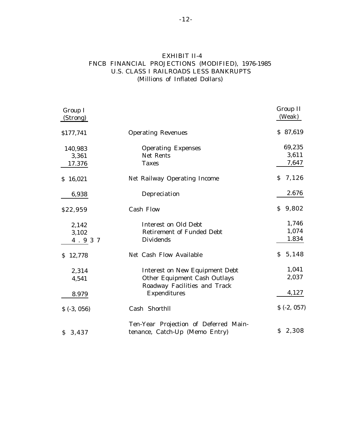### EXHIBIT II-4 FNCB FINANCIAL PROJECTIONS (MODIFIED), 1976-1985 U.S. CLASS I RAILROADS LESS BANKRUPTS (Millions of Inflated Dollars)

| Group I<br>(Strong) |                                       | Group II<br>(Weak) |
|---------------------|---------------------------------------|--------------------|
| \$177,741           | <b>Operating Revenues</b>             | \$87,619           |
| 140,983             | <b>Operating Expenses</b>             | 69,235             |
| 3,361               | Net Rents                             | 3,611              |
| 17.376              | <b>Taxes</b>                          | 7,647              |
| \$16,021            | Net Railway Operating Income          | 7,126<br>S.        |
| 6,938               | Depreciation                          | 2.676              |
| \$22,959            | <b>Cash Flow</b>                      | 9,802<br>S.        |
| 2,142               | <b>Interest on Old Debt</b>           | 1,746              |
| 3,102               | <b>Retirement of Funded Debt</b>      | 1,074              |
| 4.937               | <b>Dividends</b>                      | 1.834              |
| 12,778<br>S.        | Net Cash Flow Available               | 5,148<br>\$        |
| 2,314               | <b>Interest on New Equipment Debt</b> | 1,041              |
| 4,541               | Other Equipment Cash Outlays          | 2,037              |
|                     | Roadway Facilities and Track          | 4,127              |
| 8.979               | <b>Expenditures</b>                   |                    |
| \$(.3, 056)         | Cash Shorthll                         | \$(.2, 057)        |
|                     | Ten-Year Projection of Deferred Main- |                    |
| \$3,437             | tenance, Catch-Up (Memo Entry)        | \$2,308            |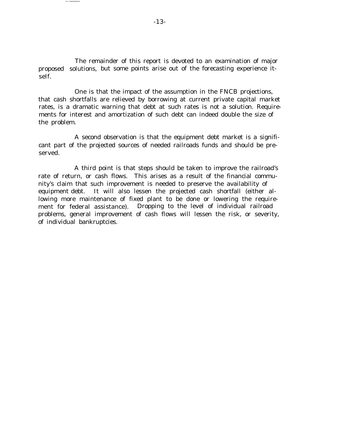The remainder of this report is devoted to an examination of major proposed solutions, but some points arise out of the forecasting experience itself.

One is that the impact of the assumption in the FNCB projections, that cash shortfalls are relieved by borrowing at current private capital market rates, is a dramatic warning that debt at such rates is not a solution. Requirements for interest and amortization of such debt can indeed double the size of the problem.

A second observation is that the equipment debt market is a significant part of the projected sources of needed railroads funds and should be preserved.

A third point is that steps should be taken to improve the railroad's rate of return, or cash flows. This arises as a result of the financial community's claim that such improvement is needed to preserve the availability of equipment debt. It will also lessen the projected cash shortfall (either allowing more maintenance of fixed plant to be done or lowering the requirement for federal assistance). Dropping to the level of individual railroad problems, general improvement of cash flows will lessen the risk, or severity, of individual bankruptcies.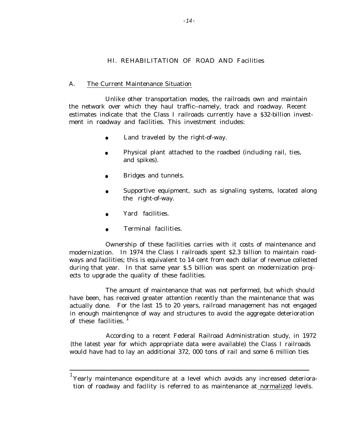#### HI. REHABILITATION OF ROAD AND Facilities

#### A. The Current Maintenance Situation

Unlike other transportation modes, the railroads own and maintain the network over which they haul traffic--namely, track and roadway. Recent estimates indicate that the Class I railroads currently have a \$32-billion investment in roadway and facilities. This investment includes:

- Land traveled by the right-of-way.
- Physical plant attached to the roadbed (including rail, ties, and spikes).
- Bridges and tunnels.
- Supportive equipment, such as signaling systems, located along the right-of-way.
- Yard facilities.
- Terminal facilities.

Ownership of these facilities carries with it costs of maintenance and modernization. In 1974 the Class I railroads spent \$2.3 billion to maintain roadways and facilities; this is equivalent to 14 cent from each dollar of revenue collected during that year. In that same year \$.5 billion was spent on modernization projects to upgrade the quality of these facilities.

The amount of maintenance that was not performed, but which should have been, has received greater attention recently than the maintenance that was actually done. For the last 15 to 20 years, railroad management has not engaged in enough maintenance of way and structures to avoid the aggregate deterioration of these facilities.  $\frac{1}{1}$ 

According to a recent Federal Railroad Administration study, in 1972 (the latest year for which appropriate data were available) the Class I railroads would have had to lay an additional 372, 000 tons of rail and some 6 million ties

 $^{\rm 1}$ Yearly maintenance expenditure at a level which avoids any increased deterioration of roadway and facility is referred to as maintenance at normalized levels.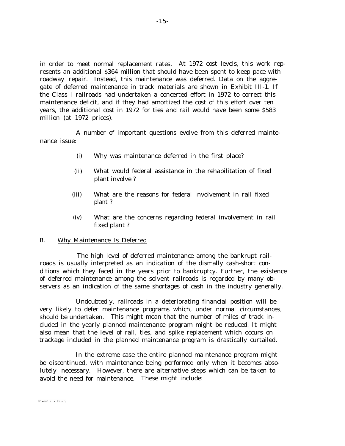in order to meet normal replacement rates. At 1972 cost levels, this work represents an additional \$364 million that should have been spent to keep pace with roadway repair. Instead, this maintenance was deferred. Data on the aggregate of deferred maintenance in track materials are shown in Exhibit III-1. If the Class I railroads had undertaken a concerted effort in 1972 to correct this maintenance deficit, and if they had amortized the cost of this effort over ten years, the additional cost in 1972 for ties and rail would have been some \$583 million (at 1972 prices).

A number of important questions evolve from this deferred maintenance issue:

- (i) Why was maintenance deferred in the first place?
- (ii) What would federal assistance in the rehabilitation of fixed plant involve ?
- (iii) What are the reasons for federal involvement in rail fixed plant ?
- (iv) What are the concerns regarding federal involvement in rail fixed plant ?

#### B. Why Maintenance Is Deferred

The high level of deferred maintenance among the bankrupt railroads is usually interpreted as an indication of the dismally cash-short conditions which they faced in the years prior to bankruptcy. Further, the existence of deferred maintenance among the solvent railroads is regarded by many observers as an indication of the same shortages of cash in the industry generally.

Undoubtedly, railroads in a deteriorating financial position will be very likely to defer maintenance programs which, under normal circumstances, should be undertaken. This might mean that the number of miles of track included in the yearly planned maintenance program might be reduced. It might also mean that the level of rail, ties, and spike replacement which occurs on trackage included in the planned maintenance program is drastically curtailed.

In the extreme case the entire planned maintenance program might be discontinued, with maintenance being performed only when it becomes absolutely necessary. However, there are alternative steps which can be taken to avoid the need for maintenance. These might include: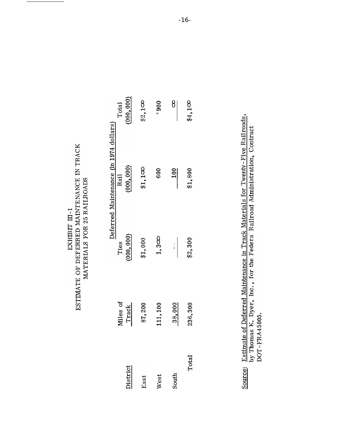| ESTIMATE OF DEFERRED MAINTENANCE IN TRACK<br>EXHIBIT II-1 | MATERIALS FOR 25 RAILROADS |
|-----------------------------------------------------------|----------------------------|
|-----------------------------------------------------------|----------------------------|

Estimate of Deferred Maintenance in Track Materials for Twenty-Five Railroads, by Thomas K. Dyer, Inc., for the Federa Railroad Administration, Contract DOT-FRA45005. Source: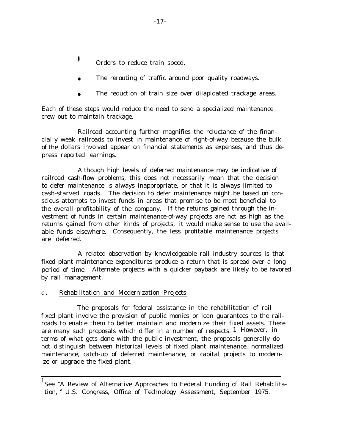- **•** Orders to reduce train speed.
- The rerouting of traffic around poor quality roadways.
- The reduction of train size over dilapidated trackage areas.

Each of these steps would reduce the need to send a specialized maintenance crew out to maintain trackage.

cially weak railroads to invest in maintenance of right-of-way because the bulk of the dollars involved appear on financial statements as expenses, and thus depress reported earnings. Railroad accounting further magnifies the reluctance of the finan-

Although high levels of deferred maintenance may be indicative of railroad cash-flow problems, this does not necessarily mean that the decision to defer maintenance is always inappropriate, or that it is always limited to cash-starved roads. The decision to defer maintenance might be based on conscious attempts to invest funds in areas that promise to be most beneficial to the overall profitability of the company. If the returns gained through the investment of funds in certain maintenance-of-way projects are not as high as the returns gained from other kinds of projects, it would make sense to use the available funds elsewhere. Consequently, the less profitable maintenance projects are deferred.

A related observation by knowledgeable rail industry sources is that fixed plant maintenance expenditures produce a return that is spread over a long period of time. Alternate projects with a quicker payback are likely to be favored by rail management.

#### c . Rehabilitation and Modernization Projects

The proposals for federal assistance in the rehabilitation of rail fixed plant involve the provision of public monies or loan guarantees to the railroads to enable them to better maintain and modernize their fixed assets. There are many such proposals which differ in a number of respects. 1 However, in terms of what gets done with the public investment, the proposals generally do not distinguish between historical levels of fixed plant maintenance, normalized maintenance, catch-up of deferred maintenance, or capital projects to modernize or upgrade the fixed plant.

<sup>&</sup>lt;sup>1</sup> See "A Review of Alternative Approaches to Federal Funding of Rail Rehabilitation, '<sup>f</sup> U.S. Congress, Office of Technology Assessment, September 1975.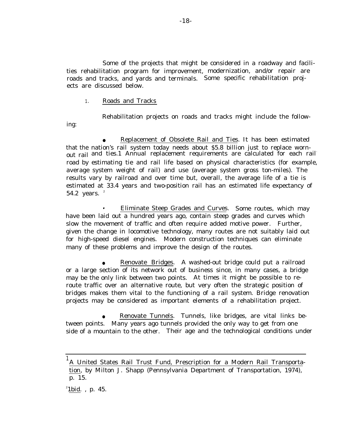Some of the projects that might be considered in a roadway and facilities rehabilitation program for improvement, modernization, and/or repair are roads and tracks, and yards and terminals. Some specific rehabilitation projects are discussed below.

1. Roads and Tracks

ing:

Rehabilitation projects on roads and tracks might include the follow-

Replacement of Obsolete Rail and Ties. It has been estimated that the nation's rail system today needs about \$5.8 billion just to replace wornout rail and ties.1 Annual replacement requirements are calculated for each railroad by estimating tie and rail life based on physical characteristics (for example, average system weight of rail) and use (average system gross ton-miles). The results vary by railroad and over time but, overall, the average life of a tie is estimated at 33.4 years and two-position rail has an estimated life expectancy of 54.2 years. <sup>2</sup>

• Eliminate Steep Grades and Curves. Some routes, which may have been laid out a hundred years ago, contain steep grades and curves which slow the movement of traffic and often require added motive power. Further, given the change in locomotive technology, many routes are not suitably laid out for high-speed diesel engines. Modern construction techniques can eliminate many of these problems and improve the design of the routes.

Renovate Bridges. A washed-out bridge could put a railroad or a large section of its network out of business since, in many cases, a bridge may be the only link between two points. At times it might be possible to reroute traffic over an alternative route, but very often the strategic position of bridges makes them vital to the functioning of a rail system. Bridge renovation projects may be considered as important elements of a rehabilitation project.

Renovate Tunnels. Tunnels, like bridges, are vital links between points. Many years ago tunnels provided the only way to get from one side of a mountain to the other. Their age and the technological conditions under

<sup>&</sup>lt;sup>1</sup>A United States Rail Trust Fund, Prescription for a Modern Rail Transportation, by Milton J. Shapp (Pennsylvania Department of Transportation, 1974), p. 15.

 $^{2}$ 1 bid., p. 45.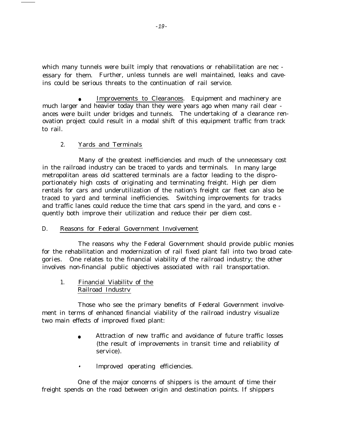which many tunnels were built imply that renovations or rehabilitation are nec essary for them. Further, unless tunnels are well maintained, leaks and caveins could be serious threats to the continuation of rail service.

Improvements to Clearances. Equipment and machinery are much larger and heavier today than they were years ago when many rail clear ances were built under bridges and tunnels. The undertaking of a clearance renovation project could result in a modal shift of this equipment traffic from track to rail.

#### 2. Yards and Terminals

Many of the greatest inefficiencies and much of the unnecessary cost in the railroad industry can be traced to yards and terminals. In many large metropolitan areas old scattered terminals are a factor leading to the dispro– portionately high costs of originating and terminating freight. High per diem rentals for cars and underutilization of the nation's freight car fleet can also be traced to yard and terminal inefficiencies. Switching improvements for tracks and traffic lanes could reduce the time that cars spend in the yard, and cons e quently both improve their utilization and reduce their per diem cost.

#### D. Reasons for Federal Government Involvement

The reasons why the Federal Government should provide public monies for the rehabilitation and modernization of rail fixed plant fall into two broad categories. One relates to the financial viability of the railroad industry; the other involves non-financial public objectives associated with rail transportation.

1. Financial Viabilitv of the Railroad Industrv

Those who see the primary benefits of Federal Government involvement in terms of enhanced financial viability of the railroad industry visualize two main effects of improved fixed plant:

- Attraction of new traffic and avoidance of future traffic losses (the result of improvements in transit time and reliability of service).
- lmproved operating efficiencies.

One of the major concerns of shippers is the amount of time their freight spends on the road between origin and destination points. If shippers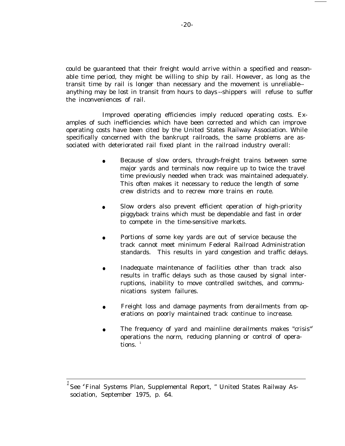could be guaranteed that their freight would arrive within a specified and reasonable time period, they might be willing to ship by rail. However, as long as the transit time by rail is longer than necessary and the movement is unreliable- anything may be lost in transit from hours to days --shippers will refuse to suffer the inconveniences of rail.

Improved operating efficiencies imply reduced operating costs. Examples of such inefficiencies which have been corrected and which can improve operating costs have been cited by the United States Railway Association. While specifically concerned with the bankrupt railroads, the same problems are associated with deteriorated rail fixed plant in the railroad industry overall:

- Because of slow orders, through-freight trains between some major yards and terminals now require up to twice the travel time previously needed when track was maintained adequately. This often makes it necessary to reduce the length of some crew districts and to recrew more trains en route.
- Slow orders also prevent efficient operation of high-priority piggyback trains which must be dependable and fast in order to compete in the time-sensitive markets.
- Portions of some key yards are out of service because the track cannot meet minimum Federal Railroad Administration standards. This results in yard congestion and traffic delays.
- Inadequate maintenance of facilities other than track also results in traffic delays such as those caused by signal interruptions, inability to move controlled switches, and communications system failures.
- Freight loss and damage payments from derailments from operations on poorly maintained track continue to increase.
- The frequency of yard and mainline derailments makes "crisis" operations the norm, reducing planning or control of operations.  $1$

See "Final Systems Plan, Supplemental Report, " United States Railway Association, September 1975, p. 64.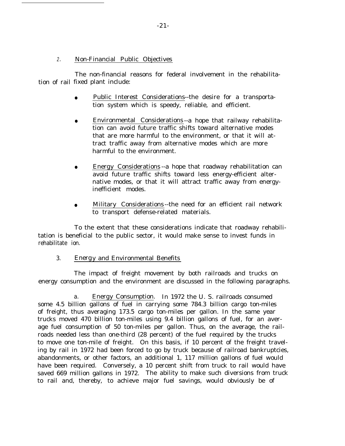#### 2. Non-Financial Public Objectives

tion of rail fixed plant include: The non-financial reasons for federal involvement in the rehabilita-

- Public Interest Considerations--the desire for a transportation system which is speedy, reliable, and efficient.
- Environmental Considerations --a hope that railway rehabilitation can avoid future traffic shifts toward alternative modes that are more harmful to the environment, or that it will attract traffic away from alternative modes which are more harmful to the environment.
- Energy Considerations --a hope that roadway rehabilitation can avoid future traffic shifts toward less energy-efficient alternative modes, or that it will attract traffic away from energyinefficient modes.
- Military Considerations --the need for an efficient rail network to transport defense-related materials.

To the extent that these considerations indicate that roadway rehabilitation is beneficial to the public sector, it would make sense to invest funds in rehabilitate ion.

3. Energy and Environmental Benefits

The impact of freight movement by both railroads and trucks on energy consumption and the environment are discussed in the following paragraphs.

a. Energy Consumption. In 1972 the U. S. railroads consumed some 4.5 billion gallons of fuel in carrying some 784.3 billion cargo ton-miles of freight, thus averaging 173.5 cargo ton-miles per gallon. In the same year trucks moved 470 billion ton-miles using 9.4 billion gallons of fuel, for an average fuel consumption of 50 ton-miles per gallon. Thus, on the average, the railroads needed less than one-third (28 percent) of the fuel required by the trucks to move one ton-mile of freight. On this basis, if 10 percent of the freight traveling by rail in 1972 had been forced to go by truck because of railroad bankruptcies, abandonments, or other factors, an additional 1, 117 million gallons of fuel would have been required. Conversely, a 10 percent shift from truck to rail would have saved 669 million gallons in 1972. The ability to make such diversions from truck to rail and, thereby, to achieve major fuel savings, would obviously be of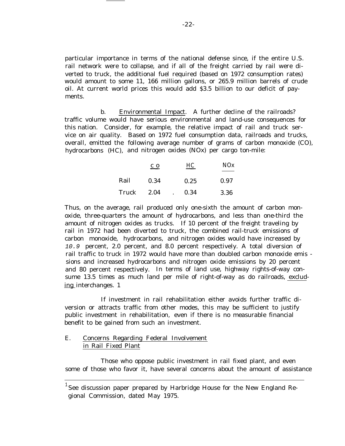particular importance in terms of the national defense since, if the entire U.S. rail network were to collapse, and if all of the freight carried by rail were diverted to truck, the additional fuel required (based on 1972 consumption rates) would amount to some 11, 166 million gallons, or 265.9 million barrels of crude oil. At current world prices this would add \$3.5 billion to our deficit of payments.

b. Environmental Impact. A further decline of the railroads? traffic volume would have serious environmental and land-use consequences for this nation. Consider, for example, the relative impact of rail and truck service on air quality. Based on 1972 fuel consumption data, railroads and trucks, overall, emitted the following average number of grams of carbon monoxide (CO), hydrocarbons (HC), and nitrogen oxides (NOx) per cargo ton-mile:

|       | $\overline{c}$ o | HС   | NOx  |
|-------|------------------|------|------|
| Rail  | 0.34             | 0.25 | 0.97 |
| Truck | 2.04             | 0.34 | 3.36 |

Thus, on the average, rail produced only one-sixth the amount of carbon monoxide, three-quarters the amount of hydrocarbons, and less than one-third the amount of nitrogen oxides as trucks. If 10 percent of the freight traveling by rail in 1972 had been diverted to truck, the combined rail-truck emissions of carbon monoxide, hydrocarbons, and nitrogen oxides would have increased by 10.9 percent, 2.0 percent, and 8.0 percent respectively. A total diversion of rail traffic to truck in 1972 would have more than doubled carbon monoxide emis sions and increased hydrocarbons and nitrogen oxide emissions by 20 percent and 80 percent respectively. In terms of land use, highway rights-of-way consume 13.5 times as much land per mile of right-of-way as do railroads, excluding interchanges. 1

If investment in rail rehabilitation either avoids further traffic diversion or attracts traffic from other modes, this may be sufficient to justify public investment in rehabilitation, even if there is no measurable financial benefit to be gained from such an investment.

### E. Concerns Regarding Federal Involvement in Rail Fixed Plant

Those who oppose public investment in rail fixed plant, and even some of those who favor it, have several concerns about the amount of assistance

 $^1$ See discussion paper prepared by Harbridge House for the New England Regional Commission, dated May 1975.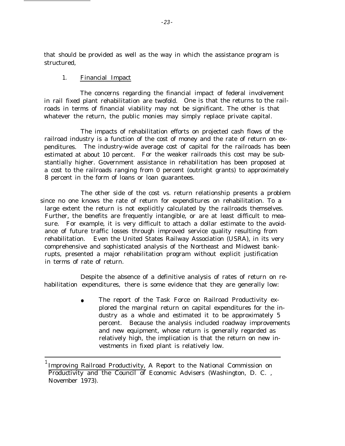that should be provided as well as the way in which the assistance program is structured,

#### 1. Financial Impact

The concerns regarding the financial impact of federal involvement in rail fixed plant rehabilitation are twofold. One is that the returns to the railroads in terms of financial viability may not be significant. The other is that whatever the return, the public monies may simply replace private capital.

The impacts of rehabilitation efforts on projected cash flows of the railroad industry is a function of the cost of money and the rate of return on expenditures. The industry-wide average cost of capital for the railroads has been estimated at about 10 percent. For the weaker railroads this cost may be substantially higher. Government assistance in rehabilitation has been proposed at a cost to the railroads ranging from 0 percent (outright grants) to approximately 8 percent in the form of loans or loan guarantees.

The other side of the cost vs. return relationship presents a problem since no one knows the rate of return for expenditures on rehabilitation. To a large extent the return is not explicitly calculated by the railroads themselves. Further, the benefits are frequently intangible, or are at least difficult to measure. For example, it is very difficult to attach a dollar estimate to the avoidance of future traffic losses through improved service quality resulting from rehabilitation. Even the United States Railway Association (USRA), in its very comprehensive and sophisticated analysis of the Northeast and Midwest bankrupts, presented a major rehabilitation program without explicit justification in terms of rate of return.

Despite the absence of a definitive analysis of rates of return on rehabilitation expenditures, there is some evidence that they are generally low:

> The report of the Task Force on Railroad Productivity explored the marginal return on capital expenditures for the industry as a whole and estimated it to be approximately 5 percent. Because the analysis included roadway improvements and new equipment, whose return is generally regarded as relatively high, the implication is that the return on new investments in fixed plant is relatively low.

 $^{\rm 1}$ Improving Railroad Productivity, A Report to the National Commission on Productivity and the Council of Economic Advisers (Washington, D. C. , November 1973).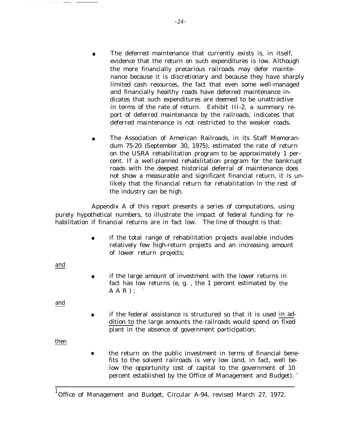- The deferred maintenance that currently exists is, in itself, evidence that the return on such expenditures is low. Although the more financially precarious railroads may defer maintenance because it is discretionary and because they have sharply limited cash resources, the fact that even some well-managed and financially healthy roads have deferred maintenance indicates that such expenditures are deemed to be unattractive in terms of the rate of return. Exhibit III-2, a summary report of deferred maintenance by the railroads, indicates that deferred maintenance is not restricted to the weaker roads.
- The Association of American Railroads, in its Staff Memorandum 75-20 (September 30, 1975), estimated the rate of return on the USRA rehabilitation program to be approximately 1 percent. If a well-planned rehabilitation program for the bankrupt roads with the deepest historical deferral of maintenance does not show a measurable and significant financial return, it is unlikely that the financial return for rehabilitation in the rest of the industry can be high.

Appendix A of this report presents a series of computations, using purely hypothetical numbers, to illustrate the impact of federal funding for rehabilitation if financial returns are in fact low. The line of thought is that:

> ● if the total range of rehabilitation projects available includes relatively few high-return projects and an increasing amount of lower return projects;

and

● if the large amount of investment with the lower returns in fact has low returns (e, g. , the 1 percent estimated by the  $A$  $A$  $R$ );

and

● if the federal assistance is structured so that it is used in addition to the large amounts the railroads would spend on fixed plant in the absence of government participation;

then

● the return on the public investment in terms of financial benefits to the solvent railroads is very low (and, in fact, well below the opportunity cost of capital to the government of 10 percent established by the Office of Management and Budget).<sup>1</sup>

<sup>1</sup>Office of Management and Budget, Circular A-94, revised March 27, 1972.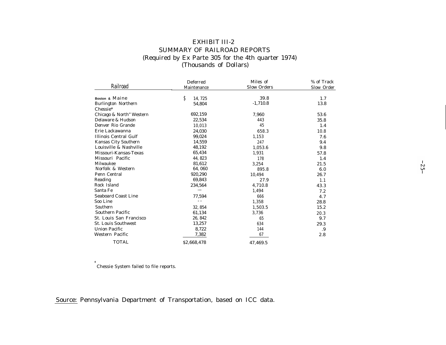# EXHIBIT III-2 SUMMARY OF RAILROAD REPORTS (Required by Ex Parte 305 for the 4th quarter 1974) (Thousands of Dollars)

| Railroad                   | Deferred<br>Maintenance | Miles of<br><b>Slow Orders</b> | % of Track<br>Slow Order |
|----------------------------|-------------------------|--------------------------------|--------------------------|
| Boston & Maine             | Ŝ<br>14, 725            | 39.8                           | 1.7                      |
| <b>Burlington Northern</b> | 54,804                  | $-1,710.8$                     | 13.8                     |
| Chessie*                   |                         |                                |                          |
| Chicago & North" Western   | 692,159                 | 7,960                          | 53.6                     |
| Delaware & Hudson          | 22,534                  | 443                            | 35.8                     |
| Denver Rio Grande          | 10,013                  | 45                             | 1.4                      |
| Erie Lackawanna            | 24,030                  | 658.3                          | 10.8                     |
| Illinois Central Gulf      | 99.024                  | 1,153                          | 7.6                      |
| Kansas City Southern       | 14,559                  | 247                            | 9.4                      |
| Louisville & Nashville     | 48,192                  | 1,053.6                        | 9.8                      |
| Missouri-Kansas-Texas      | 65,434                  | 1,931                          | 57.8                     |
| Missouri Pacific           | 44, 823                 | 178                            | 1.4                      |
| Milwaukee                  | 81,612                  | 3,254                          | 21.5                     |
| Norfolk & Western          | 64,060                  | 895.8                          | 6.0                      |
| Penn Central               | 920,290                 | 10,494                         | 26.7                     |
| Reading                    | 69,843                  | 27.9                           | 1.1                      |
| Rock Island                | 234,564                 | 4,710.8                        | 43.3                     |
| Santa Fe                   |                         | 1,494                          | 7.2                      |
| <b>Seaboard Coast Line</b> | 77,594                  | 666                            | 4.7                      |
| Soo Line                   | - -                     | 1,358                          | 28.8                     |
| Southern                   | 32, 854                 | 1,503.5                        | 15.2                     |
| Southern Pacific           | 61,134                  | 3,736                          | 20.3                     |
| St. Louis San Francisco    | 26, 842                 | 65                             | 9.7                      |
| <b>St. Louis Southwest</b> | 13,257                  | 634                            | 29.3                     |
| <b>Union Pacific</b>       | 8,722                   | 144                            | .9                       |
| Western Pacific            | 7,382                   | 67                             | 2.8                      |
| <b>TOTAL</b>               | \$2,668,478             | 47,469.5                       |                          |

\* Chessie System failed to file reports.

## Source: Pennsylvania Department of Transportation, based on ICC data.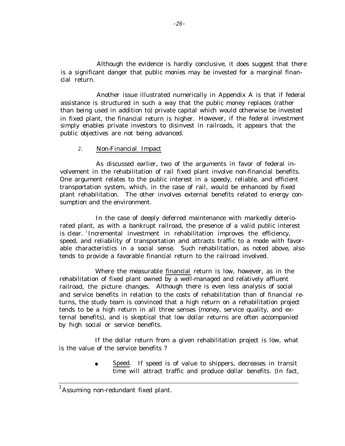Although the evidence is hardly conclusive, it does suggest that there is a significant danger that public monies may be invested for a marginal financial return.

Another issue illustrated numerically in Appendix A is that if federal assistance is structured in such a way that the public money replaces (rather than being used in addition to) private capital which would otherwise be invested in fixed plant, the financial return is higher. However, if the federal investment simply enables private investors to disinvest in railroads, it appears that the public objectives are not being advanced.

### 2. Non-Financial Impact

As discussed earlier, two of the arguments in favor of federal involvement in the rehabilitation of rail fixed plant involve non-financial benefits. One argument relates to the public interest in a speedy, reliable, and efficient transportation system, which, in the case of rail, would be enhanced by fixed plant rehabilitation. The other involves external benefits related to energy consumption and the environment.

In the case of deeply deferred maintenance with markedly deteriorated plant, as with a bankrupt railroad, the presence of a valid public interest is clear. <sup>1</sup>Incremental investment in rehabilitation improves the efficiency, speed, and reliability of transportation and attracts traffic to a mode with favorable characteristics in a social sense. Such rehabilitation, as noted above, also tends to provide a favorable financial return to the railroad involved.

Where the measurable financial return is low, however, as in the rehabilitation of fixed plant owned by a well-managed and relatively affluent railroad, the picture changes. Although there is even less analysis of social and service benefits in relation to the costs of rehabilitation than of financial returns, the study team is convinced that a high return on a rehabilitation project tends to be a high return in all three senses (money, service quality, and external benefits), and is skeptical that low dollar returns are often accompanied by high social or service benefits.

If the dollar return from a given rehabilitation project is low, what is the value of the service benefits ?

> Speed. If speed is of value to shippers, decreases in transit time will attract traffic and produce dollar benefits. (In fact,

<sup>1</sup>Assuming non-redundant fixed plant.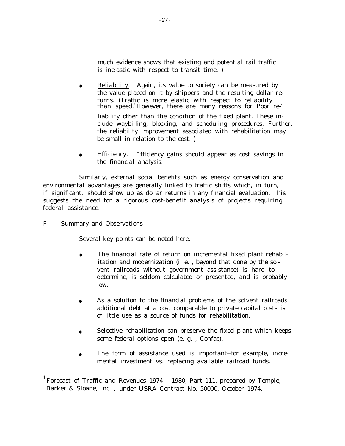much evidence shows that existing and potential rail traffic is inelastic with respect to transit time,  $)^{1}$ 

- Reliability. Again, its value to society can be measured by the value placed on it by shippers and the resulting dollar returns. (Traffic is more elastic with respect to reliability than speed.<sup>1</sup>However, there are many reasons for Poor reliability other than the condition of the fixed plant. These include waybilling, blocking, and scheduling procedures. Further, the reliability improvement associated with rehabilitation may be small in relation to the cost. )
- Efficiency. Efficiency gains should appear as cost savings in the financial analysis.

Similarly, external social benefits such as energy conservation and environmental advantages are generally linked to traffic shifts which, in turn, if significant, should show up as dollar returns in any financial evaluation. This suggests the need for a rigorous cost-benefit analysis of projects requiring federal assistance.

## F. Summary and Observations

Several key points can be noted here:

- The financial rate of return on incremental fixed plant rehabilitation and modernization (i. e. , beyond that done by the solvent railroads without government assistance) is hard to determine, is seldom calculated or presented, and is probably low.
- As a solution to the financial problems of the solvent railroads, additional debt at a cost comparable to private capital costs is of little use as a source of funds for rehabilitation.
- Selective rehabilitation can preserve the fixed plant which keeps some federal options open (e. g. , Confac).
- The form of assistance used is important--for example, incremental investment vs. replacing available railroad funds.

Forecast of Traffic and Revenues 1974 - 1980, Part 111, prepared by Temple, Barker & Sloane, Inc. , under USRA Contract No. 50000, October 1974.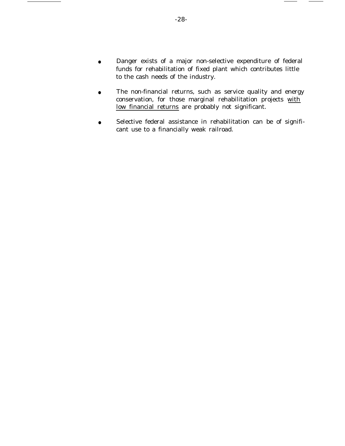- Danger exists of a major non-selective expenditure of federal funds for rehabilitation of fixed plant which contributes little to the cash needs of the industry.
- The non-financial returns, such as service quality and energy conservation, for those marginal rehabilitation projects with low financial returns are probably not significant.
- Selective federal assistance in rehabilitation can be of significant use to a financially weak railroad.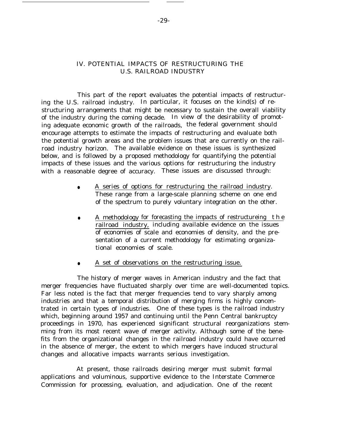## IV. POTENTIAL IMPACTS OF RESTRUCTURING THE U.S. RAILROAD INDUSTRY

This part of the report evaluates the potential impacts of restructuring the U.S. railroad industry. In particular, it focuses on the kind(s) of restructuring arrangements that might be necessary to sustain the overall viability of the industry during the coming decade. In view of the desirability of promoting adequate economic growth of the railroads, the federal government should encourage attempts to estimate the impacts of restructuring and evaluate both the potential growth areas and the problem issues that are currently on the railroad industry horizon. The available evidence on these issues is synthesized below, and is followed by a proposed methodology for quantifying the potential impacts of these issues and the various options for restructuring the industry with a reasonable degree of accuracy. These issues are discussed through:

- A series of options for restructuring the railroad industry. These range from a large-scale planning scheme on one end of the spectrum to purely voluntary integration on the other.
- A methodology for forecasting the impacts of restructureing the railroad industry, including available evidence on the issues of economies of scale and economies of density, and the presentation of a current methodology for estimating organizational economies of scale.
- A set of observations on the restructuring issue.

The history of merger waves in American industry and the fact that merger frequencies have fluctuated sharply over time are well-documented topics. Far less noted is the fact that merger frequencies tend to vary sharply among industries and that a temporal distribution of merging firms is highly concentrated in certain types of industries. One of these types is the railroad industry which, beginning around 1957 and continuing until the Penn Central bankruptcy proceedings in 1970, has experienced significant structural reorganizations stemming from its most recent wave of merger activity. Although some of the benefits from the organizational changes in the railroad industry could have occurred in the absence of merger, the extent to which mergers have induced structural changes and allocative impacts warrants serious investigation.

At present, those railroads desiring merger must submit formal applications and voluminous, supportive evidence to the Interstate Commerce Commission for processing, evaluation, and adjudication. One of the recent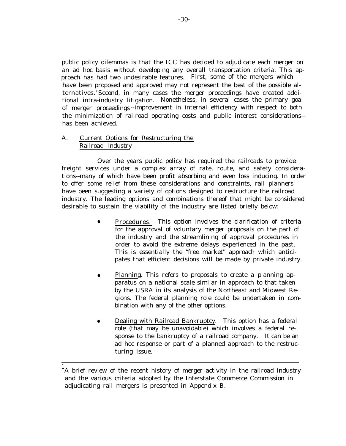public policy dilemmas is that the ICC has decided to adjudicate each merger on an ad hoc basis without developing any overall transportation criteria. This approach has had two undesirable features. First, some of the mergers which have been proposed and approved may not represent the best of the possible alternatives. <sup>1</sup>Second, in many cases the merger proceedings have created additional intra-industry litigation. Nonetheless, in several cases the primary goal of merger proceedings --improvement in internal efficiency with respect to both the minimization of railroad operating costs and public interest considerations- has been achieved.

## A. Current Options for Restructuring the Railroad Industry

Over the years public policy has required the railroads to provide freight services under a complex array of rate, route, and safety considerations--many of which have been profit absorbing and even loss inducing. In order to offer some relief from these considerations and constraints, rail planners have been suggesting a variety of options designed to restructure the railroad industry. The leading options and combinations thereof that might be considered desirable to sustain the viability of the industry are listed briefly below:

- Procedures. This option involves the clarification of criteria for the approval of voluntary merger proposals on the part of the industry and the streamlining of approval procedures in order to avoid the extreme delays experienced in the past. This is essentially the "free market" approach which anticipates that efficient decisions will be made by private industry.
- Planning. This refers to proposals to create a planning apparatus on a national scale similar in approach to that taken by the USRA in its analysis of the Northeast and Midwest Regions. The federal planning role could be undertaken in combination with any of the other options.
- Dealing with Railroad Bankruptcy. This option has a federal role (that may be unavoidable) which involves a federal response to the bankruptcy of a railroad company. It can be an ad hoc response or part of a planned approach to the restructuring issue.

 $^1$ A brief review of the recent history of merger activity in the railroad industry and the various criteria adopted by the Interstate Commerce Commission in adjudicating rail mergers is presented in Appendix B.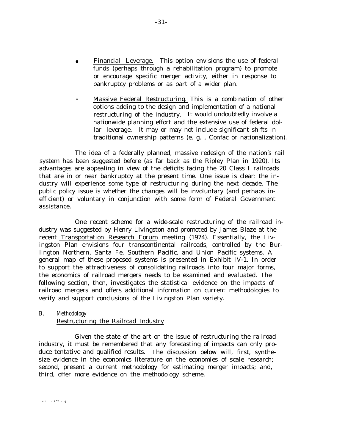- Financial Leverage. This option envisions the use of federal funds (perhaps through a rehabilitation program) to promote or encourage specific merger activity, either in response to bankruptcy problems or as part of a wider plan.
- Massive Federal Restructuring. This is a combination of other options adding to the design and implementation of a national restructuring of the industry. It would undoubtedly involve a nationwide planning effort and the extensive use of federal dollar leverage. It may or may not include significant shifts in traditional ownership patterns (e. g. , Confac or nationalization).

The idea of a federally planned, massive redesign of the nation's rail system has been suggested before (as far back as the Ripley Plan in 1920). Its advantages are appealing in view of the deficits facing the 20 Class I railroads that are in or near bankruptcy at the present time. One issue is clear: the industry will experience some type of restructuring during the next decade. The public policy issue is whether the changes will be involuntary (and perhaps inefficient) or voluntary in conjunction with some form of Federal Government assistance.

One recent scheme for a wide-scale restructuring of the railroad industry was suggested by Henry Livingston and promoted by James Blaze at the recent Transportation Research Forum meeting (1974). Essentially, the Livingston Plan envisions four transcontinental railroads, controlled by the Burlington Northern, Santa Fe, Southern Pacific, and Union Pacific systems. A general map of these proposed systems is presented in Exhibit IV-1. In order to support the attractiveness of consolidating railroads into four major forms, the economics of railroad mergers needs to be examined and evaluated. The following section, then, investigates the statistical evidence on the impacts of railroad mergers and offers additional information on current methodologies to verify and support conclusions of the Livingston Plan variety.

#### B. Methodology

#### Restructuring the Railroad Industry

Given the state of the art on the issue of restructuring the railroad industry, it must be remembered that any forecasting of impacts can only produce tentative and qualified results. The discussion below will, first, synthesize evidence in the economics literature on the economies of scale research; second, present a current methodology for estimating merger impacts; and, third, offer more evidence on the methodology scheme.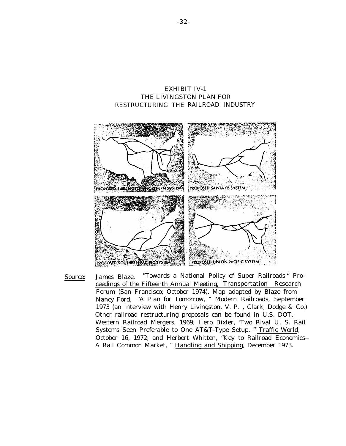## EXHIBIT IV-1 THE LIVINGSTON PLAN FOR RESTRUCTURING THE RAILROAD INDUSTRY



Source: James Blaze, "Towards a National Policy of Super Railroads.'' Proceedings of the Fifteenth Annual Meeting, Transportation Research Forum (San Francisco; October 1974). Map adapted by Blaze from Nancy Ford, "A Plan for Tomorrow, " Modern Railroads, September 1973 (an interview with Henry Livingston, V. P. , Clark, Dodge & Co.). Other railroad restructuring proposals can be found in U.S. DOT, Western Railroad Mergers, 1969; Herb Bixler, 'Two Rival U. S. Rail Systems Seen Preferable to One AT&T-Type Setup, " Traffic World, October 16, 1972; and Herbert Whitten, "Key to Railroad Economics-- A Rail Common Market, " Handling and Shipping, December 1973.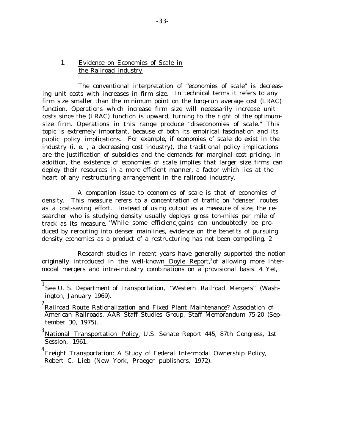## 1. Evidence on Economies of Scale in the Railroad Industry

The conventional interpretation of "economies of scale" is decreasing unit costs with increases in firm size. In technical terms it refers to any firm size smaller than the minimum point on the long-run average cost (LRAC) function. Operations which increase firm size will necessarily increase unit costs since the (LRAC) function is upward, turning to the right of the optimumsize firm. Operations in this range produce "diseconomies of scale." This topic is extremely important, because of both its empirical fascination and its public policy implications. For example, if economies of scale do exist in the industry (i. e. , a decreasing cost industry), the traditional policy implications are the justification of subsidies and the demands for marginal cost pricing. In addition, the existence of economies of scale implies that larger size firms can deploy their resources in a more efficient manner, a factor which lies at the heart of any restructuring arrangement in the railroad industry.

A companion issue to economies of scale is that of economies of density. This measure refers to a concentration of traffic on "denser" routes as a cost-saving effort. Instead of using output as a measure of size, the researcher who is studying density usually deploys gross ton-miles per mile of track as its measure. While some efficienc gains can undoubtedly be produced by rerouting into denser mainlines, evidence on the benefits of pursuing density economies as a product of a restructuring has not been compelling. 2

Research studies in recent years have generally supported the notion originally introduced in the well-known Doyle Report,<sup>3</sup> of allowing more intermodal mergers and intra-industry combinations on a provisional basis. 4 Yet,

<sup>&</sup>lt;sup>1</sup> See U. S. Department of Transportation, "Western Railroad Mergers" (Washington, January 1969).

<sup>&</sup>lt;sup>2</sup> Railroad Route Rationalization and Fixed Plant Maintenance? Association of American Railroads, AAR Staff Studies Group, Staff Memorandum 75-20 (September 30, 1975).

<sup>3</sup> National Transportation Policy} U.S. Senate Report 445, 87th Congress, 1st Session, 1961.

<sup>&</sup>lt;sup>4</sup> Freight Transportation: A Study of Federal Intermodal Ownership Policy, Robert C. Lieb (New York, Praeger publishers, 1972).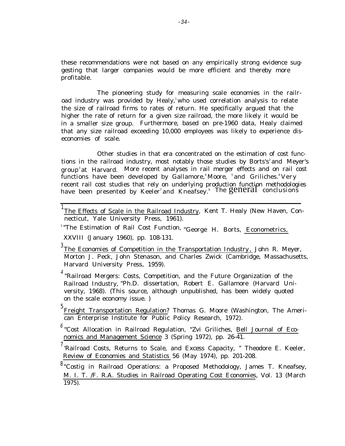these recommendations were not based on any empirically strong evidence suggesting that larger companies would be more efficient and thereby more profitable.

The pioneering study for measuring scale economies in the railroad industry was provided by Healy,<sup>1</sup>who used correlation analysis to relate the size of railroad firms to rates of return. He specifically argued that the higher the rate of return for a given size railroad, the more likely it would be in a smaller size group. Furthermore, based on pre-1960 data, Healy claimed that any size railroad exceeding 10,000 employees was likely to experience diseconomies of scale.

Other studies in that era concentrated on the estimation of cost functions in the railroad industry, most notably those studies by Borts's<sup>2</sup> and Meyer's group<sup>3</sup> at Harvard. More recent analyses in rail merger effects and on rail cost functions have been developed by Gallamore,<sup>4</sup>Moore, <sup>5</sup>and Griliches.<sup>6</sup>Very recent rail cost studies that rely on underlying production function methodologies have been presented by Keeler<sup>7</sup>and Kneafsey.<sup>8</sup> The general conclusions

<sup>1</sup>The Effects of Scale in the Railroad Industry, Kent T. Healy (New Haven, Connecticut, Yale University Press, 1961).

<sup>2</sup> "The Estimation of Rail Cost Function, "George H. Borts, *Econometrics*, XXVIII (January 1960), pp. 108-131.

 $3$ The Economies of Competition in the Transportation Industry, John R. Meyer, Morton J. Peck, John Stenason, and Charles Zwick (Cambridge, Massachusetts, Harvard University Press, 1959).

 $^{4}$  "Railroad Mergers: Costs, Competition, and the Future Organization of the Railroad Industry, "Ph.D. dissertation, Robert E. Gallamore (Harvard University, 1968). (This source, although unpublished, has been widely quoted on the scale economy issue. )

<sup>5</sup> Freight Transportation Regulation? Thomas G. Moore (Washington, The American Enterprise Institute for Public Policy Research, 1972).

 $^6$  "Cost Allocation in Railroad Regulation, "Zvi Griliches, Bell Journal of Economics and Management Science 3 (Spring 1972), pp. 26-41.

 $^7$  Railroad Costs, Returns to Scale, and Excess Capacity, " Theodore E. Keeler, Review of Economies and Statistics 56 (May 1974), pp. 201-208.

<sup>8</sup> "Costig in Railroad Operations: a Proposed Methodology, James T. Kneafsey, M. I. T. /F. R.A. Studies in Railroad Operating Cost Economies, Vol. 13 (March 1975).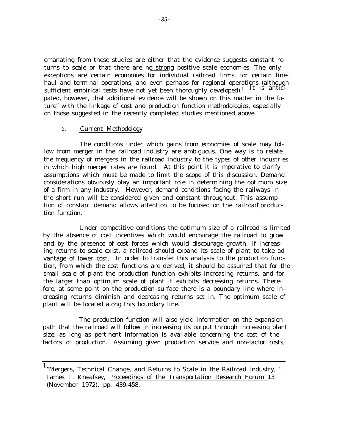emanating from these studies are either that the evidence suggests constant returns to scale or that there are no strong positive scale economies. The only exceptions are certain economies for individual railroad firms, for certain linehaul and terminal operations, and even perhaps for regional operations (although sufficient empirical tests have not yet been thoroughly developed).<sup>1</sup> It is anticipated, however, that additional evidence will be shown on this matter in the future" with the linkage of cost and production function methodologies, especially on those suggested in the recently completed studies mentioned above.

#### 2. Current Methodology

The conditions under which gains from economies of scale may follow from merger in the railroad industry are ambiguous. One way is to relate the frequency of mergers in the railroad industry to the types of other industries in which high merger rates are found. At this point it is imperative to clarify assumptions which must be made to limit the scope of this discussion. Demand considerations obviously play an important role in determining the optimum size of a firm in any industry. However, demand conditions facing the railways in the short run will be considered given and constant throughout. This assumption of constant demand allows attention to be focused on the railroad' production function.

Under competitive conditions the optimum size of a railroad is limited by the absence of cost incentives which would encourage the railroad to grow and by the presence of cost forces which would discourage growth. If increasing returns to scale exist, a railroad should expand its scale of plant to take advantage of lower cost. In order to transfer this analysis to the production function, from which the cost functions are derived, it should be assumed that for the small scale of plant the production function exhibits increasing returns, and for the larger than optimum scale of plant it exhibits decreasing returns. Therefore, at some point on the production surface there is a boundary line where increasing returns diminish and decreasing returns set in. The optimum scale of plant will be located along this boundary line.

The production function will also yield information on the expansion path that the railroad will follow in increasing its output through increasing plant size, as long as pertinent information is available concerning the cost of the factors of production. Assuming given production service and non-factor costs,

<sup>&</sup>lt;sup>1</sup> "Mergers, Technical Change, and Returns to Scale in the Railroad Industry, " James T. Kneafsey, Proceedings of the Transportation Research Forum 13 (November 1972), pp. 439-458.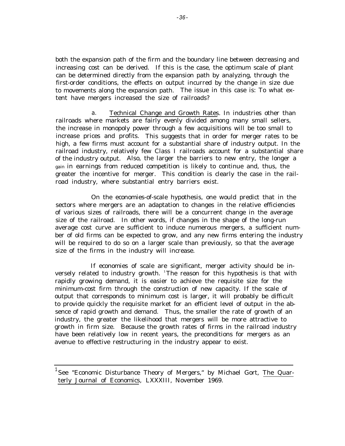both the expansion path of the firm and the boundary line between decreasing and increasing cost can be derived. If this is the case, the optimum scale of plant can be determined directly from the expansion path by analyzing, through the first-order conditions, the effects on output incurred by the change in size due to movements along the expansion path. The issue in this case is: To what extent have mergers increased the size of railroads?

a. Technical Change and Growth Rates. In industries other than railroads where markets are fairly evenly divided among many small sellers, the increase in monopoly power through a few acquisitions will be too small to increase prices and profits. This suggests that in order for merger rates to be high, a few firms must account for a substantial share of industry output. In the railroad industry, relatively few Class I railroads account for a substantial share of the industry output. Also, the larger the barriers to new entry, the longer a gain in earnings from reduced competition is likely to continue and, thus, the greater the incentive for merger. This condition is clearly the case in the railroad industry, where substantial entry barriers exist.

On the economies-of-scale hypothesis, one would predict that in the sectors where mergers are an adaptation to changes in the relative efficiencies of various sizes of railroads, there will be a concurrent change in the average size of the railroad. In other words, if changes in the shape of the long-run average cost curve are sufficient to induce numerous mergers, a sufficient number of old firms can be expected to grow, and any new firms entering the industry will be required to do so on a larger scale than previously, so that the average size of the firms in the industry will increase.

If economies of scale are significant, merger activity should be inversely related to industry growth. <sup>1</sup>The reason for this hypothesis is that with rapidly growing demand, it is easier to achieve the requisite size for the minimum-cost firm through the construction of new capacity. If the scale of output that corresponds to minimum cost is larger, it will probably be difficult to provide quickly the requisite market for an efficient level of output in the absence of rapid growth and demand. Thus, the smaller the rate of growth of an industry, the greater the likelihood that mergers will be more attractive to growth in firm size. Because the growth rates of firms in the railroad industry have been relatively low in recent years, the preconditions for mergers as an avenue to effective restructuring in the industry appear to exist.

 $^1$ See "Economic Disturbance Theory of Mergers," by Michael Gort, The Quarterly Journal of Economics, LXXXIII, November 1969.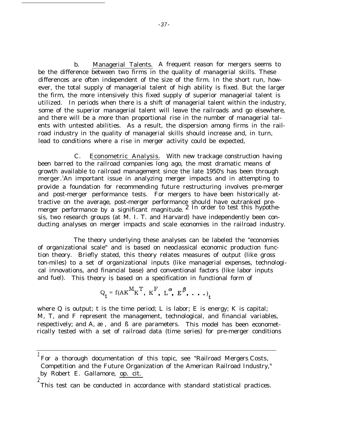b. Managerial Talents. A frequent reason for mergers seems to be the difference between two firms in the quality of managerial skills. These differences are often independent of the size of the firm. In the short run, however, the total supply of managerial talent of high ability is fixed. But the larger the firm, the more intensively this fixed supply of superior managerial talent is utilized. In periods when there is a shift of managerial talent within the industry, some of the superior managerial talent will leave the railroads and go elsewhere, and there will be a more than proportional rise in the number of managerial talents with untested abilities. As a result, the dispersion among firms in the railroad industry in the quality of managerial skills should increase and, in turn, lead to conditions where a rise in merger activity could be expected,

C. Econometric Analysis. With new trackage construction having been barred to the railroad companies long ago, the most dramatic means of growth available to railroad management since the late 1950's has been through merger. <sup>1</sup>An important issue in analyzing merger impacts and in attempting to provide a foundation for recommending future restructuring involves pre-merger and post-merger performance tests. For mergers to have been historically attractive on the average, post-merger performance should have outranked premerger performance by a significant magnitude.  $2 \text{ In order to test this hypothe-}$ sis, two research groups (at M. I. T. and Harvard) have independently been conducting analyses on merger impacts and scale economies in the railroad industry.

The theory underlying these analyses can be labeled the "economies of organizational scale" and is based on neoclassical economic production function theory. Briefly stated, this theory relates measures of output (like gross ton-miles) to a set of organizational inputs (like managerial expenses, technological innovations, and financial base) and conventional factors (like labor inputs and fuel). This theory is based on a specification in functional form of

$$
Q_t = f(AK^M K^T, K^F, L^{\alpha}, E^{\beta}, \ldots)
$$

where  $Q$  is output; t is the time period; L is labor; E is energy; K is capital; M, T, and F represent the management, technological, and financial variables, respectively; and A, æ , and ß are parameters. This model has been econometrically tested with a set of railroad data (time series) for pre-merger conditions

<sup>1</sup> For a thorough documentation of this topic, see "Railroad Mergers: Costs, Competition and the Future Organization of the American Railroad Industry," by Robert E. Gallamore, op. cit. 2

This test can be conducted in accordance with standard statistical practices.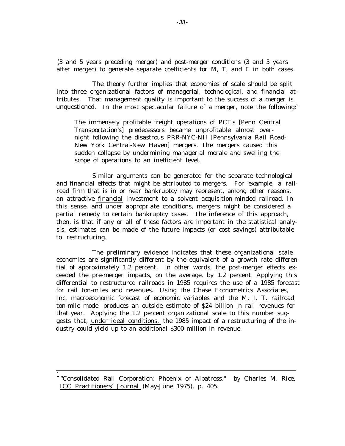(3 and 5 years preceding merger) and post-merger conditions (3 and 5 years after merger) to generate separate coefficients for M, T, and F in both cases.

The theory further implies that economies of scale should be split into three organizational factors of managerial, technological, and financial attributes. That management quality is important to the success of a merger is unquestioned. In the most spectacular failure of a merger, note the following:

The immensely profitable freight operations of PCT's [Penn Central Transportation's] predecessors became unprofitable almost overnight following the disastrous PRR-NYC-NH [Pennsylvania Rail Road-New York Central-New Haven] mergers. The mergers caused this sudden collapse by undermining managerial morale and swelling the scope of operations to an inefficient level.

Similar arguments can be generated for the separate technological and financial effects that might be attributed to mergers. For example, a railroad firm that is in or near bankruptcy may represent, among other reasons, an attractive financial investment to a solvent acquisition-minded railroad. In this sense, and under appropriate conditions, mergers might be considered a partial remedy to certain bankruptcy cases. The inference of this approach, then, is that if any or all of these factors are important in the statistical analysis, estimates can be made of the future impacts (or cost savings) attributable to restructuring.

The preliminary evidence indicates that these organizational scale economies are significantly different by the equivalent of a growth rate differential of approximately 1.2 percent. In other words, the post-merger effects exceeded the pre-merger impacts, on the average, by 1.2 percent. Applying this differential to restructured railroads in 1985 requires the use of a 1985 forecast for rail ton-miles and revenues. Using the Chase Econometrics Associates, Inc. macroeconomic forecast of economic variables and the M. I. T. railroad ton-mile model produces an outside estimate of \$24 billion in rail revenues for that year. Applying the 1.2 percent organizational scale to this number suggests that, under ideal conditions, the 1985 impact of a restructuring of the industry could yield up to an additional \$300 million in revenue.

<sup>&</sup>lt;sup>1</sup> "Consolidated Rail Corporation: Phoenix or Albatross." by Charles M. Rice, ICC Practitioners' Journal (May-June 1975), p. 405.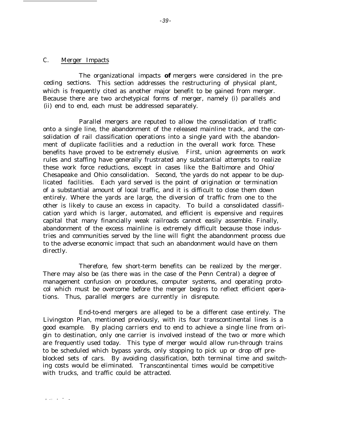## C. Merger Impacts

The organizational impacts **of** mergers were considered in the preceding sections. This section addresses the restructuring of physical plant, which is frequently cited as another major benefit to be gained from merger. Because there are two archetypical forms of merger, namely (i) parallels and (ii) end to end, each must be addressed separately.

Parallel mergers are reputed to allow the consolidation of traffic onto a single line, the abandonment of the released mainline track, and the consolidation of rail classification operations into a single yard with the abandonment of duplicate facilities and a reduction in the overall work force. These benefits have proved to be extremely elusive. First, union agreements on work rules and staffing have generally frustrated any substantial attempts to realize these work force reductions, except in cases like the Baltimore and Ohio/ Chesapeake and Ohio consolidation. Second, 'the yards do not appear to be duplicated facilities. Each yard served is the point of origination or termination of a substantial amount of local traffic, and it is difficult to close them down entirely. Where the yards are large, the diversion of traffic from one to the other is likely to cause an excess in capacity. To build a consolidated classification yard which is larger, automated, and efficient is expensive and requires capital that many financially weak railroads cannot easily assemble. Finally, abandonment of the excess mainline is extremely difficult because those industries and communities served by the line will fight the abandonment process due to the adverse economic impact that such an abandonment would have on them directly.

Therefore, few short-term benefits can be realized by the merger. There may also be (as there was in the case of the Penn Central) a degree of management confusion on procedures, computer systems, and operating protocol which must be overcome before the merger begins to reflect efficient operations. Thus, parallel mergers are currently in disrepute.

End-to-end mergers are alleged to be a different case entirely. The Livingston Plan, mentioned previously, with its four transcontinental lines is a good example. By placing carriers end to end to achieve a single line from origin to destination, only one carrier is involved instead of the two or more which are frequently used today. This type of merger would allow run-through trains to be scheduled which bypass yards, only stopping to pick up or drop off preblocked sets of cars. By avoiding classification, both terminal time and switching costs would be eliminated. Transcontinental times would be competitive with trucks, and traffic could be attracted.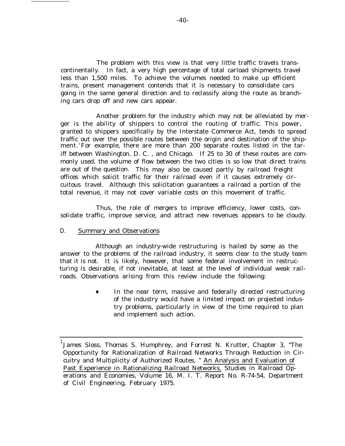The problem with this view is that very little traffic travels transcontinentally. In fact, a very high percentage of total carload shipments travel less than 1,500 miles. To achieve the volumes needed to make up efficient trains, present management contends that it is necessary to consolidate cars going in the same general direction and to reclassify along the route as branching cars drop off and new cars appear.

Another problem for the industry which may not be alleviated by merger is the ability of shippers to control the routing of traffic. This power, granted to shippers specifically by the Interstate Commerce Act, tends to spread traffic out over the possible routes between the origin and destination of the shipment. For example, there are more than 200 separate routes listed in the tariff between Washington, D. C. , and Chicago. If 25 to 30 of these routes are commonly used, the volume of flow between the two cities is so low that direct trains are out of the question. This may also be caused partly by railroad freight offices which solicit traffic for their railroad even if it causes extremely circuitous travel. Although this solicitation guarantees a railroad a portion of the total revenue, it may not cover variable costs on this movement of traffic.

Thus, the role of mergers to improve efficiency, lower costs, consolidate traffic, improve service, and attract new revenues appears to be cloudy.

## D. Summary and Observations

Although an industry-wide restructuring is hailed by some as the answer to the problems of the railroad industry, it seems clear to the study team that it is not. It is likely, however, that some federal involvement in restructuring is desirable, if not inevitable, at least at the level of individual weak railroads. Observations arising from this review include the following:

> ● In the near term, massive and federally directed restructuring of the industry would have a limited impact on projected industry problems, particularly in view of the time required to plan and implement such action.

 $^{\rm 1}$ James Sloss, Thomas S. Humphrey, and Forrest N. Krutter, Chapter 3, "The Opportunity for Rationalization of Railroad Networks Through Reduction in Circuitry and Multiplicity of Authorized Routes, " An Analysis and Evaluation of Past Experience in Rationalizing Railroad Networks, Studies in Railroad Operations and Economies, Volume 16, M. I. T. Report No. R-74-54, Department of Civil Engineering, February 1975.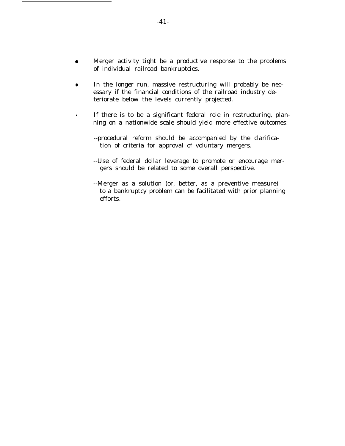- Merger activity tight be a productive response to the problems of individual railroad bankruptcies.
- In the longer run, massive restructuring will probably be necessary if the financial conditions of the railroad industry deteriorate below the levels currently projected.
- If there is to be a significant federal role in restructuring, planning on a nationwide scale should yield more effective outcomes:
	- --procedural reform should be accompanied by the clarification of criteria for approval of voluntary mergers.
	- --Use of federal dollar leverage to promote or encourage mergers should be related to some overall perspective.
	- --Merger as a solution (or, better, as a preventive measure) to a bankruptcy problem can be facilitated with prior planning efforts.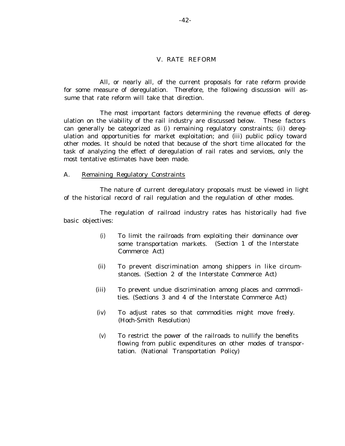### V. RATE REFORM

All, or nearly all, of the current proposals for rate reform provide for some measure of deregulation. Therefore, the following discussion will assume that rate reform will take that direction.

The most important factors determining the revenue effects of deregulation on the viability of the rail industry are discussed below. These factors can generally be categorized as (i) remaining regulatory constraints; (ii) deregulation and opportunities for market exploitation; and (iii) public policy toward other modes. It should be noted that because of the short time allocated for the task of analyzing the effect of deregulation of rail rates and services, only the most tentative estimates have been made.

#### A. Remaining Regulatory Constraints

The nature of current deregulatory proposals must be viewed in light of the historical record of rail regulation and the regulation of other modes.

The regulation of railroad industry rates has historically had five basic objectives:

- (i) To limit the railroads from exploiting their dominance over some transportation markets. (Section 1 of the Interstate Commerce Act)
- (ii) To prevent discrimination among shippers in like circumstances. (Section 2 of the Interstate Commerce Act)
- (iii) To prevent undue discrimination among places and commodities. (Sections 3 and 4 of the Interstate Commerce Act)
- (iv) To adjust rates so that commodities might move freely. (Hoch-Smith Resolution)
- (v) To restrict the power of the railroads to nullify the benefits flowing from public expenditures on other modes of transportation. (National Transportation Policy)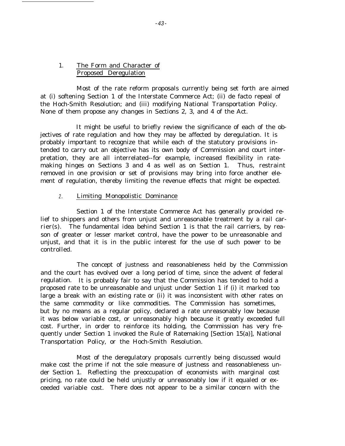## 1. The Form and Character of Proposed Deregulation

Most of the rate reform proposals currently being set forth are aimed at (i) softening Section 1 of the Interstate Commerce Act; (ii) de facto repeal of the Hoch-Smith Resolution; and (iii) modifying National Transportation Policy. None of them propose any changes in Sections 2, 3, and 4 of the Act.

It might be useful to briefly review the significance of each of the objectives of rate regulation and how they may be affected by deregulation. It is probably important to recognize that while each of the statutory provisions intended to carry out an objective has its own body of Commission and court interpretation, they are all interrelated--for example, increased flexibility in ratemaking hinges on Sections 3 and 4 as well as on Section 1. Thus, restraint removed in one provision or set of provisions may bring into force another element of regulation, thereby limiting the revenue effects that might be expected.

## 2. Limiting Monopolistic Dominance

Section 1 of the Interstate Commerce Act has generally provided relief to shippers and others from unjust and unreasonable treatment by a rail carrier(s). The fundamental idea behind Section 1 is that the rail carriers, by reason of greater or lesser market control, have the power to be unreasonable and unjust, and that it is in the public interest for the use of such power to be controlled.

The concept of justness and reasonableness held by the Commission and the court has evolved over a long period of time, since the advent of federal regulation. It is probably fair to say that the Commission has tended to hold a proposed rate to be unreasonable and unjust under Section 1 if (i) it marked too large a break with an existing rate or (ii) it was inconsistent with other rates on the same commodity or like commodities. The Commission has sometimes, but by no means as a regular policy, declared a rate unreasonably low because it was below variable cost, or unreasonably high because it greatly exceeded full cost. Further, in order to reinforce its holding, the Commission has very frequently under Section 1 invoked the Rule of Ratemaking [Section 15(a)], National Transportation Policy, or the Hoch-Smith Resolution.

Most of the deregulatory proposals currently being discussed would make cost the prime if not the sole measure of justness and reasonableness under Section 1. Reflecting the preoccupation of economists with marginal cost pricing, no rate could be held unjustly or unreasonably low if it equaled or exceeded variable cost. There does not appear to be a similar concern with the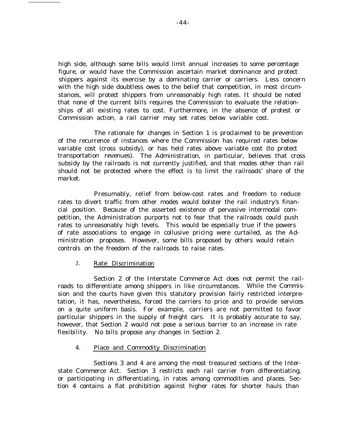high side, although some bills would limit annual increases to some percentage figure, or would have the Commission ascertain market dominance and protect shippers against its exercise by a dominating carrier or carriers. Less concern with the high side doubtless owes to the belief that competition, in most circumstances, will protect shippers from unreasonably high rates. It should be noted that none of the current bills requires the Commission to evaluate the relationships of all existing rates to cost. Furthermore, in the absence of protest or Commission action, a rail carrier may set rates below variable cost.

The rationale for changes in Section 1 is proclaimed to be prevention of the recurrence of instances where the Commission has required rates below variable cost (cross subsidy), or has held rates above variable cost (to protect transportation revenues). The Administration, in particular, believes that cross subsidy by the railroads is not currently justified, and that modes other than rail should not be protected where the effect is to limit the railroads' share of the market.

Presumably, relief from below-cost rates and freedom to reduce rates to divert traffic from other modes would bolster the rail industry's financial position. Because of the asserted existence of pervasive intermodal competition, the Administration purports not to fear that the railroads could push rates to unreasonably high levels. This would be especially true if the powers of rate associations to engage in collusive pricing were curtailed, as the Administration proposes. However, some bills proposed by others would retain controls on the freedom of the railroads to raise rates.

#### 3. Rate Discrimination

Section 2 of the Interstate Commerce Act does not permit the railroads to differentiate among shippers in like circumstances. While the Commission and the courts have given this statutory provision fairly restricted interpretation, it has, nevertheless, forced the carriers to price and to provide services on a quite uniform basis. For example, carriers are not permitted to favor particular shippers in the supply of freight cars. It is probably accurate to say, however, that Section 2 would not pose a serious barrier to an increase in rate flexibility. No bills propose any changes in Section 2.

## 4. Place and Commodity Discrimination

Sections 3 and 4 are among the most treasured sections of the Interstate Commerce Act. Section 3 restricts each rail carrier from differentiating, or participating in differentiating, in rates among commodities and places. Section 4 contains a flat prohibition against higher rates for shorter hauls than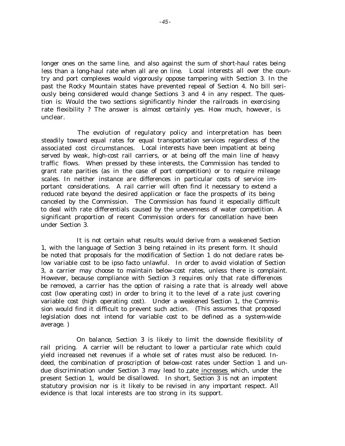longer ones on the same line, and also against the sum of short-haul rates being less than a long-haul rate when all are on line. Local interests all over the country and port complexes would vigorously oppose tampering with Section 3. In the past the Rocky Mountain states have prevented repeal of Section 4. No bill seriously being considered would change Sections 3 and 4 in any respect. The question is: Would the two sections significantly hinder the railroads in exercising rate flexibility ? The answer is almost certainly yes. How much, however, is unclear.

The evolution of regulatory policy and interpretation has been steadily toward equal rates for equal transportation services regardless of the associated cost circumstances. Local interests have been impatient at being served by weak, high-cost rail carriers, or at being off the main line of heavy traffic flows. When pressed by these interests, the Commission has tended to grant rate parities (as in the case of port competition) or to require mileage scales. In neither instance are differences in particular costs of service important considerations. A rail carrier will often find it necessary to extend a reduced rate beyond the desired application or face the prospects of its being canceled by the Commission. The Commission has found it especially difficult to deal with rate differentials caused by the unevenness of water competition. A significant proportion of recent Commission orders for cancellation have been under Section 3.

It is not certain what results would derive from a weakened Section 1, with the language of Section 3 being retained in its present form. It should be noted that proposals for the modification of Section 1 do not declare rates below variable cost to be ipso facto unlawful. In order to avoid violation of Section 3, a carrier may choose to maintain below-cost rates, unless there is complaint. However, because compliance with Section 3 requires only that rate differences be removed, a carrier has the option of raising a rate that is already well above cost (low operating cost) in order to bring it to the level of a rate just covering variable cost (high operating cost). Under a weakened Section 1, the Commission would find it difficult to prevent such action. (This assumes that proposed legislation does not intend for variable cost to be defined as a system-wide average. )

On balance, Section 3 is likely to limit the downside flexibility of rail pricing. A carrier will be reluctant to lower a particular rate which could yield increased net revenues if a whole set of rates must also be reduced. Indeed, the combination of proscription of below-cost rates under Section 1 and undue discrimination under Section 3 may lead to rate increases which, under the present Section 1, would be disallowed. In short, Section 3 is not an impotent statutory provision nor is it likely to be revised in any important respect. All evidence is that local interests are too strong in its support.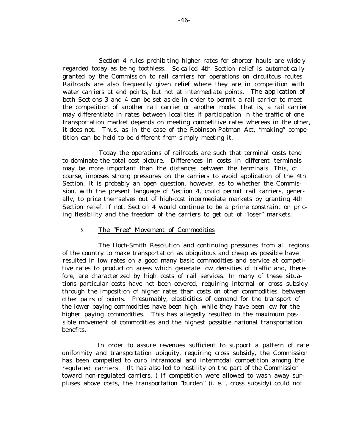Section 4 rules prohibiting higher rates for shorter hauls are widely regarded today as being toothless. So-called 4th Section relief is automatically granted by the Commission to rail carriers for operations on circuitous routes. Railroads are also frequently given relief where they are in competition with water carriers at end points, but not at intermediate points. The application of both Sections 3 and 4 can be set aside in order to permit a rail carrier to meet the competition of another rail carrier or another mode. That is, a rail carrier may differentiate in rates between localities if participation in the traffic of one transportation market depends on meeting competitive rates whereas in the other, it does not. Thus, as in the case of the Robinson-Patman Act, "making" competition can be held to be different from simply meeting it.

Today the operations of railroads are such that terminal costs tend to dominate the total cost picture. Differences in costs in different terminals may be more important than the distances between the terminals. This, of course, imposes strong pressures on the carriers to avoid application of the 4th Section. It is probably an open question, however, as to whether the Commission, with the present language of Section 4, could permit rail carriers, generally, to price themselves out of high-cost intermediate markets by granting 4th Section relief. If not, Section 4 would continue to be a prime constraint on pricing flexibility and the freedom of the carriers to get out of "loser" markets.

### 5. The "Free" Movement of Commodities

The Hoch-Smith Resolution and continuing pressures from all regions of the country to make transportation as ubiquitous and cheap as possible have resulted in low rates on a good many basic commodities and service at competitive rates to production areas which generate low densities of traffic and, therefore, are characterized by high costs of rail services. In many of these situations particular costs have not been covered, requiring internal or cross subsidy through the imposition of higher rates than costs on other commodities, between other pairs of points. Presumably, elasticities of demand for the transport of the lower paying commodities have been high, while they have been low for the higher paying commodities. This has allegedly resulted in the maximum possible movement of commodities and the highest possible national transportation benefits.

In order to assure revenues sufficient to support a pattern of rate uniformity and transportation ubiquity, requiring cross subsidy, the Commission has been compelled to curb intramodal and intermodal competition among the regulated carriers. (It has also led to hostility on the part of the Commission toward non-regulated carriers. ) If competition were allowed to wash away surpluses above costs, the transportation "burden" (i. e. , cross subsidy) could not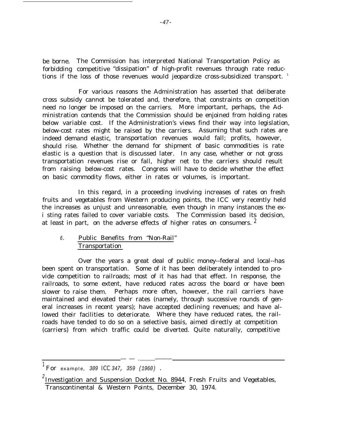be borne. The Commission has interpreted National Transportation Policy as forbidding competitive "dissipation" of high-profit revenues through rate reductions if the loss of those revenues would jeopardize cross-subsidized transport.<sup>1</sup>

For various reasons the Administration has asserted that deliberate cross subsidy cannot be tolerated and, therefore, that constraints on competition need no longer be imposed on the carriers. More important, perhaps, the Administration contends that the Commission should be enjoined from holding rates below variable cost. If the Administration's views find their way into legislation, below-cost rates might be raised by the carriers. Assuming that such rates are indeed demand elastic, transportation revenues would fall; profits, however, should rise. Whether the demand for shipment of basic commodities is rate elastic is a question that is discussed later. In any case, whether or not gross transportation revenues rise or fall, higher net to the carriers should result from raising below-cost rates. Congress will have to decide whether the effect on basic commodity flows, either in rates or volumes, is important.

In this regard, in a proceeding involving increases of rates on fresh fruits and vegetables from Western producing points, the ICC very recently held the increases as unjust and unreasonable, even though in many instances the exi sting rates failed to cover variable costs. The Commission based its decision, at least in part, on the adverse effects of higher rates on consumers. <sup>2</sup>

# 6. Public Benefits from "Non-Rail" Transportation

Over the years a great deal of public money--federal and local--has been spent on transportation. Some of it has been deliberately intended to provide competition to railroads; most of it has had that effect. In response, the railroads, to some extent, have reduced rates across the board or have been slower to raise them. Perhaps more often, however, the rail carriers have maintained and elevated their rates (namely, through successive rounds of general increases in recent years); have accepted declining revenues; and have allowed their facilities to deteriorate. Where they have reduced rates, the railroads have tended to do so on a selective basis, aimed directly at competition (carriers) from which traffic could be diverted. Quite naturally, competitive

— — . ———

For example, 309 ICC 347, 359 (1960).

 $^2$ Investigation and Suspension Docket No. 8944, Fresh Fruits and Vegetables, Transcontinental & Western Points, December 30, 1974.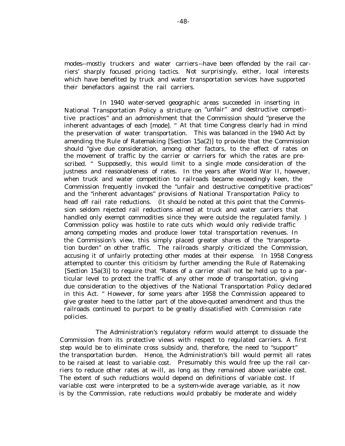modes--mostly truckers and water carriers --have been offended by the rail carriers' sharply focused pricing tactics. Not surprisingly, either, local interests which have benefited by truck and water transportation services have supported their benefactors against the rail carriers.

In 1940 water-served geographic areas succeeded in inserting in National Transportation Policy a stricture on "unfair" and destructive competitive practices" and an admonishment that the Commission should "preserve the inherent advantages of each [mode]. " At that time Congress clearly had in mind the preservation of water transportation. This was balanced in the 1940 Act by amending the Rule of Ratemaking [Section 15a(2)] to provide that the Commission should "give due consideration, among other factors, to the effect of rates on the movement of traffic by the carrier or carriers for which the rates are prescribed. " Supposedly, this would limit to a single mode consideration of the justness and reasonableness of rates. In the years after World War II, however, when truck and water competition to railroads became exceedingly keen, the Commission frequently invoked the "unfair and destructive competitive practices" and the "inherent advantages" provisions of National Transportation Policy to head off rail rate reductions. (It should be noted at this point that the Commission seldom rejected rail reductions aimed at truck and water carriers that handled only exempt commodities since they were outside the regulated family. ) Commission policy was hostile to rate cuts which would only redivide traffic among competing modes and produce lower total transportation revenues. In the Commission's view, this simply placed greater shares of the "transportation burden" on other traffic. The railroads sharply criticized the Commission, accusing it of unfairly protecting other modes at their expense. In 1958 Congress attempted to counter this criticism by further amending the Rule of Ratemaking [Section 15a(3)] to require that "Rates of a carrier shall not be held up to a particular level to protect the traffic of any other mode of transportation, giving due consideration to the objectives of the National Transportation Policy declared in this Act. " However, for some years after 1958 the Commission appeared to give greater heed to the latter part of the above-quoted amendment and thus the railroads continued to purport to be greatly dissatisfied with Commission rate policies.

The Administration's regulatory reform would attempt to dissuade the Commission from its protective views with respect to regulated carriers. A first step would be to eliminate cross subsidy and, therefore, the need to "support" the transportation burden. Hence, the Administration's bill would permit all rates to be raised at least to variable cost. Presumably this would free up the rail carriers to reduce other rates at w-ill, as long as they remained above variable cost. The extent of such reductions would depend on definitions of variable cost. If variable cost were interpreted to be a system-wide average variable, as it now is by the Commission, rate reductions would probably be moderate and widely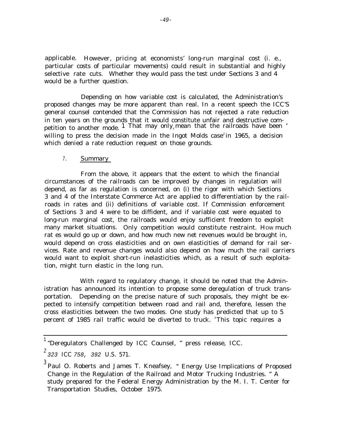applicable. However, pricing at economists' long-run marginal cost (i. e., particular costs of particular movements) could result in substantial and highly selective rate cuts. Whether they would pass the test under Sections 3 and 4 would be a further question.

Depending on how variable cost is calculated, the Administration's proposed changes may be more apparent than real. In a recent speech the ICC'S general counsel contended that the Commission has not rejected a rate reduction in ten years on the grounds that it would constitute unfair and destructive competition to another mode. 1 That may only, mean that the railroads have been  $\cdot$ willing to press the decision made in the Ingot Molds case<sup>2</sup> in 1965, a decision which denied a rate reduction request on those grounds.

### 7. Summary

From the above, it appears that the extent to which the financial circumstances of the railroads can be improved by changes in regulation will depend, as far as regulation is concerned, on (i) the rigor with which Sections 3 and 4 of the Interstate Commerce Act are applied to differentiation by the railroads in rates and (ii) definitions of variable cost. If Commission enforcement of Sections 3 and 4 were to be diffident, and if variable cost were equated to long-run marginal cost, the railroads would enjoy sufficient freedom to exploit many market situations. Only competition would constitute restraint. How much rat es would go up or down, and how much new net revenues would be brought in, would depend on cross elasticities and on own elasticities of demand for rail services. Rate and revenue changes would also depend on how much the rail carriers would want to exploit short-run inelasticities which, as a result of such exploitation, might turn elastic in the long run.

With regard to regulatory change, it should be noted that the Administration has announced its intention to propose some deregulation of truck transportation. Depending on the precise nature of such proposals, they might be expected to intensify competition between road and rail and, therefore, lessen the cross elasticities between the two modes. One study has predicted that up to 5 percent of 1985 rail traffic would be diverted to truck. <sup>3</sup>This topic requires a

 $^1$  "Deregulators Challenged by ICC Counsel, " press release, ICC.

 $^{2}$  323 ICC 758, 392 U.S. 571.

 $^3$  Paul O. Roberts and James T. Kneafsey, " Energy Use Implications of Proposed Change in the Regulation of the Railroad and Motor Trucking Industries. " A study prepared for the Federal Energy Administration by the M. I. T. Center for Transportation Studies, October 1975.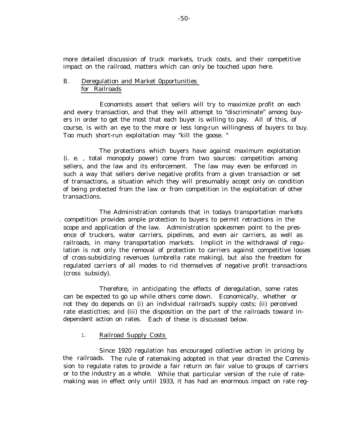more detailed discussion of truck markets, truck costs, and their competitive impact on the railroad, matters which can only be touched upon here.

## B. Deregulation and Market 0pportunities for Railroads

Economists assert that sellers will try to maximize profit on each and every transaction, and that they will attempt to "discriminate" among buyers in order to get the most that each buyer is willing to pay. All of this, of course, is with an eye to the more or less long-run willingness of buyers to buy. Too much short-run exploitation may "kill the goose. "

The protections which buyers have against maximum exploitation (i. e. , total monopoly power) come from two sources: competition among sellers, and the law and its enforcement. The law may even be enforced in such a way that sellers derive negative profits from a given transaction or set of transactions, a situation which they will presumably accept only on condition of being protected from the law or from competition in the exploitation of other transactions.

The Administration contends that in todays transportation markets . competition provides ample protection to buyers to permit retractions in the scope and application of the law. Administration spokesmen point to the presence of truckers, water carriers, pipelines, and even air carriers, as well as railroads, in many transportation markets. Implicit in the withdrawal of regulation is not only the removal of protection to carriers against competitive losses of cross-subsidizing revenues (umbrella rate making), but also the freedom for regulated carriers of all modes to rid themselves of negative profit transactions (cross subsidy).

Therefore, in anticipating the effects of deregulation, some rates can be expected to go up while others come down. Economically, whether or not they do depends on (i) an individual railroad's supply costs; (ii) perceived rate elasticities; and (iii) the disposition on the part of the railroads toward independent action on rates. Each of these is discussed below.

## 1. Railroad Supply Costs

Since 1920 regulation has encouraged collective action in pricing by the railroads. The rule of ratemaking adopted in that year directed the Commission to regulate rates to provide a fair return on fair value to groups of carriers or to the industry as a whole. While that particular version of the rule of ratemaking was in effect only until 1933, it has had an enormous impact on rate reg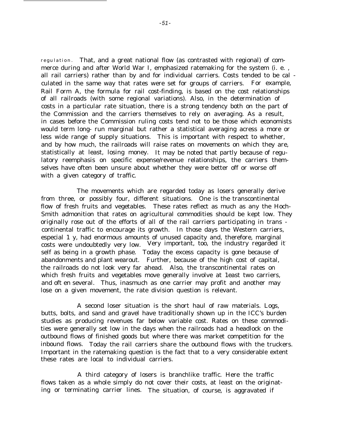regulation . That, and a great national flow (as contrasted with regional) of commerce during and after World War I, emphasized ratemaking for the system (i. e. , all rail carriers) rather than by and for individual carriers. Costs tended to be cal culated in the same way that rates were set for groups of carriers. For example, Rail Form A, the formula for rail cost-finding, is based on the cost relationships of all railroads (with some regional variations). Also, in the determination of costs in a particular rate situation, there is a strong tendency both on the part of the Commission and the carriers themselves to rely on averaging. As a result, in cases before the Commission ruling costs tend not to be those which economists would term long- run marginal but rather a statistical averaging acress a more or less wide range of supply situations. This is important with respect to whether, and by how much, the railroads will raise rates on movements on which they are, statistically at least, losing money. It may be noted that partly because of regulatory reemphasis on specific expense/revenue relationships, the carriers themselves have often been unsure about whether they were better off or worse off with a given category of traffic.

The movements which are regarded today as losers generally derive from three, or possibly four, different situations. One is the transcontinental flow of fresh fruits and vegetables. These rates reflect as much as any the Hoch-Smith admonition that rates on agricultural commodities should be kept low. They originally rose out of the efforts of all of the rail carriers participating in trans continental traffic to encourage its growth. In those days the Western carriers, especial 1 y, had enormous amounts of unused capacity and, therefore, marginal costs were undoubtedly very low. Very important, too, the industry regarded itself as being in a growth phase. Today the excess capacity is gone because of abandonments and plant wearout. Further, because of the high cost of capital, the railroads do not look very far ahead. Also, the transcontinental rates on which fresh fruits and vegetables move generally involve at 1east two carriers, and oft en several. Thus, inasmuch as one carrier may profit and another may lose on a given movement, the rate division question is relevant.

A second loser situation is the short haul of raw materials. Logs, butts, bolts, and sand and gravel have traditionally shown up in the ICC's burden studies as producing revenues far below variable cost. Rates on these commodities were generally set low in the days when the railroads had a headlock on the outbound flows of finished goods but where there was market competition for the inbound flows. Today the rail carriers share the outbound flows with the truckers. Important in the ratemaking question is the fact that to a very considerable extent these rates are local to individual carriers.

A third category of losers is branchlike traffic. Here the traffic flows taken as a whole simply do not cover their costs, at least on the originating or terminating carrier lines. The situation, of course, is aggravated if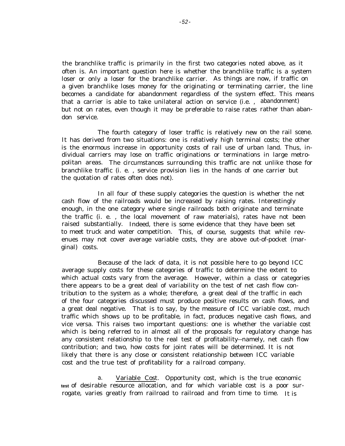the branchlike traffic is primarily in the first two categories noted above, as it often is. An important question here is whether the branchlike traffic is a system loser or only a loser for the branchlike carrier. As things are now, if traffic on a given branchlike loses money for the originating or terminating carrier, the line becomes a candidate for abandonment regardless of the system effect. This means that a carrier is able to take unilateral action on service (i.e. , abandonment) but not on rates, even though it may be preferable to raise rates rather than abandon service.

The fourth category of loser traffic is relatively new on the rail scene. It has derived from two situations: one is relatively high terminal costs; the other is the enormous increase in opportunity costs of rail use of urban land. Thus, individual carriers may lose on traffic originations or terminations in large metropolitan areas. The circumstances surrounding this traffic are not unlike those for branchlike traffic (i. e. , service provision lies in the hands of one carrier but the quotation of rates often does not).

In all four of these supply categories the question is whether the net cash flow of the railroads would be increased by raising rates. Interestingly enough, in the one category where single railroads both originate and terminate the traffic (i. e. , the local movement of raw materials), rates have not been raised substantially. Indeed, there is some evidence that they have been set to meet truck and water competition. This, of course, suggests that while revenues may not cover average variable costs, they are above out-of-pocket (marginal) costs.

Because of the lack of data, it is not possible here to go beyond ICC average supply costs for these categories of traffic to determine the extent to which actual costs vary from the average. However, within a class or categories there appears to be a great deal of variability on the test of net cash flow contribution to the system as a whole; therefore, a great deal of the traffic in each of the four categories discussed must produce positive results on cash flows, and a great deal negative. That is to say, by the measure of ICC variable cost, much traffic which shows up to be profitable, in fact, produces negative cash flows, and vice versa. This raises two important questions: one is whether the variable cost which is being referred to in almost all of the proposals for regulatory change has any consistent relationship to the real test of profitability--namely, net cash flow contribution; and two, how costs for joint rates will be determined. It is not likely that there is any close or consistent relationship between ICC variable cost and the true test of profitability for a railroad company.

a. Variable Cost. Opportunity cost, which is the true economic **test** of desirable resource allocation, and for which variable cost is a poor surrogate, varies greatly from railroad to railroad and from time to time. It is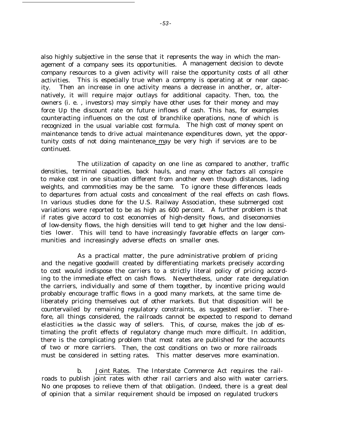also highly subjective in the sense that it represents the way in which the management of a company sees its opportunities. A management decision to devote company resources to a given activity will raise the opportunity costs of all other activities. This is especially true when a compmy is operating at or near capacity. Then an increase in one activity means a decrease in another, or, alternatively, it will require major outlays for additional capacity. Then, too, the owners (i. e. , investors) may simply have other uses for their money and may force Up the discount rate on future inflows of cash. This has, for examples counteracting influences on the cost of branchlike operations, none of which is recognized in the usual variable cost formula. The high cost of money spent on maintenance tends to drive actual maintenance expenditures down, yet the opportunity costs of not doing maintenance may be very high if services are to be continued.

The utilization of capacity on one line as compared to another, traffic densities, terminal capacities, back hauls, and many other factors all conspire to make cost in one situation different from another even though distances, lading weights, and commodities may be the same. To ignore these differences leads to departures from actual costs and concealment of the real effects on cash flows. In various studies done for the U.S. Railway Association, these submerged cost variations were reported to be as high as 600 percent. A further problem is that if rates give accord to cost economies of high-density flows, and diseconomies of low-density flows, the high densities will tend to get higher and the low densities lower. This will tend to have increasingly favorable effects on larger communities and increasingly adverse effects on smaller ones.

As a practical matter, the pure administrative problem of pricing and the negative goodwill created by differentiating markets precisely according to cost would indispose the carriers to a strictly literal policy of pricing according to the immediate effect on cash flows. Nevertheless, under rate deregulation the carriers, individually and some of them together, by incentive pricing would probably encourage traffic flows in a good many markets, at the same time deliberately pricing themselves out of other markets. But that disposition will be countervailed by remaining regulatory constraints, as suggested earlier. Therefore, all things considered, the railroads cannot be expected to respond to demand elasticities **in** the classic way of sellers. This, of course, makes the job of estimating the profit effects of regulatory change much more difficult. In addition, there is the complicating problem that most rates are published for the accounts of two or more carriers. Then, the cost conditions on two or more railroads must be considered in setting rates. This matter deserves more examination.

b. Joint Rates. The Interstate Commerce Act requires the railroads to publish joint rates with other rail carriers and also with water carriers. No one proposes to relieve them of that obligation. (Indeed, there is a great deal of opinion that a similar requirement should be imposed on regulated truckers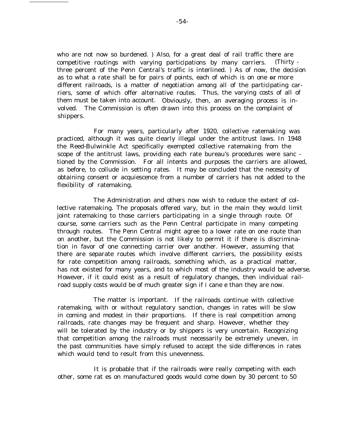who are not now so burdened. ) Also, for a great deal of rail traffic there are competitive routings with varying participations by many carriers. (Thirty three percent of the Penn Central's traffic is interlined. ) As of now, the decision as to what a rate shall be for pairs of points, each of which is on one *or* more different railroads, is a matter of negotiation among all of the participating carriers, some of which offer alternative routes. Thus, the varying costs of all of them must be taken into account. Obviously, then, an averaging process is involved. The Commission is often drawn into this process on the complaint of shippers.

For many years, particularly after 1920, collective ratemaking was practiced, although it was quite clearly illegal under the antitrust laws. In 1948 the Reed-Bulwinkle Act specifically exempted collective ratemaking from the scope of the antitrust laws, providing each rate bureau's procedures were sanc tioned by the Commission. For all intents and purposes the carriers are allowed, as before, to collude in setting rates. It may be concluded that the necessity of obtaining consent or acquiescence from a number of carriers has not added to the flexibility of ratemaking.

The Administration and others now wish to reduce the extent of collective ratemaking. The proposals offered vary, but in the main they would limit joint ratemaking to those carriers participating in a single through route. Of course, some carriers such as the Penn Central participate in many competing through routes. The Penn Central might agree to a lower rate on one route than on another, but the Commission is not likely to permit it if there is discrimination in favor of one connecting carrier over another. However, assuming that there are separate routes which involve different carriers, the possibility exists for rate competition among railroads, something which, as a practical matter, has not existed for many years, and to which most of the industry would be adverse. However, if it could exist as a result of regulatory changes, then individual railroad supply costs would be of much greater sign if i cane e than they are now.

The matter is important. If the railroads continue with collective ratemaking, with or without regulatory sanction, changes in rates will be slow in coming and modest in their proportions. If there is real competition among railroads, rate changes may be frequent and sharp. However, whether they will be tolerated by the industry or by shippers is very uncertain. Recognizing that competition among the railroads must necessarily be extremely uneven, in the past communities have simply refused to accept the side differences in rates which would tend to result from this unevenness.

It is probable that if the railroads were really competing with each other, some rat es on manufactured goods would come down by 30 percent to 50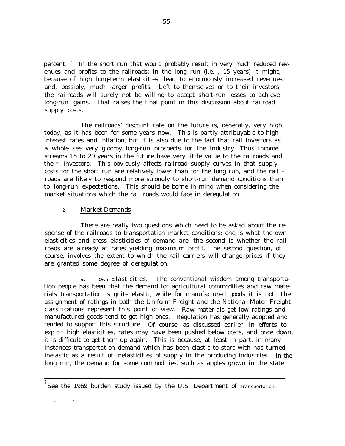percent. <sup>1</sup> In the short run that would probably result in very much reduced revenues and profits to the railroads; in the long run (i.e. , 15 years) it might, because of high long-term elasticities, lead to enormously increased revenues and, possibly, much larger profits. Left to themselves or to their investors, the railroads will surely not be willing to accept short-run losses to achieve long-run gains. That raises the final point in this discussion about railroad supply costs.

-55-

The railroads' discount rate on the future is, generally, very high today, as it has been for some years now. This is partly attribuyable to high interest rates and inflation, but it is also due to the fact that rail investors as a whole see very gloomy long-run prospects for the industry. Thus income streams 15 to 20 years in the future have very little value to the railroads and their investors. This obviously affects railroad supply curves in that supply costs for the short run are relatively lower than for the long run, and the rail roads are likely to respond more strongly to short-run demand conditions than to long-run expectations. This should be borne in mind when considering the market situations which the rail roads would face in deregulation.

#### 2. Market Demands

There are really two questions which need to be asked about the response of the railroads to transportation market conditions: one is what the own elasticities and cross elasticities of demand are; the second is whether the railroads are already at rates yielding maximum profit. The second question, of course, involves the extent to which the rail carriers will change prices if they are granted some degree of deregulation.

**a . Own** Elasticities. The conventional wisdom among transportation people has been that the demand for agricultural commodities and raw materials transportation is quite elastic, while for manufactured goods it is not. The assignment of ratings in both the Uniform Freight and the National Motor Freight classifications represent this point of view. Raw materials get low ratings and manufactured goods tend to get high ones. Regulation has generally adopted and tended to support this structure. Of course, as discussed earlier, in efforts to exploit high elasticities, rates may have been pushed below costs, and once down, it is difficult to get them up again. This is because, at least in part, in many instances transportation demand which has been elastic to start with has turned inelastic as a result of inelasticities of supply in the producing industries. In the long run, the demand for some commodities, such as apples grown in the state

 $\mathbf{r}_i$  . , and  $\mathbf{r}_j$  ,  $\mathbf{r}_j$  ,  $\mathbf{r}_j$ 

**<sup>1</sup>** See the 1969 burden study issued by the U.S. Department of Transportation.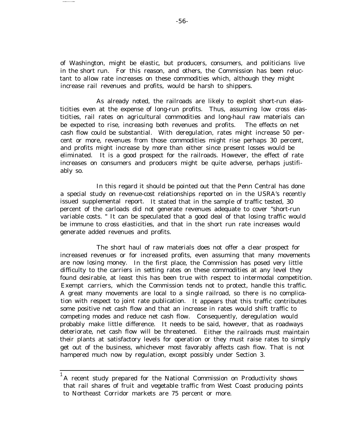of Washington, might be elastic, but producers, consumers, and politicians live in the short run. For this reason, and others, the Commission has been reluctant to allow rate increases on these commodities which, although they might increase rail revenues and profits, would be harsh to shippers.

As already noted, the railroads are likely to exploit short-run elasticities even at the expense of long-run profits. Thus, assuming low cross elasticities, rail rates on agricultural commodities and long-haul raw materials can be expected to rise, increasing both revenues and profits. The effects on net cash flow could be substantial. With deregulation, rates might increase 50 percent or more, revenues from those commodities might rise perhaps 30 percent, and profits might increase by more than either since present losses would be eliminated. It is a good prospect for the railroads. However, the effect of rate increases on consumers and producers might be quite adverse, perhaps justifiably so.

In this regard it should be pointed out that the Penn Central has done a special study on revenue-cost relationships reported on in the USRA's recently issued supplemental report. It stated that in the sample of traffic tested, 30 percent of the carloads did not generate revenues adequate to cover "short-run variable costs. " It can be speculated that a good deal of that losing traffic would be immune to cross elasticities, and that in the short run rate increases would generate added revenues and profits.

The short haul of raw materials does not offer a clear prospect for increased revenues or for increased profits, even assuming that many movements are now losing money. In the first place, the Commission has posed very little difficulty to the carriers in setting rates on these commodities at any level they found desirable, at least this has been true with respect to intermodal competition. Exempt carriers, which the Commission tends not to protect, handle this traffic. A great many movements are local to a single railroad, so there is no complication with respect to joint rate publication. It appears that this traffic contributes some positive net cash flow and that an increase in rates would shift traffic to competing modes and reduce net cash flow. Consequently, deregulation would probably make little difference. It needs to be said, however, that as roadways deteriorate, net cash flow will be threatened. Either the railroads must maintain their plants at satisfactory levels for operation or they must raise rates to simply get out of the business, whichever most favorably affects cash flow. That is not hampered much now by regulation, except possibly under Section 3.

 $^{\rm 1}$ A recent study prepared for the National Commission on Productivity shows that rail shares of fruit and vegetable traffic from West Coast producing points to Northeast Corridor markets are 75 percent or more.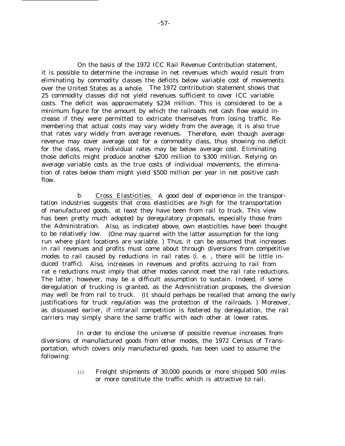On the basis of the 1972 ICC Rail Revenue Contribution statement, it is possible to determine the increase in net revenues which would result from eliminating by commodity classes the deficits below variable cost of movements over the United States as a whole. The 1972 contribution statement shows that 25 commodity classes did not yield revenues sufficient to cover ICC variable costs. The deficit was approximately \$234 million. This is considered to be a minimum figure for the amount by which the railroads net cash flow would increase if they were permitted to extricate themselves from losing traffic. Remembering that actual costs may vary widely from the average, it is also true that rates vary widely from average revenues. Therefore, even though average revenue may cover average cost for a commodity class, thus showing no deficit for the class, many individual rates may be below average cost. Eliminating those deficits might produce another \$200 million to \$300 million. Relying on average variable costs as the true costs of individual movements, the elimination of rates below them might yield \$500 million per year in net positive cash flow.

b. Cross Elasticities. A good deal of experience in the transportation industries suggests that cross elasticities are high for the transportation of manufactured goods, at least they have been from rail to truck. This view has been pretty much adopted by deregulatory proposals, especially those from the Administration. Also, as indicated above, own elasticities have been thought to be relatively low. (One may quarrel with the latter assumption for the long run where plant locations are variable. ) Thus, it can be assumed that increases in rail revenues and profits must come about through diversions from competitive modes to rail caused by reductions in rail rates (i. e. , there will be little induced traffic). Also, increases in revenues and profits accruing to rail from rat e reductions must imply that other modes cannot meet the rail rate reductions. The latter, however, may be a difficult assumption to sustain. Indeed, if some deregulation of trucking is granted, as the Administration proposes, the diversion may well be from rail to truck. (It should perhaps be recalled that among the early justifications for truck regulation was the protection of the railroads. ) Moreover, as discussed earlier, if intrarail competition is fostered by deregulation, the rail carriers may simply share the same traffic with each other at lower rates.

In order to enclose the universe of possible revenue increases from diversions of manufactured goods from other modes, the 1972 Census of Transportation, which covers only manufactured goods, has been used to assume the following:

> (i) Freight shipments of 30,000 pounds or more shipped 500 miles or more constitute the traffic which is attractive to rail.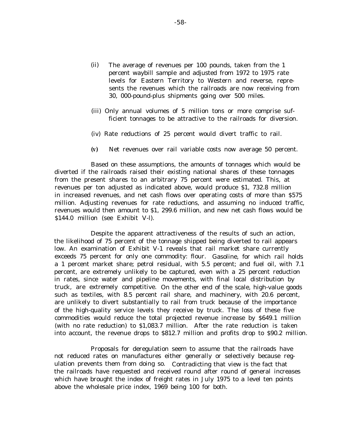- (ii) The average of revenues per 100 pounds, taken from the 1 percent waybill sample and adjusted from 1972 to 1975 rate levels for Eastern Territory to Western and reverse, represents the revenues which the railroads are now receiving from 30, 000-pound-plus shipments going over 500 miles.
- (iii) Only annual volumes of 5 million tons or more comprise sufficient tonnages to be attractive to the railroads for diversion.
- (iv) Rate reductions of 25 percent would divert traffic to rail.
- *(v)* Net revenues over rail variable costs now average 50 percent.

Based on these assumptions, the amounts of tonnages which would be diverted if the railroads raised their existing national shares of these tonnages from the present shares to an arbitrary 75 percent were estimated. This, at revenues per ton adjusted as indicated above, would produce \$1, 732.8 million in increased revenues, and net cash flows over operating costs of more than \$575 million. Adjusting revenues for rate reductions, and assuming no induced traffic, revenues would then amount to \$1, 299.6 million, and new net cash flows would be \$144.0 million (see Exhibit V-l).

Despite the apparent attractiveness of the results of such an action, the likelihood of 75 percent of the tonnage shipped being diverted to rail appears low. An examination of Exhibit V-1 reveals that rail market share currently exceeds 75 percent for only one commodity: flour. Gasoline, for which rail holds a 1 percent market share; petrol residual, with 5.5 percent; and fuel oil, with 7.1 percent, are extremely unlikely to be captured, even with a 25 percent reduction in rates, since water and pipeline movements, with final local distribution by truck, are extremely competitive. On the other end of the scale, high-value goods such as textiles, with 8.5 percent rail share, and machinery, with 20.6 percent, are unlikely to divert substantially to rail from truck because of the importance of the high-quality service levels they receive by truck. The loss of these five commodities would reduce the total projected revenue increase by \$649.1 million (with no rate reduction) to \$1,083.7 million. After the rate reduction is taken into account, the revenue drops to \$812.7 million and profits drop to \$90.2 million.

Proposals for deregulation seem to assume that the railroads have not reduced rates on manufactures either generally or selectively because regulation prevents them from doing so. Contradicting that view is the fact that the railroads have requested and received round after round of general increases which have brought the index of freight rates in July 1975 to a level ten points above the wholesale price index, 1969 being 100 for both.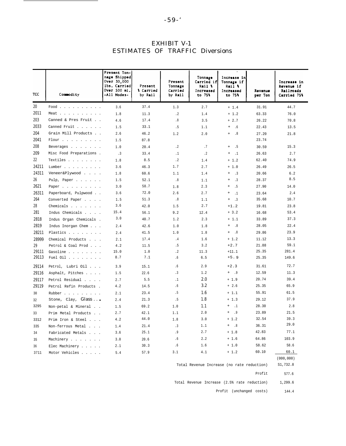| <b>EXHIBIT V-1</b>                     |  |  |  |  |  |  |  |  |  |
|----------------------------------------|--|--|--|--|--|--|--|--|--|
| <b>ESTIMATES OF TRAFFIC Diversions</b> |  |  |  |  |  |  |  |  |  |

| TCC   | Commodity                | Present Ton-<br>nage Shipped<br>Over $30,000$<br>lbs. Carried<br>Over 500 mi.<br>-All Modes- | Present<br>% Carried<br>by Rail | Present<br>Tonnage<br>Carriod<br>by Rail | Tonnage<br>Carried if<br>Rail %<br>Increased<br>to 75% | Increase in<br>Tonnage if<br>Rail %<br>Increased<br>to 75% | Revenue<br>per Ton | Increase in<br>Revenue if<br>Railroads<br><b>Carried 75%</b> |
|-------|--------------------------|----------------------------------------------------------------------------------------------|---------------------------------|------------------------------------------|--------------------------------------------------------|------------------------------------------------------------|--------------------|--------------------------------------------------------------|
| 20    | Food                     | 3.6                                                                                          | 37.4                            | 1.3                                      | 2.7                                                    | $+ 1.4$                                                    | 31.91              | 44.7                                                         |
| 2011  | Meat                     | 1.8                                                                                          | 11.3                            | $\cdot$ 2                                | 1.4                                                    | $+1.2$                                                     | 63.33              | 76.0                                                         |
| 203   | Canned & Pres Fruit      | 4.6                                                                                          | 17.4                            | .8                                       | 3.5                                                    | $+2.7$                                                     | 26.22              | 70.8                                                         |
| 2033  | Canned Fruit             | 1.5                                                                                          | 33.1                            | .5                                       | 1.1                                                    | $\begin{array}{c} + \end{array}$<br>.6                     | 22.43              | 13.5                                                         |
| 204   | Grain Mill Products      | 2.6                                                                                          | 46.2                            | 1.2                                      | 2.0                                                    | .8<br>$^{+}$                                               | 27.20              | 21.8                                                         |
| 2041  | Flour                    | 1.5                                                                                          | 87.8                            |                                          |                                                        |                                                            | 23.74              |                                                              |
| 208   | Beverages                | 1.0                                                                                          | 20.4                            | $\cdot$ 2                                | .7                                                     | .5<br>$+$                                                  | 30.59              | 15.3                                                         |
| 209   | Misc Food Preparations . | .3                                                                                           | 33.4                            | $\cdot$ 1                                | $\cdot$ 2                                              | $\begin{array}{c} + \end{array}$<br>$\cdot$ 1              | 26.63              | 2.7                                                          |
| 22    | Textiles                 | 1.8                                                                                          | 8.5                             | $\cdot$ 2                                | 1.4                                                    | $+ 1.2$                                                    | 62.40              | 74.9                                                         |
| 24211 | Lumber                   | 3.6                                                                                          | 46.3                            | 1.7                                      | 2.7                                                    | $+ 1.0$                                                    | 26.49              | 26.5                                                         |
| 24311 | Veneer&Plywood           | 1.8                                                                                          | 60.6                            | 1.1                                      | 1.4                                                    | $\cdot$ .3<br>$\begin{array}{c} + \end{array}$             | 20.66              | 6.2                                                          |
| 26    | Pulp, Paper              | 1.5                                                                                          | 52.1                            | .8                                       | 1.1                                                    | .3<br>$\qquad \qquad +$                                    | 28.37              | 8.5                                                          |
| 2621  | Paper                    | 3.0                                                                                          | 58.7                            | 1.8                                      | 2.3                                                    | .5<br>$\qquad \qquad +$                                    | 27.90              | 14.0                                                         |
| 26311 | Paperboard, Pulpwood     | 3.6                                                                                          | 72.0                            | 2.6                                      | 2.7                                                    | $\qquad \qquad +$<br>$\cdot$ 1                             | 23.64              | 2.4                                                          |
| 264   | Converted Paper          | 1.5                                                                                          | 51.3                            | .8                                       | 1.1                                                    | $\begin{array}{c} + \end{array}$<br>.3                     | 35.68              | 10.7                                                         |
| 28    | Chemicals                | 3.6                                                                                          | 42.0                            | 1.5                                      | 2.7                                                    | $+1.2$                                                     | 19.81              | 23.8                                                         |
| 281   | Indus Chemicals          | 15.4                                                                                         | 56.1                            | 9.2                                      | 12.4                                                   | $+ 3.2$                                                    | 16.68              | 53.4                                                         |
| 2818  | Indus Organ Chemicals .  | 3.0                                                                                          | 40.7                            | 1.2                                      | 2.3                                                    | $+1.1$                                                     | 33.89              | 37.3                                                         |
| 2819  | Indus Inorgan Chem       | 2.4                                                                                          | 42.6                            | 1.0                                      | 1.8                                                    | .8<br>$\begin{array}{c} + \end{array}$                     | 28.05              | 22.4                                                         |
| 28211 | Plastics                 | 2.4                                                                                          | 41.5                            | 1.0                                      | 1.8                                                    | .8<br>$^{+}$                                               | 29.86              | 23.9                                                         |
| 28999 | Chemical Products        | 2.1                                                                                          | 17.4                            | .4                                       | 1.6                                                    | $+1.2$                                                     | 11.12              | 13.3                                                         |
| 29    | Petrol & Coal Prod       | 4.2                                                                                          | 11.5                            | .5                                       | 3.2                                                    | $+2.7$                                                     | 21.88              | 59.1                                                         |
| 29111 | Gasoline                 | 15.0                                                                                         | 1.0                             | $\cdot$ 2                                | 11.3                                                   | $+11.1$                                                    | 25.35              | 281.4                                                        |
| 29113 | Fuel Oil                 | 8.7                                                                                          | 7.1                             | .6                                       | 6.5                                                    | $+5.9$                                                     | 25.35              | 149.6                                                        |
| 29114 | Petrol, Lubri Oil        | 3.9                                                                                          | 15.1                            | . 6                                      | 2.9                                                    | $+2.3$                                                     | 31.61              | 72.7                                                         |
| 29116 | Asphalt, Pitches         | 1.5                                                                                          | 22.6                            | $\cdot$ 3                                | 1.2                                                    | $+$ .9                                                     | 12.59              | 11.3                                                         |
| 29117 | Petrol Residual          | 2.7                                                                                          | 5.5                             | $\cdot$ 1                                | 2.0                                                    | $+1.9$                                                     | 20.74              | 39.4                                                         |
| 29119 | Petrol Refin Products .  | 4.2                                                                                          | 14.5                            | .6                                       | 3.2                                                    | $+2.6$                                                     | 25.35              | 65.9                                                         |
| 30    | Rubber                   | 2.1                                                                                          | 23.4                            | .5                                       | 1.6                                                    | $+1.1$                                                     | 55.91              | 61.5                                                         |
| 32    | Stone, Clay, Glass       | 2.4                                                                                          | 21.3                            | .5                                       | 1.8                                                    | $+1.3$                                                     | 29.12              | 37.9                                                         |
| 3295  | Non-petal & Mineral      | 1.5                                                                                          | 69.2                            | 1.0                                      | 1.1                                                    | $\cdot$ .1<br>$+$                                          | 28.30              | 2.8                                                          |
| 33    | Prim Metal Products      | 2.7                                                                                          | 42.1                            | 1.1                                      | 2.0                                                    | .9<br>$^{+}$                                               | 23.89              | 21.5                                                         |
| 3312  | Prim Iron & Steel        | 4.2                                                                                          | $44\,.0$                        | $1\ldotp8$                               | 3.0                                                    | $+1.2$                                                     | 32.54              | 39.3                                                         |
| 335   | Non-ferrous Metal        | 1.4                                                                                          | 21.4                            | .3                                       | 1.1                                                    | $+$ .8                                                     | 36.31              | 29.0                                                         |
| 34    | Fabricated Metals        | 3.6                                                                                          | 25.1                            | .9                                       | 2.7                                                    | $+1.8$                                                     | 42.83              | 77.1                                                         |
| 35    | Machinery                | 3.0                                                                                          | 20.6                            | .6                                       | 2.2                                                    | $+1.6$                                                     | 64.86              | 103.9                                                        |
| 36    | Elec Machinery           | 2.1                                                                                          | 30.3                            | .6                                       | 1.6                                                    | $+ 1.0$                                                    | 58.62              | 58.6                                                         |
| 3711  | Motor Vehicles           | 5.4                                                                                          | 57.9                            | 3.1                                      | 4.1                                                    | $+1.2$                                                     | 60.10              | 60.1                                                         |

Total Revenue Increase (no rate reduction) S1,732.8

Profit 577.6

Total Revenue Increase (2.5% rate reduction) 1,299.6

Profit (unchanged costs) 144.4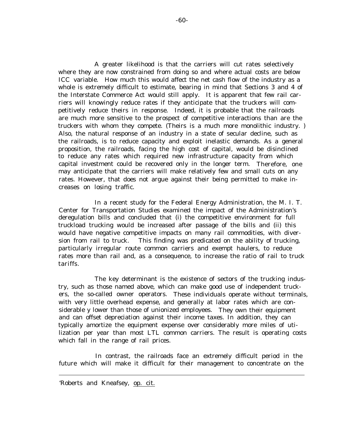A greater likelihood is that the carriers will cut rates selectively where they are now constrained from doing so and where actual costs are below ICC variable. How much this would affect the net cash flow of the industry as a whole is extremely difficult to estimate, bearing in mind that Sections 3 and 4 of the Interstate Commerce Act would still apply. It is apparent that few rail carriers will knowingly reduce rates if they anticipate that the truckers will competitively reduce theirs in response. Indeed, it is probable that the railroads are much more sensitive to the prospect of competitive interactions than are the truckers with whom they compete. (Theirs is a much more monolithic industry. ) Also, the natural response of an industry in a state of secular decline, such as the railroads, is to reduce capacity and exploit inelastic demands. As a general proposition, the railroads, facing the high cost of capital, would be disinclined to reduce any rates which required new infrastructure capacity from which capital investment could be recovered only in the longer term. Therefore, one may anticipate that the carriers will make relatively few and small cuts on any rates. However, that does not argue against their being permitted to make increases on losing traffic.

In a recent study for the Federal Energy Administration, the M. I. T. Center for Transportation Studies examined the impact of the Administration's deregulation bills and concluded that (i) the competitive environment for full truckload trucking would be increased after passage of the bills and (ii) this would have negative competitive impacts on many rail commodities, with diversion from rail to truck. This finding was predicated on the ability of trucking, particularly irregular route common carriers and exempt haulers, to reduce rates more than rail and, as a consequence, to increase the ratio of rail to truck tariffs.

The key determinant is the existence of sectors of the trucking industry, such as those named above, which can make good use of independent truckers, the so-called owner operators. These individuals operate without terminals, with very little overhead expense, and generally at labor rates which are considerable y lower than those of unionized employees. They own their equipment and can offset depreciation against their income taxes. In addition, they can typically amortize the equipment expense over considerably more miles of utilization per year than most LTL common carriers. The result is operating costs which fall in the range of rail prices.

In contrast, the railroads face an extremely difficult period in the future which will make it difficult for their management to concentrate on the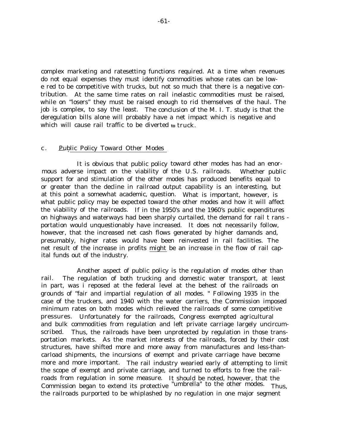complex marketing and ratesetting functions required. At a time when revenues do not equal expenses they must identify commodities whose rates can be lowe red to be competitive with trucks, but not so much that there is a negative contribution. At the same time rates on rail inelastic commodities must be raised, while on "losers" they must be raised enough to rid themselves of the haul. The job is complex, to say the least. The conclusion of the M. I. T. study is that the deregulation bills alone will probably have a net impact which is negative and which will cause rail traffic to be diverted **to** truck.

#### c. Public Policy Toward Other Modes

It is obvious that public policy toward other modes has had an enormous adverse impact on the viability of the U.S. railroads. Whether public support for and stimulation of the other modes has produced benefits equal to or greater than the decline in railroad output capability is an interesting, but at this point a somewhat academic, question. What is important, however, is what public policy may be expected toward the other modes and how it will affect the viability of the railroads. If in the 1950's and the 1960's public expenditures on highways and waterways had been sharply curtailed, the demand for rail t rans portation would unquestionably have increased. It does not necessarily follow, however, that the increased net cash flows generated by higher damands and, presumably, higher rates would have been reinvested in rail facilities. The net result of the increase in profits might be an increase in the flow of rail capital funds out of the industry.

Another aspect of public policy is the regulation of modes other than rail. The regulation of both trucking and domestic water transport, at least in part, was i reposed at the federal level at the behest of the railroads on grounds of "fair and impartial regulation of all modes. " Following 1935 in the case of the truckers, and 1940 with the water carriers, the Commission imposed minimum rates on both modes which relieved the railroads of some competitive pressures. Unfortunately for the railroads, Congress exempted agricultural and bulk commodities from regulation and left private carriage largely uncircumscribed. Thus, the railroads have been unprotected by regulation in those transportation markets. As the market interests of the railroads, forced by their cost structures, have shifted more and more away from manufactures and less-thancarload shipments, the incursions of exempt and private carriage have become more and more important. The rail industry wearied early of attempting to limit the scope of exempt and private carriage, and turned to efforts to free the railroads from regulation in some measure. It should be noted, however, that the Commission began to extend its protective "umbrella" to the other modes. Thus, the railroads purported to be whiplashed by no regulation in one major segment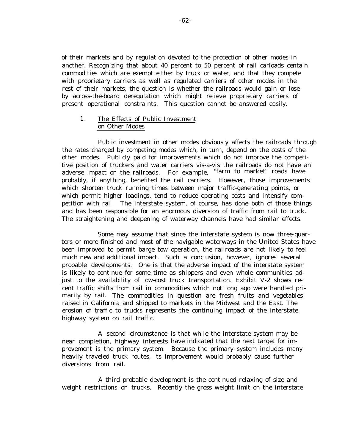of their markets and by regulation devoted to the protection of other modes in another. Recognizing that about 40 percent to 50 percent of rail carloads centain commodities which are exempt either by truck or water, and that they compete with proprietary carriers as well as regulated carriers of other modes in the rest of their markets, the question is whether the railroads would gain or lose by across-the-board deregulation which might relieve proprietary carriers of present operational constraints. This question cannot be answered easily.

### 1. The Effects of Public Investment on Other Modes

Public investment in other modes obviously affects the railroads through the rates charged by competing modes which, in turn, depend on the costs of the other modes. Publicly paid for improvements which do not improve the competitive position of truckers and water carriers vis-a-vis the railroads do not have an adverse impact on the railroads. For example, "farm to market" roads have probably, if anything, benefited the rail carriers. However, those improvements which shorten truck running times between major traffic-generating points, or which permit higher loadings, tend to reduce operating costs and intensify competition with rail. The interstate system, of course, has done both of those things and has been responsible for an enormous diversion of traffic from rail to truck. The straightening and deepening of waterway channels have had similar effects.

Some may assume that since the interstate system is now three-quarters or more finished and most of the navigable waterways in the United States have been improved to permit barge tow operation, the railroads are not likely to feel much new and additional impact. Such a conclusion, however, ignores several probable developments. One is that the adverse impact of the interstate system is likely to continue for some time as shippers and even whole communities adjust to the availability of low-cost truck transportation. Exhibit V-2 shows recent traffic shifts from rail in commodities which not long ago were handled primarily by rail. The commodities in question are fresh fruits and vegetables raised in California and shipped to markets in the Midwest and the East. The erosion of traffic to trucks represents the continuing impact of the interstate highway system on rail traffic.

A second circumstance is that while the interstate system may be near completion, highway interests have indicated that the next target for improvement is the primary system. Because the primary system includes many heavily traveled truck routes, its improvement would probably cause further diversions from rail.

A third probable development is the continued relaxing of size and weight restrictions on trucks. Recently the gross weight limit on the interstate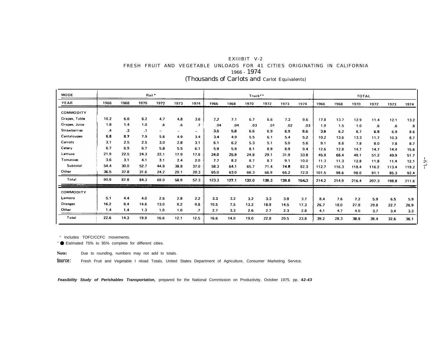| EXIIIBIT V-2                                  |  |  |  |  |  |  |  |                                                                           |  |  |
|-----------------------------------------------|--|--|--|--|--|--|--|---------------------------------------------------------------------------|--|--|
|                                               |  |  |  |  |  |  |  | FRESH FRUIT AND VEGETABLE UNLOADS FOR 41 CITIES ORIGINATING IN CALIFORNIA |  |  |
| 1966 - 1974                                   |  |  |  |  |  |  |  |                                                                           |  |  |
| (Thousands of Carlots and Carlot Equivalents) |  |  |  |  |  |  |  |                                                                           |  |  |

| <b>MODE</b>         |              |           | Rail <sup>*</sup> |                          |      |         |       |       | Truck** |       |       |       |       |       | <b>TOTAL</b> |       |           |       |
|---------------------|--------------|-----------|-------------------|--------------------------|------|---------|-------|-------|---------|-------|-------|-------|-------|-------|--------------|-------|-----------|-------|
| YEAR                | 1966         | 1968      | 1970              | 1972                     | 1973 | 1974    | 1966  | 1968  | 1970    | 1972  | 1973  | 1974  | 1966  | 1968  | 1970         | 1972  | 1973      | 1974  |
| COMMODITY           |              |           |                   |                          |      |         |       |       |         |       |       |       |       |       |              |       |           |       |
| Grapes, Table       | 10.2         | 6.6       | 6.2               | 4.7                      | 4.8  | 3.6     | 7.7   | 7.1   | 6.7     | 6.6   | 7.3   | 9.6   | 17.8  | 13.7  | 12.9         | 11.4  | 12.1      | 13.2  |
| Grapes, Juice       | 1.8          | 1.4       | 1.0               | 6.                       | .6   | $\cdot$ | .04   | .04   | .03     | .01   | .02   | .03   | 1.9   | 1.5   | 1.0          | .6    | $\cdot 6$ | .8    |
| <b>Strawberries</b> | $\mathbf{A}$ | $\cdot$ 3 | $\cdot$ 1         | $\overline{\phantom{a}}$ |      | -       | 3.5   | 5.8   | 6.6     | 6.9   | 6.9   | 8.6   | 3.9   | 6.2   | 6.7          | 6.9   | 6.9       | 8.6   |
| Cantaloupes         | 6.8          | 8.7       | 7.9               | 5.6                      | 4.9  | 3.4     | 3.4   | 4.9   | 5.5     | 6,1   | 5.4   | 5.2   | 10.2  | 13.6  | 13.3         | 11.7  | 10.3      | 8.7   |
| Carrots             | 3.1          | 2.5       | 2.5               | 3.0                      | 2,8  | 3.1     | 6.1   | 6.2   | 5.3     | 5.1   | 5.0   | 5.6   | 9.1   | 8.8   | 7.8          | 8.0   | 7.8       | 8.7   |
| Celery              | 6.7          | 6.9       | 6.7               | 5.8                      | 5.5  | 6.1     | 5.9   | 5.9   | 8.1     | 8.9   | 89    | 9.4   | 12.6  | 12.8  | 14.7         | 14.7  | 14.4      | 15.6  |
| Lettuce             | 21.9         | 22.5      | 24.3              | 22.1                     | 17.9 | 17.9    | 24.0  | 25.9  | 24.8    | 29.1  | 31.9  | 33.8  | 45.8  | 68.4  | 49.1         | 51.2  | 49.9      | 51.7  |
| Tomatoes            | 3.6          | 3.1       | 4.1               | 3.1                      | 2.4  | 2,0     | 7.7   | 8.2   | 8.7     | 8.7   | 9.1   | 10.0  | 11.3  | 11.3  | 12.8         | 11.8  | 11.4      | 12.1  |
| Subtotal            | 54.4         | 30.0      | 52.7              | 44.8                     | 38.8 | 37.0    | 58.3  | 64.1  | 65.7    | 71.4  | 74.0  | 82.3  | 112.7 | 116.3 | 118.4        | 116.2 | 113.4     | 119.2 |
| Other               | 36.5         | 37.8      | 31.6              | 24.2                     | 20.1 | 20.3    | 65.0  | 63.0  | 66.3    | 66.9  | 65.2  | 72.0  | 101.5 | 98.6  | 98.0         | 91.1  | 85.3      | 92.4  |
| Total               | 90.9         | 87.8      | 84.3              | 69.0                     | 58.9 | 57.3    | 123.3 | 127.1 | 132.0   | 138.3 | 139.8 | 154.3 | 214.2 | 214.9 | 216.4        | 207.3 | 198.8     | 211.6 |
| COMMODITY           |              |           |                   |                          |      |         |       |       |         |       |       |       |       |       |              |       |           |       |
| Lemons              | 5,1          | 4.4       | 4,0               | 2.6                      | 2.8  | 2,2     | 3.3   | 3.2   | 3.2     | 3.3   | 3.8   | 3.7   | 8.4   | 7.6   | 7.2          | 5.9   | 6.5       | 5.9   |
| Oranges             | 16.2         | 8.4       | 14.6              | 13.0                     | 8.2  | 9.8     | 10.5  | 7.5   | 13.2    | 18.9  | 14.5  | 17.3  | 26.7  | 18.0  | 27.8         | 29.8  | 22.7      | 26.9  |
| Other               | 1,4          | 1.4       | 1.3               | 1.0                      | 1.0  | $\cdot$ | 2.7   | 3.3   | 2.6     | 2.7   | 2.3   | 2.8   | 4.1   | 4.7   | 4.0          | 3.7   | 3.4       | 3.3   |
| Total               | 22.6         | 14.3      | 19.9              | 16.6                     | 12.1 | 12.5    | 16.6  | 14.0  | 19.0    | 22.8  | 20.5  | 23.8  | 39.2  | 28.3  | 38.9         | 39.4  | 32.6      | 36.1  |

" Includes TOFC/CCFC movements.

" ● Estimated 75% to 95% complete for different cities.

**Note:** Due to rounding, numbers may not add to totals.

**Source:** Fresh Fruit and Vegetable I nload Totals, United States Department of Agriculture, Consumer Marketing Service.

**Feasibility Study of Perishables Transportation,** prepared for the National Commission on Productivity, October 1975, pp. **42-43**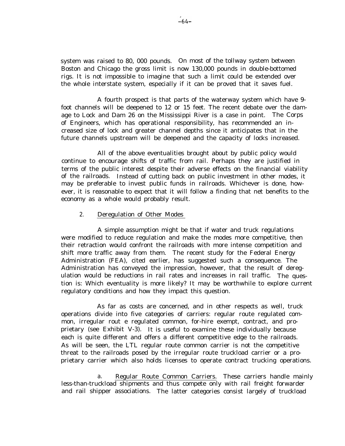system was raised to 80, 000 pounds. On most of the tollway system between Boston and Chicago the gross limit is now 130,000 pounds in double-bottomed rigs. It is not impossible to imagine that such a limit could be extended over the whole interstate system, especially if it can be proved that it saves fuel.

A fourth prospect is that parts of the waterway system which have 9 foot channels will be deepened to 12 or 15 feet. The recent debate over the damage to Lock and Dam 26 on the Mississippi River is a case in point. The Corps of Engineers, which has operational responsibility, has recommended an increased size of lock and greater channel depths since it anticipates that in the future channels upstream will be deepened and the capacity of locks increased.

All of the above eventualities brought about by public policy would continue to encourage shifts of traffic from rail. Perhaps they are justified in terms of the public interest despite their adverse effects on the financial viability of the railroads. Instead of cutting back on public investment in other modes, it may be preferable to invest public funds in railroads. Whichever is done, however, it is reasonable to expect that it will follow a finding that net benefits to the economy as a whole would probably result.

#### 2. Deregulation of Other Modes

A simple assumption might be that if water and truck regulations were modified to reduce regulation and make the modes more competitive, then their retraction would confront the railroads with more intense competition and shift more traffic away from them. The recent study for the Federal Energy Administration (FEA), cited earlier, has suggested such a consequence. The Administration has conveyed the impression, however, that the result of deregulation would be reductions in rail rates and increases in rail traffic. The question is: Which eventuality is more likely? It may be worthwhile to explore current regulatory conditions and how they impact this question.

As far as costs are concerned, and in other respects as well, truck operations divide into five categories of carriers: regular route regulated common, irregular rout e regulated common, for-hire exempt, contract, and proprietary (see Exhibit V-3). It is useful to examine these individually because each is quite different and offers a different competitive edge to the railroads. As will be seen, the LTL regular route common carrier is not the competitive threat to the railroads posed by the irregular route truckload carrier or a proprietary carrier which also holds licenses to operate contract trucking operations.

a. Regular Route Common Carriers. These carriers handle mainly less-than-truckload shipments and thus compete only with rail freight forwarder and rail shipper associations. The latter categories consist largely of truckload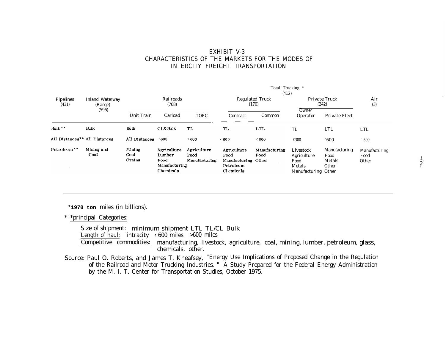## EXHIBIT V-3 CHARACTERISTICS OF THE MARKETS FOR THE MODES OF INTERCITY FREIGHT TRANSPORTATION

|                                           |                                   |                          |                                                             |                                      | Total Trucking *<br>(412)                                             |                                 |                                                                   |                                          |                                |  |  |  |
|-------------------------------------------|-----------------------------------|--------------------------|-------------------------------------------------------------|--------------------------------------|-----------------------------------------------------------------------|---------------------------------|-------------------------------------------------------------------|------------------------------------------|--------------------------------|--|--|--|
| <b>Pipelines</b><br>(431)                 | <b>Inland Waterway</b><br>(Barge) | Railroads<br>(768)       |                                                             |                                      |                                                                       | <b>Regulated Truck</b><br>(170) | <b>Private Truck</b><br>(242)                                     | Air<br>(3)                               |                                |  |  |  |
|                                           | (596)                             | <b>Unit Train</b>        | Carload                                                     | <b>TOFC</b>                          | Contract                                                              | Common                          | Owner<br>Operator                                                 | <b>Private Fleet</b>                     |                                |  |  |  |
| $Bulk$ **                                 | <b>Bulk</b>                       | Bulk                     | CL&Bulk                                                     | TL                                   | TL                                                                    | LTL                             | <b>TL</b>                                                         | <b>LTL</b>                               | <b>LTL</b>                     |  |  |  |
| All Distances <sup>**</sup> All Distances |                                   | All Distances            | >600                                                        | > 600                                | < 600                                                                 | $600$                           | X300                                                              | $^{\circ}600$                            | 600                            |  |  |  |
| Petroleum <sup>**</sup>                   | Mining and<br>Coal                | Mining<br>Coal<br>Crains | Agriculture<br>Lumber<br>Food<br>Manufacturing<br>Chemicals | Agriculture<br>Food<br>Manufacturing | Agriculture<br>Food<br>Manufacturing Other<br>Petroleum<br>Cl emicals | Manufacturing<br>Food           | Livestock<br>Agriculture<br>Food<br>Metals<br>Manufacturing Other | Manufacturing<br>Food<br>Metals<br>Other | Manufacturing<br>Food<br>Other |  |  |  |

**\*1970 ton** miles (in billions).

\* \*principal Categories:

Size of shipment: minimum shipment LTL TL/CL Bulk Length of haul: intracity  $\leftarrow 600$  miles  $>600$  miles Competitive commodities: manufacturing, livestock, agriculture, coal, mining, lumber, petroleum, glass, chemicals, other.

Source: Paul O. Roberts, and James T. Kneafsey, "Energy Use Implications of Proposed Change in the Regulation of the Railroad and Motor Trucking Industries. " A Study Prepared for the Federal Energy Administration by the M. I. T. Center for Transportation Studies, October 1975.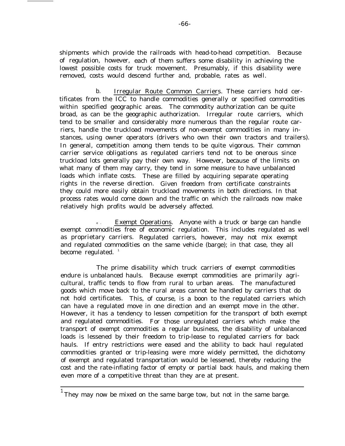shipments which provide the railroads with head-to-head competition. Because of regulation, however, each of them suffers some disability in achieving the lowest possible costs for truck movement. Presumably, if this disability were removed, costs would descend further and, probable, rates as well.

b. Irregular Route Common Carriers. These carriers hold certificates from the ICC to handle commodities generally or specified commodities within specified geographic areas. The commodity authorization can be quite broad, as can be the geographic authorization. Irregular route carriers, which tend to be smaller and considerably more numerous than the regular route carriers, handle the truckload movements of non-exempt commodities in many instances, using owner operators (drivers who own their own tractors and trailers). In general, competition among them tends to be quite vigorous. Their common carrier service obligations as regulated carriers tend not to be onerous since truckload lots generally pay their own way. However, because of the limits on what many of them may carry, they tend in some measure to have unbalanced loads which inflate costs. These are filled by acquiring separate operating rights in the reverse direction. Given freedom from certificate constraints they could more easily obtain truckload movements in both directions. In that process rates would come down and the traffic on which the railroads now make relatively high profits would be adversely affected.

**<sup>c</sup> .** Exempt Operations. Anyone with a truck or barge can handle exempt commodities free of economic regulation. This includes regulated as well as proprietary carriers. Regulated carriers, however, may not mix exempt and regulated commodities on the same vehicle (barge); in that case, they all become regulated.  $1$ 

The prime disability which truck carriers of exempt commodities endure is unbalanced hauls. Because exempt commodities are primarily agricultural, traffic tends to flow from rural to urban areas. The manufactured goods which move back to the rural areas cannot be handled by carriers that do not hold certificates. This, of course, is a boon to the regulated carriers which can have a regulated move in one direction and an exempt move in the other. However, it has a tendency to lessen competition for the transport of both exempt and regulated commodities. For those unregulated carriers which make the transport of exempt commodities a regular business, the disability of unbalanced loads is lessened by their freedom to trip-lease to regulated carriers for back hauls. If entry restrictions were eased and the ability to back haul regulated commodities granted or trip-leasing were more widely permitted, the dichotomy of exempt and regulated transportation would be lessened, thereby reducing the cost and the rate-inflating factor of empty or partial back hauls, and making them even more of a competitive threat than they are at present.

 $^{\rm 1}$  They may now be mixed on the same barge tow, but not in the same barge.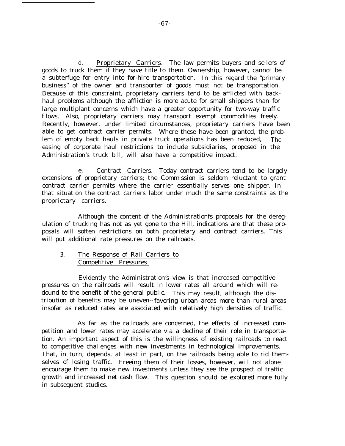d. Proprietary Carriers. The law permits buyers and sellers of goods to truck them if they have title to them. Ownership, however, cannot be a subterfuge for entry into for-hire transportation. In this regard the "primary business" of the owner and transporter of goods must not be transportation. Because of this constraint, proprietary carriers tend to be afflicted with backhaul problems although the affliction is more acute for small shippers than for large multiplant concerns which have a greater opportunity for two-way traffic f lows, Also, proprietary carriers may transport exempt commodities freely. Recently, however, under limited circumstances, proprietary carriers have been able to get contract carrier permits. Where these have been granted, the problem of empty back hauls in private truck operations has been reduced, The easing of corporate haul restrictions to include subsidiaries, proposed in the Administration's truck bill, will also have a competitive impact.

e. Contract Carriers. Today contract carriers tend to be largely extensions of proprietary carriers; the Commission is seldom reluctant to grant contract carrier permits where the carrier essentially serves one shipper. In that situation the contract carriers labor under much the same constraints as the proprietary carriers.

Although the content of the Administrationfs proposals for the deregulation of trucking has not as yet gone to the Hill, indications are that these proposals will soften restrictions on both proprietary and contract carriers. This will put additional rate pressures on the railroads.

### 3. The Response of Rail Carriers to Competitive Pressures

Evidently the Administration's view is that increased competitive pressures on the railroads will result in lower rates all around which will redound to the benefit of the general public. This may result, although the distribution of benefits may be uneven--favoring urban areas more than rural areas insofar as reduced rates are associated with relatively high densities of traffic.

As far as the railroads are concerned, the effects of increased competition and lower rates may accelerate via a decline of their role in transportation. An important aspect of this is the willingness of existing railroads to react to competitive challenges with new investments in technological improvements. That, in turn, depends, at least in part, on the railroads being able to rid themselves of losing traffic. Freeing them of their losses, however, will not alone encourage them to make new investments unless they see the prospect of traffic growth and increased net cash flow. This question should be explored more fully in subsequent studies.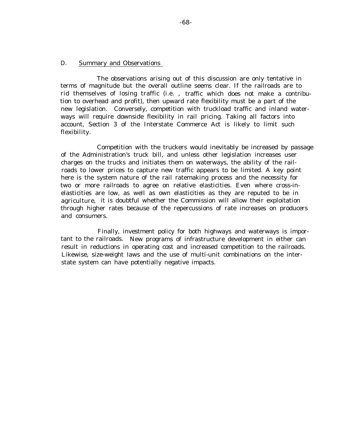## D. Summary and Observations

The observations arising out of this discussion are only tentative in terms of magnitude but the overall outline seems clear. If the railroads are to rid themselves of losing traffic (i.e. , traffic which does not make a contribution to overhead and profit), then upward rate flexibility must be a part of the new legislation. Conversely, competition with truckload traffic and inland waterways will require downside flexibility in rail pricing. Taking all factors into account, Section 3 of the Interstate Commerce Act is likely to limit such flexibility.

Competition with the truckers would inevitably be increased by passage of the Administration's truck bill, and unless other legislation increases user charges on the trucks and initiates them on waterways, the ability of the railroads to lower prices to capture new traffic appears to be limited. A key point here is the system nature of the rail ratemaking process and the necessity for two or more railroads to agree on relative elasticities. Even where cross-inelasticities are low, as well as own elasticities as they are reputed to be in agriculture, it is doubtful whether the Commission will allow their exploitation through higher rates because of the repercussions of rate increases on producers and consumers.

Finally, investment policy for both highways and waterways is important to the railroads. New programs of infrastructure development in either can result in reductions in operating cost and increased competition to the railroads. Likewise, size-weight laws and the use of multi-unit combinations on the interstate system can have potentially negative impacts.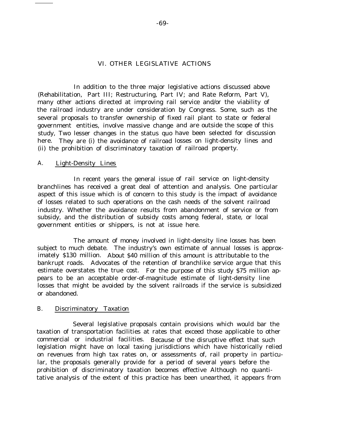#### VI. OTHER LEGISLATIVE ACTIONS

In addition to the three major legislative actions discussed above (Rehabilitation, Part III; Restructuring, Part IV; and Rate Reform, Part V), many other actions directed at improving rail service and/or the viability of the railroad industry are under consideration by Congress. Some, such as the several proposals to transfer ownership of fixed rail plant to state or federal government entities, involve massive change and are outside the scope of this study, Two lesser changes in the status quo have been selected for discussion here. They are (i) the avoidance of railroad losses on light-density lines and (ii) the prohibition of discriminatory taxation of railroad property.

#### A. Light-Density Lines

In recent years the general issue of rail service on light-density branchlines has received a great deal of attention and analysis. One particular aspect of this issue which is of concern to this study is the impact of avoidance of losses related to such operations on the cash needs of the solvent railroad industry. Whether the avoidance results from abandonment of service or from subsidy, and the distribution of subsidy costs among federal, state, or local government entities or shippers, is not at issue here.

The amount of money involved in light-density line losses has been subject to much debate. The industry's own estimate of annual losses is approximately \$130 million. About \$40 million of this amount is attributable to the bankrupt roads. Advocates of the retention of branchlike service argue that this estimate overstates the true cost. For the purpose of this study \$75 million appears to be an acceptable order-of-magnitude estimate of light-density line losses that might be avoided by the solvent railroads if the service is subsidized or abandoned.

#### B. Discriminatory Taxation

Several legislative proposals contain provisions which would bar the taxation of transportation facilities at rates that exceed those applicable to other commercial or industrial facilities. Because of the disruptive effect that such legislation might have on local taxing jurisdictions which have historically relied on revenues from high tax rates on, or assessments of, rail property in particular, the proposals generally provide for a period of several years before the prohibition of discriminatory taxation becomes effective Although no quantitative analysis of the extent of this practice has been unearthed, it appears from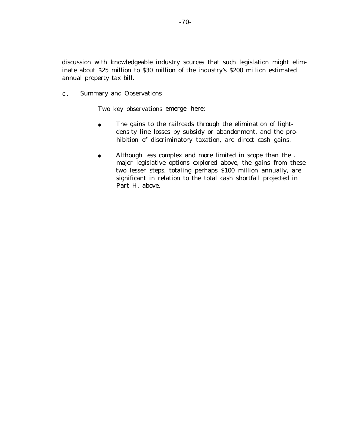discussion with knowledgeable industry sources that such legislation might eliminate about \$25 million to \$30 million of the industry's \$200 million estimated annual property tax bill.

c . Summary and Observations

Two key observations emerge here:

- The gains to the railroads through the elimination of lightdensity line losses by subsidy or abandonment, and the prohibition of discriminatory taxation, are direct cash gains.
- Although less complex and more limited in scope than the . major legislative options explored above, the gains from these two lesser steps, totaling perhaps \$100 million annually, are significant in relation to the total cash shortfall projected in Part H, above.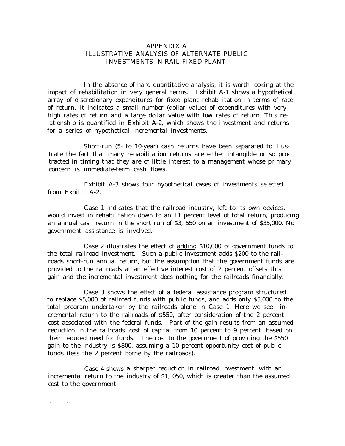## APPENDIX A ILLUSTRATIVE ANALYSIS OF ALTERNATE PUBLIC INVESTMENTS IN RAIL FIXED PLANT

In the absence of hard quantitative analysis, it is worth looking at the impact of rehabilitation in very general terms. Exhibit A-1 shows a hypothetical array of discretionary expenditures for fixed plant rehabilitation in terms of rate of return. It indicates a small number (dollar value) of expenditures with very high rates of return and a large dollar value with low rates of return. This relationship is quantified in Exhibit A-2, which shows the investment and returns for a series of hypothetical incremental investments.

Short-run (5- to 10-year) cash returns have been separated to illustrate the fact that many rehabilitation returns are either intangible or so protracted in timing that they are of little interest to a management whose primary concern is immediate-term cash flows.

Exhibit A-3 shows four hypothetical cases of investments selected from Exhibit A-2.

Case 1 indicates that the railroad industry, left to its own devices, would invest in rehabilitation down to an 11 percent level of total return, producing an annual cash return in the short run of \$3, 550 on an investment of \$35,000. No government assistance is involved.

Case 2 illustrates the effect of adding \$10,000 of government funds to the total railroad investment. Such a public investment adds \$200 to the railroads short-run annual return, but the assumption that the government funds are provided to the railroads at an effective interest cost of 2 percent offsets this gain and the incremental investment does nothing for the railroads financially.

Case 3 shows the effect of a federal assistance program structured to replace \$5,000 of railroad funds with public funds, and adds only \$5,000 to the total program undertaken by the railroads alone in Case 1. Here we see incremental return to the railroads of \$550, after consideration of the 2 percent cost associated with the federal funds. Part of the gain results from an assumed reduction in the railroads' cost of capital from 10 percent to 9 percent, based on their reduced need for funds. The cost to the government of providing the \$550 gain to the industry is \$800, assuming a 10 percent opportunity cost of public funds (less the 2 percent borne by the railroads).

Case 4 shows a sharper reduction in railroad investment, with an incremental return to the industry of \$1, 050, which is greater than the assumedcost to the government.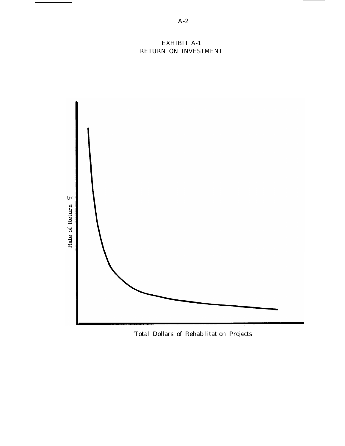# EXHIBIT A-1 RETURN ON INVESTMENT



'Total Dollars of Rehabilitation Projects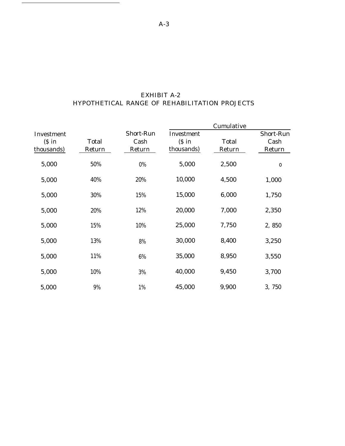| EXHIBIT A-2                                   |  |  |  |  |  |  |  |  |
|-----------------------------------------------|--|--|--|--|--|--|--|--|
| HYPOTHETICAL RANGE OF REHABILITATION PROJECTS |  |  |  |  |  |  |  |  |

|                      |              |           |                      | Cumulative   |           |
|----------------------|--------------|-----------|----------------------|--------------|-----------|
| Investment           |              | Short-Run | Investment           |              | Short-Run |
| $(S \in \mathbb{R})$ | <b>Total</b> | Cash      | $(S \in \mathbb{R})$ | <b>Total</b> | Cash      |
| thousands)           | Return       | Return    | thousands)           | Return       | Return    |
| 5,000                | 50%          | $0\%$     | 5,000                | 2,500        | $\bf{0}$  |
| 5,000                | 40%          | 20%       | 10,000               | 4,500        | 1,000     |
| 5,000                | 30%          | 15%       | 15,000               | 6,000        | 1,750     |
| 5,000                | 20%          | 12%       | 20,000               | 7,000        | 2,350     |
| 5,000                | 15%          | 10%       | 25,000               | 7,750        | 2,850     |
| 5,000                | 13%          | $8\%$     | 30,000               | 8,400        | 3,250     |
| 5,000                | 11%          | 6%        | 35,000               | 8,950        | 3,550     |
| 5,000                | 10%          | 3%        | 40,000               | 9,450        | 3,700     |
| 5,000                | 9%           | 1%        | 45,000               | 9,900        | 3,750     |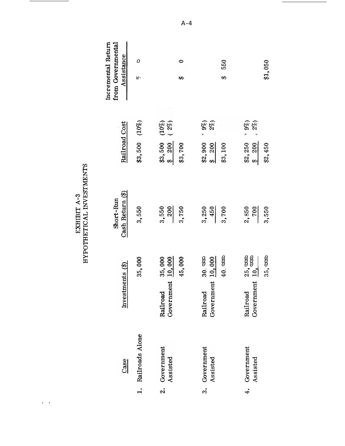| Incremental Return<br>from Governmental<br>Assistance | O<br>$W^-$         | 0<br>↔                                     |                                        | 550<br>₩       | \$1,050                                    |
|-------------------------------------------------------|--------------------|--------------------------------------------|----------------------------------------|----------------|--------------------------------------------|
|                                                       |                    | $(10\%)$<br>$(2\%)$                        | $($ %6 $\rightarrow$<br>$2\%$          |                | $= 9\%)$<br>$2\%)$                         |
| Railroad Cost                                         | $$3,500$ $(10\%)$  | \$3,500<br>200<br>\$3,700<br>$\frac{1}{2}$ | \$2,900<br>200<br>$\frac{1}{\sqrt{2}}$ | \$3,100        | \$2,250<br>200<br>\$2,450<br>$\frac{1}{2}$ |
| Cash Return (\$)<br>Short-Run                         | 3,550              | 3,550<br>200<br>3,750                      | 3,250<br>450                           | 3,700          | 2,850<br>3,550<br><u>700</u>               |
|                                                       | 35,000             | 35,000<br>10,000<br>45,000                 | 10,000<br>30.000                       | $40.$ $\infty$ | 25,000<br>35,000                           |
|                                                       |                    |                                            |                                        |                |                                            |
| Investments $(\$)$                                    |                    | Government<br>Railroad                     | Government<br>Railroad                 |                | Government<br>Railroad                     |
| Case                                                  | 1. Railroads Alone | 2. Government<br>Assisted                  | 3. Government<br>Assisted              |                | 4. Government<br>Assisted                  |
|                                                       |                    |                                            |                                        |                |                                            |

 $\begin{array}{ll} \textbf{EXHIBIT A-3} \\ \textbf{HYPOTHETICAL INVESTMENTS} \end{array}$ 

, ,

A-4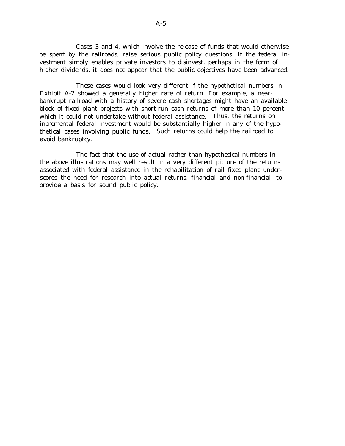Cases 3 and 4, which involve the release of funds that would otherwise be spent by the railroads, raise serious public policy questions. If the federal investment simply enables private investors to disinvest, perhaps in the form of higher dividends, it does not appear that the public objectives have been advanced.

These cases would look very different if the hypothetical numbers in Exhibit A-2 showed a generally higher rate of return. For example, a nearbankrupt railroad with a history of severe cash shortages might have an available block of fixed plant projects with short-run cash returns of more than 10 percent which it could not undertake without federal assistance. Thus, the returns on incremental federal investment would be substantially higher in any of the hypothetical cases involving public funds. Such returns could help the railroad to avoid bankruptcy.

The fact that the use of actual rather than hypothetical numbers in the above illustrations may well result in a very different picture of the returns associated with federal assistance in the rehabilitation of rail fixed plant underscores the need for research into actual returns, financial and non-financial, to provide a basis for sound public policy.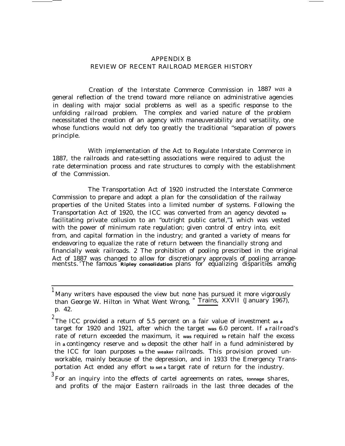## APPENDIX B REVIEW OF RECENT RAILROAD MERGER HISTORY

Creation of the Interstate Commerce Commission in 1887 *was* a general reflection of the trend toward more reliance on administrative agencies in dealing with major social problems as well as a specific response to the unfolding railroad problem. The complex and varied nature of the problem necessitated the creation of an agency with maneuverability and versatility, one whose functions would not defy too greatly the traditional ''separation of powers principle.

With implementation of the Act to Regulate Interstate Commerce in 1887, the railroads and rate-setting associations were required to adjust the rate determination process and rate structures to comply with the establishment of the Commission.

The Transportation Act of 1920 instructed the Interstate Commerce Commission to prepare and adopt a plan for the consolidation of the railway properties of the United States into a limited number of systems. Following the Transportation Act of 1920, the ICC was converted from an agency devoted **to** facilitating private collusion to an "outright public cartel,"1 which was vested with the power of minimum rate regulation; given control of entry into, exit from, and capital formation in the industry; and granted a variety of means for endeavoring to equalize the rate of return between the financially strong and financially weak railroads. 2 The prohibition of pooling prescribed in the original Act of 1887 was changed to allow for discretionary approvals of pooling arrangementsts. <sup>3</sup>The famous **Ripley consolidation** plans for equalizing disparities among

Many writers have espoused the view but none has pursued it more vigorously than George W. Hilton in 'What Went Wrong, " Trains, XXVII (January 1967), p. 42.

<sup>2</sup> The ICC provided a return of 5.5 percent on a fair value of investment **as a** target for 1920 and 1921, after which the target **was** 6.0 percent. If **a** railroad's rate of return exceeded the maximum, it **was** required **to** retain half the excess in **a** contingency reserve and **to** deposit the other half in a fund administered by the ICC for loan purposes **to** the **weaker** railroads. This provision proved unworkable, mainly because of the depression, and in 1933 the Emergency Transportation Act ended any effort **to set a** target rate of return for the industry.

<sup>3</sup> For an inquiry into the effects of cartel agreements on rates, **tonnage** shares, and profits of the major Eastern railroads in the last three decades of the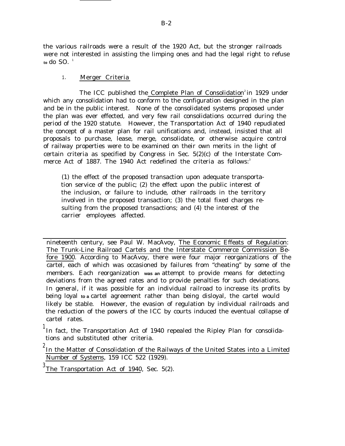the various railroads were a result of the 1920 Act, but the stronger railroads were not interested in assisting the limping ones and had the legal right to refuse  $\frac{1}{2}$  to do SO.<sup>1</sup>

## 1. Merger Criteria

The ICC published the Complete Plan of Consolidation<sup>2</sup> in 1929 under which any consolidation had to conform to the configuration designed in the plan and be in the public interest. None of the consolidated systems proposed under the plan was ever effected, and very few rail consolidations occurred during the period of the 1920 statute. However, the Transportation Act of 1940 repudiated the concept of a master plan for rail unifications and, instead, insisted that all proposals to purchase, lease, merge, consolidate, or otherwise acquire control of railway properties were to be examined on their own merits in the light of certain criteria as specified by Congress in Sec. 5(2)(c) of the Interstate Commerce Act of 1887. The 1940 Act redefined the criteria as follows:<sup>3</sup>

(1) the effect of the proposed transaction upon adequate transportation service of the public; (2) the effect upon the public interest of the inclusion, or failure to include, other railroads in the territory involved in the proposed transaction; (3) the total fixed charges resulting from the proposed transactions; and (4) the interest of the carrier employees affected.

nineteenth century, see Paul W. MacAvoy, The Economic Effeats of Regulation: The Trunk-Line Railroad Cartels and the Interstate Commerce Commission Before 1900. According to MacAvoy, there were four major reorganizations of the cartel, each of which was occasioned by failures from "cheating" by some of the members. Each reorganization **was an** attempt to provide means for detecting deviations from the agreed rates and to provide penalties for such deviations. In general, if it was possible for an individual railroad to increase its profits by being loyal **to a** cartel agreement rather than being disloyal, the cartel would likely be stable. However, the evasion of regulation by individual railroads and the reduction of the powers of the ICC by courts induced the eventual collapse of cartel rates.

In fact, the Transportation Act of 1940 repealed the Ripley Plan for consolidations and substituted other criteria.

 $^{\rm Z}$ In the Matter of Consolidation of the Railways of the United States into a Limited Number of Systems, 159 ICC 522 (1929).

 $3$  The Transportation Act of 1940, Sec. 5(2).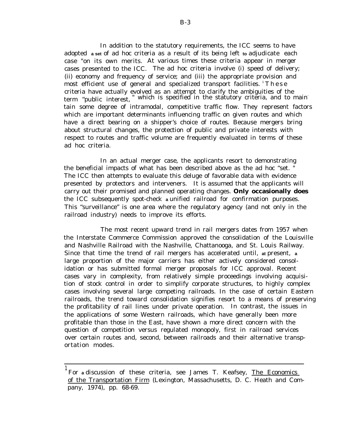In addition to the statutory requirements, the ICC seems to have adopted **a set** of ad hoc criteria as a result of its being left **to** adjudicate each case "on its own merits. At various times these criteria appear in merger cases presented to the ICC. The ad hoc criteria involve (i) speed of delivery; (ii) economy and frequency of service; and (iii) the appropriate provision and most efficient use of general and specialized transport facilities.  $\mathbf{r}^T \mathbf{h}$  ese criteria have actually evolved as an attempt to clarify the ambiguities of the term "public interest," which is specified in the statutory criteria, and to maintain some degree of intramodal, competitive traffic flow. They represent factors which are important determinants influencing traffic on given routes and which have a direct bearing on a shipper's choice of routes. Because mergers bring about structural changes, the protection of public and private interests with respect to routes and traffic volume are frequently evaluated in terms of these ad hoc criteria.

In an actual merger case, the applicants resort to demonstrating the beneficial impacts of what has been described above as the ad hoc "set. " The ICC then attempts to evaluate this deluge of favorable data with evidence presented by protectors and interveners. It is assumed that the applicants will carry out their promised and planned operating changes. **Only occasionally does** the ICC subsequently spot-check **a** unified railroad for confirmation purposes. This "surveillance" is one area where the regulatory agency (and not only in the railroad industry) needs to improve its efforts.

The most recent upward trend in rail mergers dates from 1957 when the Interstate Commerce Commission approved the consolidation of the Louisville and Nashville Railroad with the Nashville, Chattanooga, and St. Louis Railway. Since that time the trend of rail mergers has accelerated until, **at** present, **a** large proportion of the major carriers has either actively considered consolidation or has submitted formal merger proposals for ICC approval. Recent cases vary in complexity, from relatively simple proceedings involving acquisition of stock control in order to simplify corporate structures, to highly complex cases involving several large competing railroads. In the case of certain Eastern railroads, the trend toward consolidation signifies resort to a means of preserving the profitability of rail lines under private operation. In contrast, the issues in the applications of some Western railroads, which have generally been more profitable than those in the East, have shown a more direct concern with the question of competition versus regulated monopoly, first in railroad services over certain routes and, second, between railroads and their alternative transportation modes.

<sup>&</sup>lt;sup>1</sup> For adiscussion of these criteria, see James T. Keafsey, <u>The Economics</u> of the Transportation Firm (Lexington, Massachusetts, D. C. Heath and Company, 1974), pp. 68-69.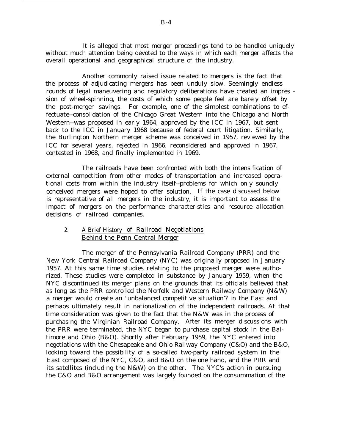It is alleged that most merger proceedings tend to be handled uniquely without much attention being devoted to the ways in which each merger affects the overall operational and geographical structure of the industry.

Another commonly raised issue related to mergers is the fact that the process of adjudicating mergers has been unduly slow. Seemingly endless rounds of legal maneuvering and regulatory deliberations have created an impres sion of wheel-spinning, the costs of which some people feel are barely offset by the post-merger savings. For example, one of the simplest combinations to effectuate--consolidation of the Chicago Great Western into the Chicago and North Western--was proposed in early 1964, approved by the ICC in 1967, but sent back to the ICC in January 1968 because of federal court litigation. Similarly, the Burlington Northern merger scheme was conceived in 1957, reviewed by the ICC for several years, rejected in 1966, reconsidered and approved in 1967, contested in 1968, and finally implemented in 1969.

The railroads have been confronted with both the intensification of external competition from other modes of transportation and increased operational costs from within the industry itself--problems for which only soundly conceived mergers were hoped to offer solution. If the case discussed below is representative of all mergers in the industry, it is important to assess the impact of mergers on the performance characteristics and resource allocation decisions of railroad companies.

## 2. A Brief History of Railroad Negotiations Behind the Penn Central Merger

The merger of the Pennsylvania Railroad Company (PRR) and the New York Central Railroad Company (NYC) was originally proposed in January 1957. At this same time studies relating to the proposed merger were authorized. These studies were completed in substance by January 1959, when the NYC discontinued its merger plans on the grounds that its officials believed that as long as the PRR controlled the Norfolk and Western Railway Company (N&W) a merger would create an "unbalanced competitive situation'? in the East and perhaps ultimately result in nationalization of the independent railroads. At that time consideration was given to the fact that the N&W was in the process of purchasing the Virginian Railroad Company. After its merger discussions with the PRR were terminated, the NYC began to purchase capital stock in the Baltimore and Ohio (B&O). Shortly after February 1959, the NYC entered into negotiations with the Chesapeake and Ohio Railway Company (C&O) and the B&O, looking toward the possibility of a so-called two-party railroad system in the East composed of the NYC, C&O, and B&O on the one hand, and the PRR and its satellites (including the N&W) on the other. The NYC's action in pursuing the C&O and B&O arrangement was largely founded on the consummation of the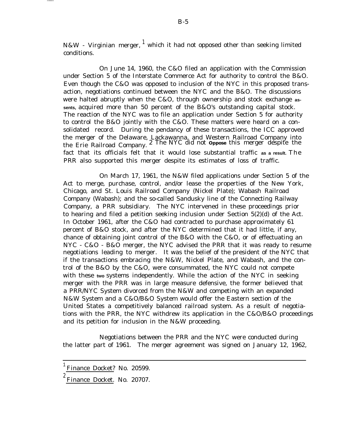N&W - Virginian merger, <sup>1</sup> which it had not opposed other than seeking limited conditions.

On June 14, 1960, the C&O filed an application with the Commission under Section 5 of the Interstate Commerce Act for authority to control the B&O. Even though the C&O was opposed to inclusion of the NYC in this proposed transaction, negotiations continued between the NYC and the B&O. The discussions were halted abruptly when the C&O, through ownership and stock exchange **assents,** acquired more than 50 percent of the B&O's outstanding capital stock. The reaction of the NYC was to file an application under Section 5 for authority to control the B&O jointly with the C&O. These matters were heard on a consolidated record. During the pendancy of these transactions, the ICC approved the merger of the Delaware, Lackawanna, and Western Railroad Company into the Erie Railroad Company. 2 The NYC did not **Oppose** this merger despite the fact that its officials felt that it would lose substantial traffic **as a result.** The PRR also supported this merger despite its estimates of loss of traffic.

On March 17, 1961, the N&W filed applications under Section 5 of the Act to merge, purchase, control, and/or lease the properties of the New York, Chicago, and St. Louis Railroad Company (Nickel Plate); Wabash Railroad Company (Wabash); and the so-called Sandusky line of the Connecting Railway Company, a PRR subsidiary. The NYC intervened in these proceedings prior to hearing and filed a petition seeking inclusion under Section 5(2)(d) of the Act. In October 1961, after the C&O had contracted to purchase approximately 61 percent of B&O stock, and after the NYC determined that it had little, if any, chance of obtaining joint control of the B&O with the C&O, or of effectuating an NYC - C&O - B&O merger, the NYC advised the PRR that it was ready to resume negotiations leading to merger. It was the belief of the president of the NYC that if the transactions embracing the N&W, Nickel Plate, and Wabash, and the control of the B&O by the C&O, were consummated, the NYC could not compete with these **two** systems independently. While the action of the NYC in seeking merger with the PRR was in large measure defensive, the former believed that a PRR/NYC System divorced from the N&W and competing with an expanded N&W System and a C&O/B&O System would offer the Eastern section of the United States a competitively balanced railroad system. As a result of negotiations with the PRR, the NYC withdrew its application in the C&O/B&O proceedings and its petition for inclusion in the N&W proceeding.

Negotiations between the PRR and the NYC were conducted during the latter part of 1961. The merger agreement was signed on January 12, 1962,

<sup>1</sup> Finance Docket? No. 20599.

<sup>2</sup> Finance Docket. No. 20707.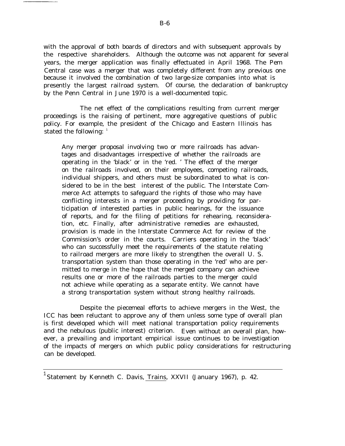with the approval of both boards of directors and with subsequent approvals by the respective shareholders. Although the outcome was not apparent for several years, the merger application was finally effectuated in April 1968. The Pem Central case was a merger that was completely different from any previous one because it involved the combination of two large-size companies into what is presently the largest railroad system. Of course, the declaration of bankruptcy by the Penn Central in June 1970 is a well-documented topic.

The net effect of the complications resulting from current merger proceedings is the raising of pertinent, more aggregative questions of public policy. For example, the president of the Chicago and Eastern Illinois has stated the following:  $1$ 

Any merger proposal involving two or more railroads has advantages and disadvantages irrespective of whether the railroads are operating in the 'black' or in the 'red. ' The effect of the merger on the railroads involved, on their employees, competing railroads, individual shippers, and others must be subordinated to what is considered to be in the best interest of the public. The Interstate Commerce Act attempts to safeguard the rights of those who may have conflicting interests in a merger proceeding by providing for participation of interested parties in public hearings, for the issuance of reports, and for the filing of petitions for rehearing, reconsideration, etc. Finally, after administrative remedies are exhausted, provision is made in the Interstate Commerce Act for review of the Commission's order in the courts. Carriers operating in the 'black' who can successfully meet the requirements of the statute relating to railroad mergers are more likely to strengthen the overall U. S. transportation system than those operating in the 'red' who are permitted to merge in the hope that the merged company can achieve results one or more of the railroads parties to the merger could not achieve while operating as a separate entity. We cannot have a strong transportation system without strong healthy railroads.

Despite the piecemeal efforts to achieve mergers in the West, the ICC has been reluctant to approve any of them unless some type of overall plan is first developed which will meet national transportation policy requirements and the nebulous (public interest) criterion. Even without an overall plan, however, a prevailing and important empirical issue continues to be investigation of the impacts of mergers on which public policy considerations for restructuring can be developed.

 $^{-1}$ Statement by Kenneth C. Davis, Trains, XXVII (January 1967), p. 42.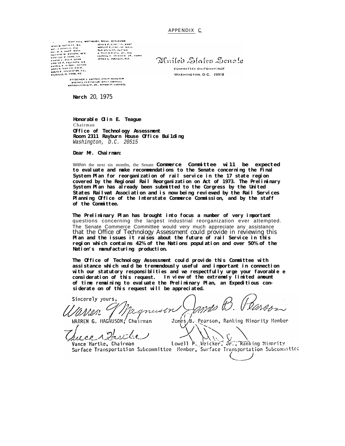#### APPENDIX C—

WARTERFUL MACHUSON, WASH., CHAIRMAN  $\begin{array}{l} \textbf{w} = \textbf{w} + \textbf{w} + \textbf{w} + \textbf{w} \\ \textbf{w} = \textbf{w} + \textbf{w} + \textbf{w} + \textbf{w} + \textbf{w} + \textbf{w} + \textbf{w} + \textbf{w} + \textbf{w} + \textbf{w} + \textbf{w} + \textbf{w} + \textbf{w} + \textbf{w} + \textbf{w} + \textbf{w} + \textbf{w} + \textbf{w} + \textbf{w} + \textbf{w} + \textbf{w} + \textbf{w} + \textbf{w} + \textbf{w} + \textbf$ 

DRIVING IN CONTRACTOR<br>
PASSAS PLATANCIAL RAMAL<br>
PLATAN PLATAN (ALA SAMAL)<br>
J. COLONIC PLATAN (ALA SAMAL)<br>
J. COLONIC PLATAN (ALA SAMAL)<br>
PAMCE L. PUCKLEV, H.T.

Almiled Dlafes Benale

**COMMITTIEL ON COMMERCE** WASHINGTON, D.C. 20510

PREDENICK J. LOPNAH, KTAFP DIHECTOR<br>- PICHAEL PENTSCHUK, CHILF COUNTIL<br>ANTHUILPANIGEF, JR., MIHOHEFY COUNSEL

**Narch** 20, 1975

**Honorable Olin E. Teague** Chairman **Office of Technology Assessment Room 2311 Rayburn House Office Bui1ding** Washington, D.C. 20515

**Dear Mr. Chairman:**

Within the next six months, the Senate **Commerce Committee wi11 be expected to evaluate and make recommendations to the Senate concerning the Final System Plan for reorganization of rail service in the 17 state region covered by the Regional Rail Reorganization on Act of 1973. The Preliminary System Plan has already been submitted to the Corgress by the United States Railwat ASSociation and is now being reviewed by the Rail Services Planning Office of the Interstate Commerce Commission, and by the staff of the Committee.**

**The Preliminary Plan has brought into focus a number of very important** questions concerning the largest industrial reorganization ever attempted. The Senate Commerce Committee would very much appreciate any assistance that the Office of Technology Assessment could provide in reviewing this **Plan and the issues it raises about the future of rail Service in this region which contains 42% of the Nations population and over 50% of the Nation's manufacturing production.**

**The Office of Technology Assessment could provide this Committee with assistance which WOUld be tremendously useful and important in connection with our statutory responsiblities and we respectfully urge your favorable e consideration of this request. In view of the extremely limited amount of time remaining to evaluate the Preliminary Plan, an Expeditious considerate on of this request will be appreciated.**

Sincerely yours, ames B. mustr

MARREN G. MAGNUSON, Chairman

James B. Pearson, Ranking Minority Member

Vance Hartke, Chairman Surface Transportation Subcommittee Hember, Surface Transportation Subcommittee

A. Lowell P. Weicker, Jr., Ranking Mimrity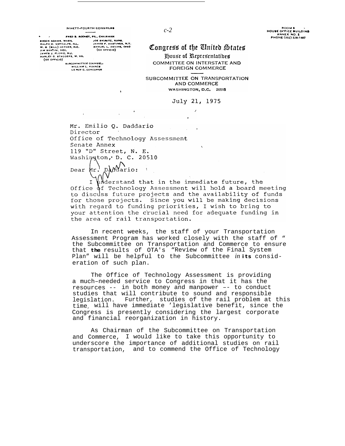FRED B. ROOMEY, PA., CHAIRMAN FRED B. ROOM<br>
BROCK ADAMS, WASH, ILL.<br>
W. G. (BILL) HEFNER, N.C.<br>
JAMES J. PLORIO, N.J.<br>
JAMES J. PLORIO, N.J.<br>
HARLEY O. STAGGERS, W. VA. FR. CHAIRMAN<br>JOE SKUBETE, KANS, N.Y.<br>JAMES F, HASTINGS, N.Y.<br>BAMUEL L. DEVINE, OHIO<br>(EX OFFICIO)  $(x)$  orrigio)

**SUBCOMMITTEE COUNSEL!** WILLIAM L. KOVACE

## Conaress of the United States

House of Representatives COMMITTEE ON INTERSTATE AND **FOREIGN COMMERCE** 

SUBCOMMITTEE ON TRANSPORTATION AND COMMERCE WASHINGTON, D.C. 20515

> July 21, 1975  $\lambda$

Mr. Emilio O. Daddario Director Office of Technology Assessment Senate Annex 119 "D" Street, N. E. Washington, D. C. 20510  $p$  $\sqrt{\Delta}$ ario: Dear  $\mu r$ .

**I**

 $\bigwedge_{n=0}^{\infty}$  and that in the immediate future, the  $\mathbf I$ Office of Technology Assessment will hold a board meeting to discuss future projects and the availability of funds for those projects. Since you will be making decisions with regard to funding priorities, I wish to bring to your attention the crucial need for adequate funding in the area of rail transportation.

In recent weeks, the staff of your Transportation Assessment Program has worked closely with the staff of " the Subcommittee on Transportation and Commerce to ensure that **the** results of OTA's "Review of the Final System Plan" will be helpful to the Subcommittee *in* **its** consideration of such plan.

The Office of Technology Assessment is providing a much–needed service to Congress in that it has the resources -- in both money and manpower –- to conduct studies that will contribute to sound and responsible legislation. Further, studies of the rail problem at this time will have immediate 'legislative benefit, since the Congress is presently considering the largest corporate and financial reorganization in history.

As Chairman of the Subcommittee on Transportation and Commerce, I would like to take this opportunity to underscore the importance of additional studies on rail transportation, and to commend the Office of Technology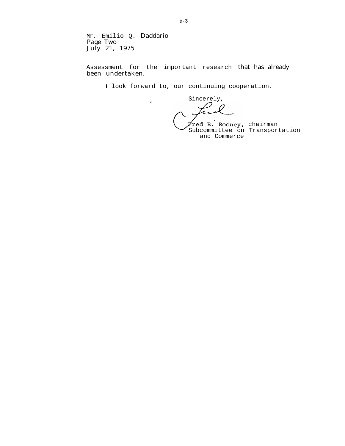Mr. Emilio Q. Daddario Page Two July 21, 1975

 $\ddot{\phantom{1}}$ 

Assessment for the important research that has already been undertaken.

**I** look forward to, our continuing cooperation.

Sincerely, ○

chairman Subcommittee on Transportation and Commerce